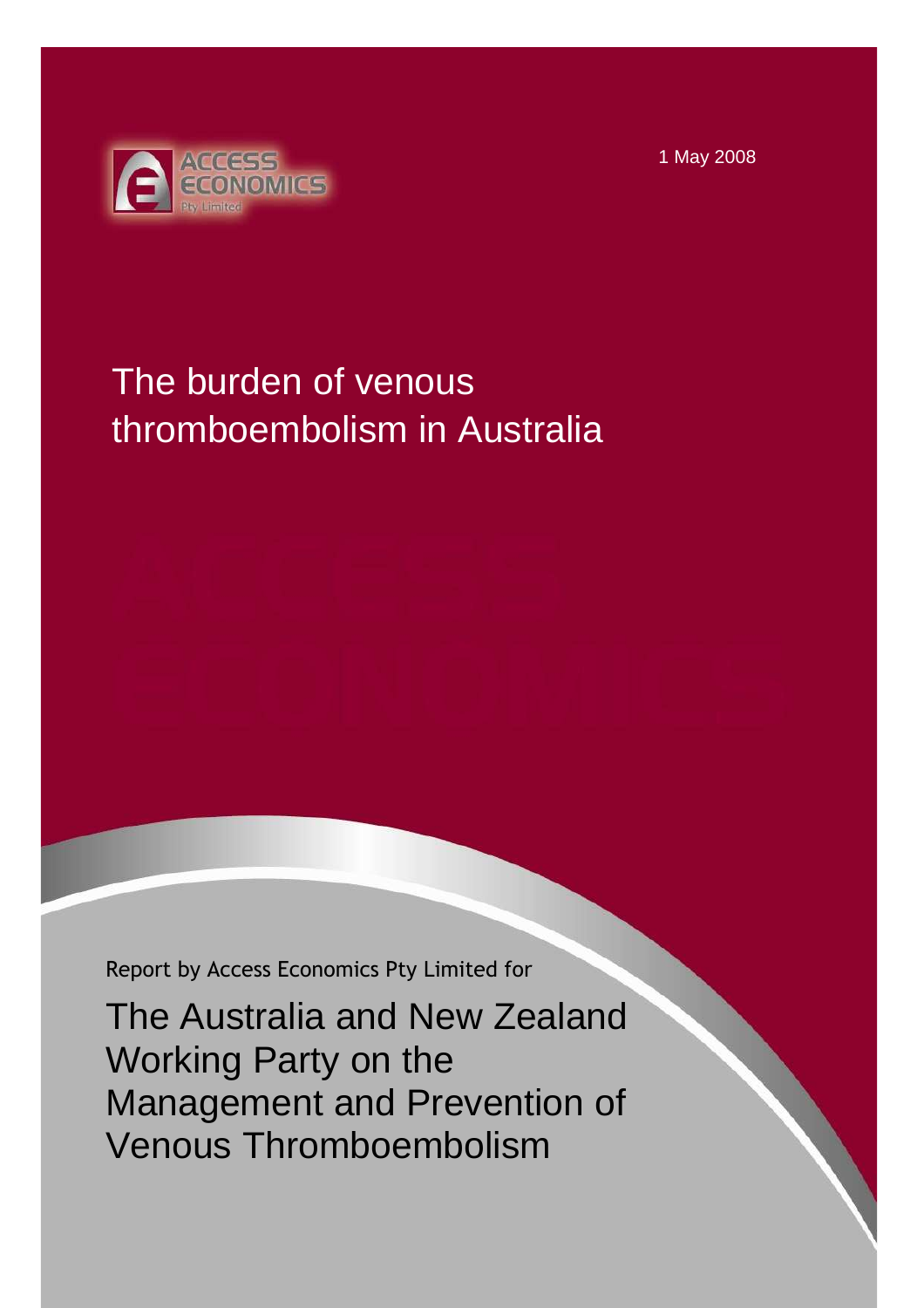1 May 2008



# The burden of venous thromboembolism in Australia

Report by Access Economics Pty Limited for

The Australia and New Zealand Working Party on the Management and Prevention of Venous Thromboembolism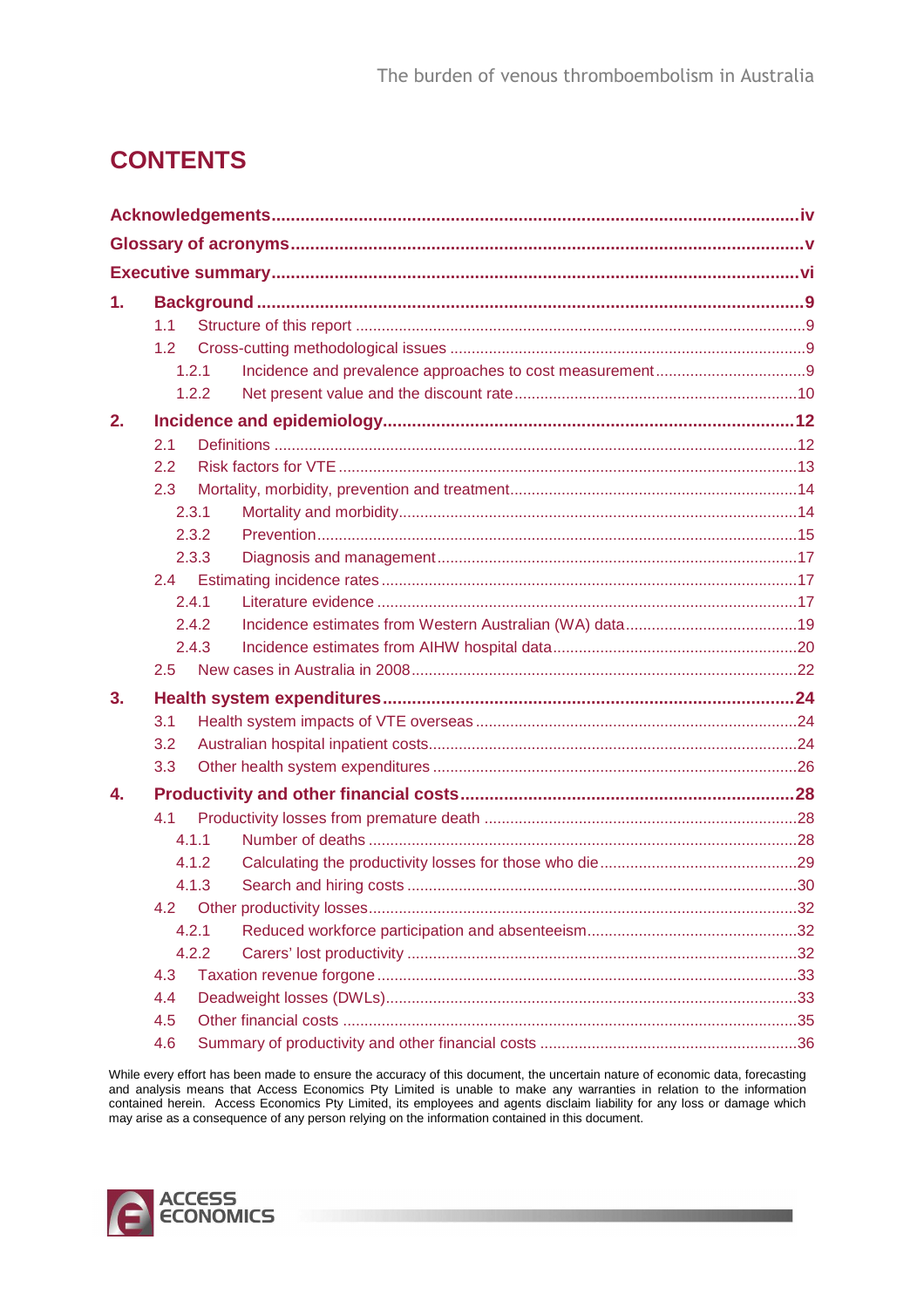## **CONTENTS**

| 1. |       |       |  |
|----|-------|-------|--|
|    | 1.1   |       |  |
|    | 1.2   |       |  |
|    |       | 1.2.1 |  |
|    |       | 1.2.2 |  |
| 2. |       |       |  |
|    | 2.1   |       |  |
|    | 2.2   |       |  |
|    | 2.3   |       |  |
|    |       | 2.3.1 |  |
|    |       | 2.3.2 |  |
|    |       | 2.3.3 |  |
|    | 2.4   |       |  |
|    |       | 2.4.1 |  |
|    |       | 2.4.2 |  |
|    |       | 2.4.3 |  |
|    | 2.5   |       |  |
| 3. |       |       |  |
|    | 3.1   |       |  |
|    | 3.2   |       |  |
|    | 3.3   |       |  |
| 4. |       |       |  |
|    | 4.1   |       |  |
|    |       | 4.1.1 |  |
|    |       | 4.1.2 |  |
|    |       | 4.1.3 |  |
|    | 4.2   |       |  |
|    | 4.2.1 |       |  |
|    | 4.2.2 |       |  |
|    | 4.3   |       |  |
|    | 4.4   |       |  |
|    | 4.5   |       |  |
|    | 4.6   |       |  |

While every effort has been made to ensure the accuracy of this document, the uncertain nature of economic data, forecasting and analysis means that Access Economics Pty Limited is unable to make any warranties in relation to the information contained herein. Access Economics Pty Limited, its employees and agents disclaim liability for any loss or damage which may arise as a consequence of any person relying on the information contained in this document.

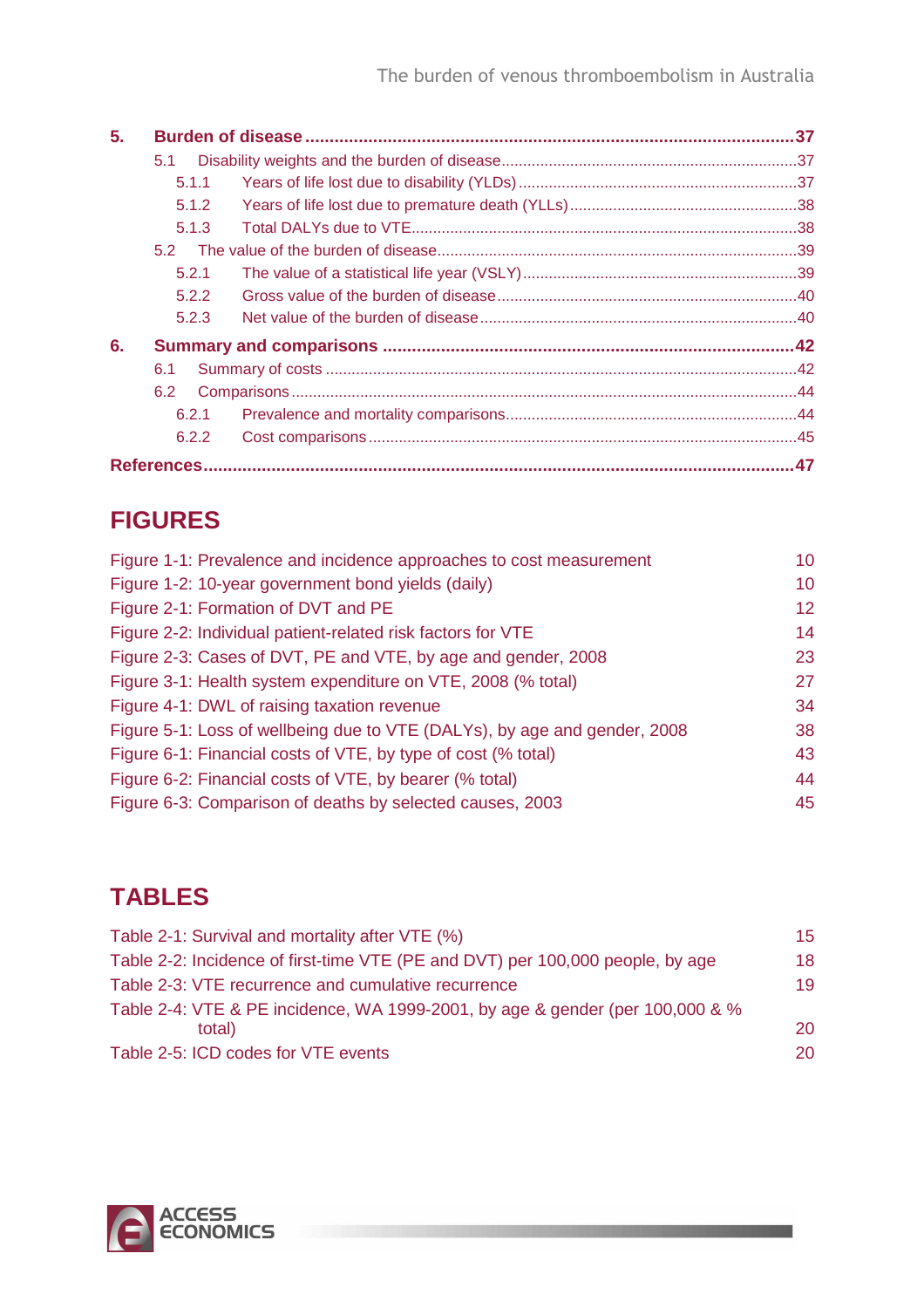| 5. |       |  |
|----|-------|--|
|    | 5.1   |  |
|    | 5.1.1 |  |
|    | 5.1.2 |  |
|    | 5.1.3 |  |
|    | 5.2   |  |
|    | 5.2.1 |  |
|    | 5.2.2 |  |
|    | 5.2.3 |  |
| 6. |       |  |
|    | 6.1   |  |
|    | 6.2   |  |
|    | 6.2.1 |  |
|    | 6.2.2 |  |
|    |       |  |

## **FIGURES**

| Figure 1-1: Prevalence and incidence approaches to cost measurement       | 10              |
|---------------------------------------------------------------------------|-----------------|
| Figure 1-2: 10-year government bond yields (daily)                        | 10              |
| Figure 2-1: Formation of DVT and PE                                       | 12 <sup>°</sup> |
| Figure 2-2: Individual patient-related risk factors for VTE               | 14              |
| Figure 2-3: Cases of DVT, PE and VTE, by age and gender, 2008             | 23              |
| Figure 3-1: Health system expenditure on VTE, 2008 (% total)              | 27              |
| Figure 4-1: DWL of raising taxation revenue                               | 34              |
| Figure 5-1: Loss of wellbeing due to VTE (DALYs), by age and gender, 2008 | 38              |
| Figure 6-1: Financial costs of VTE, by type of cost (% total)             | 43              |
| Figure 6-2: Financial costs of VTE, by bearer (% total)                   | 44              |
| Figure 6-3: Comparison of deaths by selected causes, 2003                 | 45              |

## **TABLES**

| Table 2-1: Survival and mortality after VTE (%)                                | 15 |
|--------------------------------------------------------------------------------|----|
| Table 2-2: Incidence of first-time VTE (PE and DVT) per 100,000 people, by age | 18 |
| Table 2-3: VTE recurrence and cumulative recurrence                            | 19 |
| Table 2-4: VTE & PE incidence, WA 1999-2001, by age & gender (per 100,000 & %  |    |
| total)                                                                         | 20 |
| Table 2-5: ICD codes for VTE events                                            | 20 |

**THE REPORT OF STREET** 

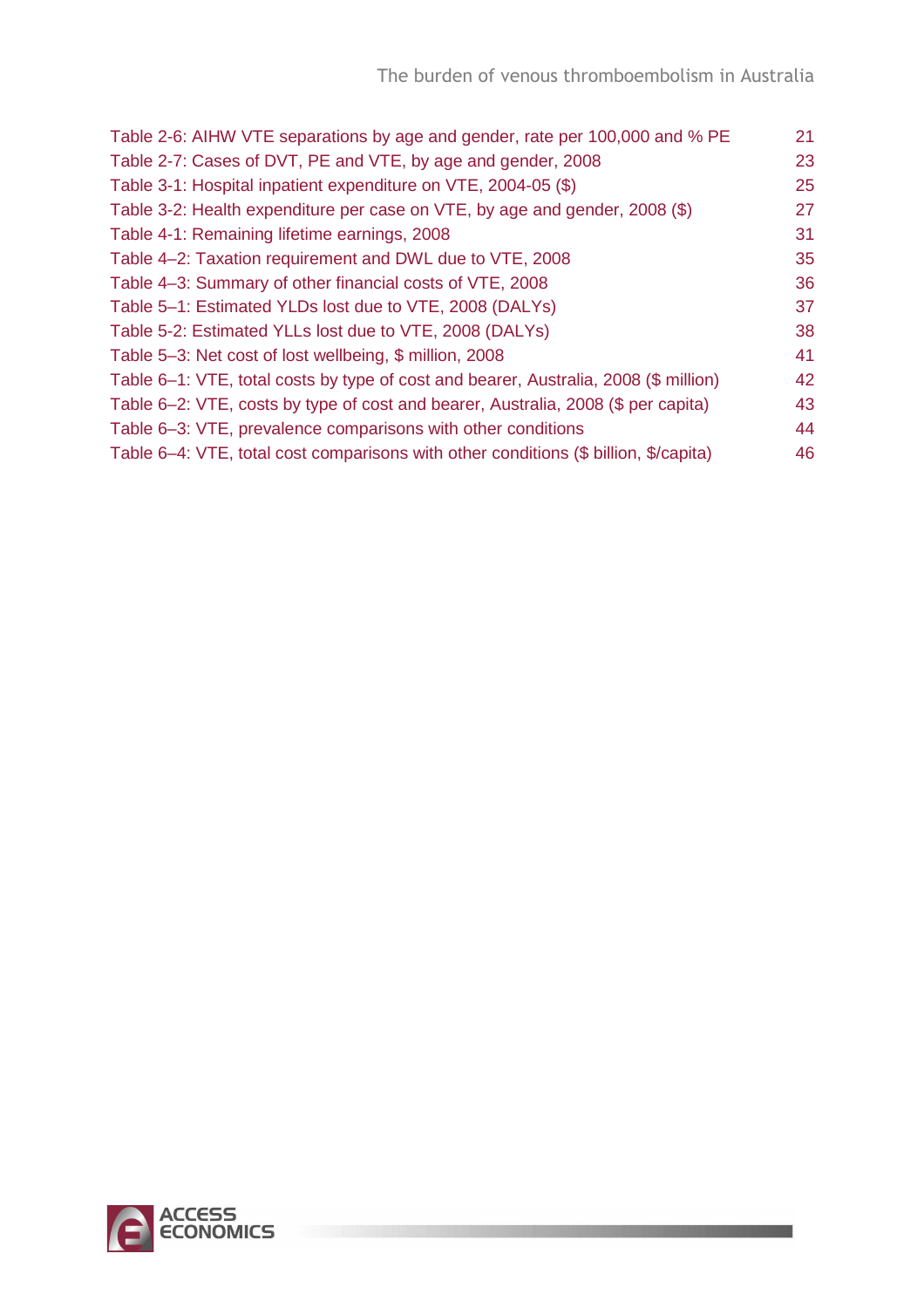**The Committee of the Committee** 

| Table 2-6: AIHW VTE separations by age and gender, rate per 100,000 and % PE         | 21 |
|--------------------------------------------------------------------------------------|----|
| Table 2-7: Cases of DVT, PE and VTE, by age and gender, 2008                         | 23 |
| Table 3-1: Hospital inpatient expenditure on VTE, 2004-05 (\$)                       | 25 |
| Table 3-2: Health expenditure per case on VTE, by age and gender, 2008 (\$)          | 27 |
| Table 4-1: Remaining lifetime earnings, 2008                                         | 31 |
| Table 4–2: Taxation requirement and DWL due to VTE, 2008                             | 35 |
| Table 4-3: Summary of other financial costs of VTE, 2008                             | 36 |
| Table 5-1: Estimated YLDs lost due to VTE, 2008 (DALYs)                              | 37 |
| Table 5-2: Estimated YLLs lost due to VTE, 2008 (DALYs)                              | 38 |
| Table 5-3: Net cost of lost wellbeing, \$ million, 2008                              | 41 |
| Table 6–1: VTE, total costs by type of cost and bearer, Australia, 2008 (\$ million) | 42 |
| Table 6–2: VTE, costs by type of cost and bearer, Australia, 2008 (\$ per capita)    | 43 |
| Table 6-3: VTE, prevalence comparisons with other conditions                         | 44 |
| Table 6–4: VTE, total cost comparisons with other conditions (\$ billion, \$/capita) | 46 |
|                                                                                      |    |

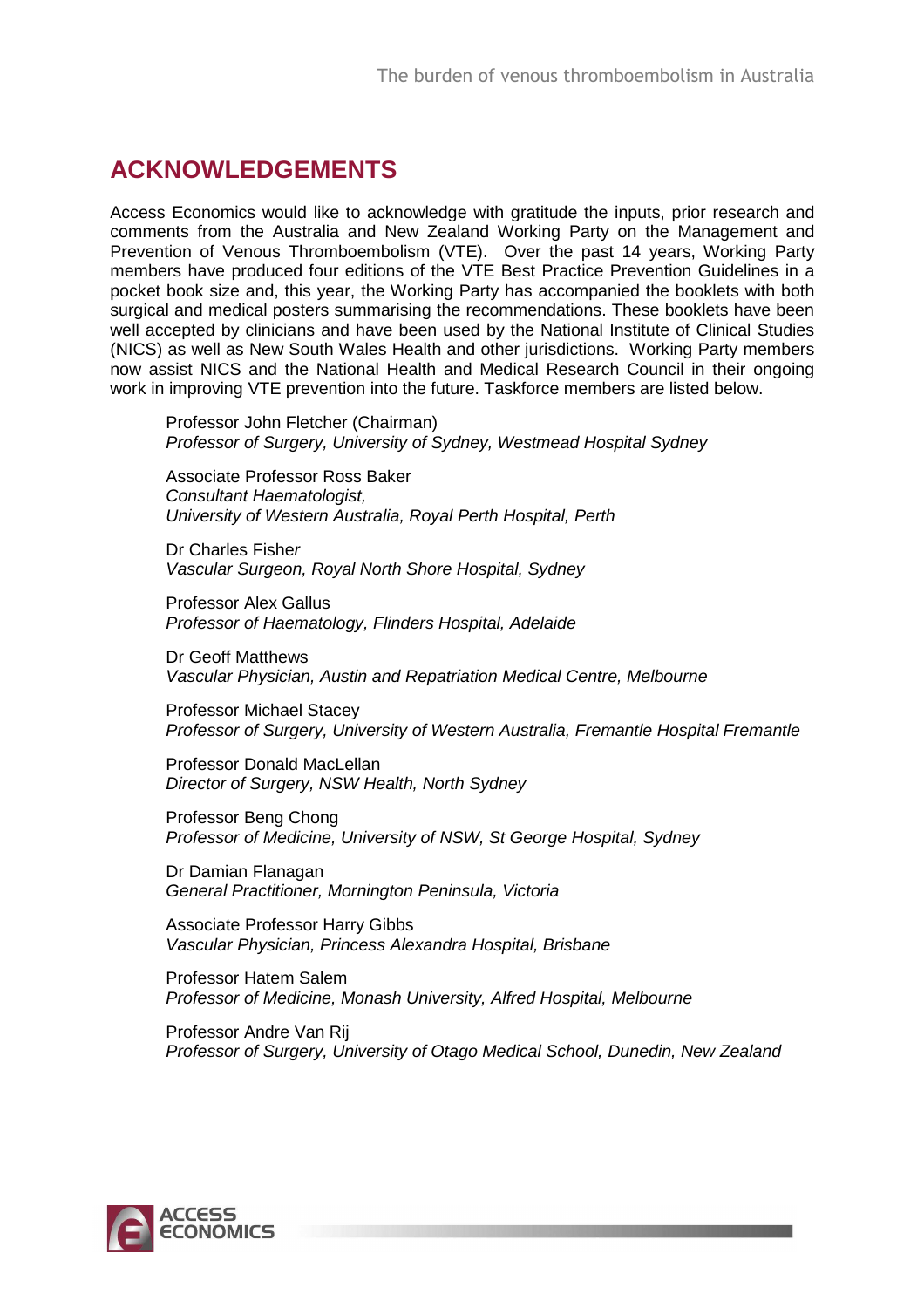## **ACKNOWLEDGEMENTS**

Access Economics would like to acknowledge with gratitude the inputs, prior research and comments from the Australia and New Zealand Working Party on the Management and Prevention of Venous Thromboembolism (VTE). Over the past 14 years, Working Party members have produced four editions of the VTE Best Practice Prevention Guidelines in a pocket book size and, this year, the Working Party has accompanied the booklets with both surgical and medical posters summarising the recommendations. These booklets have been well accepted by clinicians and have been used by the National Institute of Clinical Studies (NICS) as well as New South Wales Health and other jurisdictions. Working Party members now assist NICS and the National Health and Medical Research Council in their ongoing work in improving VTE prevention into the future. Taskforce members are listed below.

Professor John Fletcher (Chairman) Professor of Surgery, University of Sydney, Westmead Hospital Sydney

Associate Professor Ross Baker Consultant Haematologist, University of Western Australia, Royal Perth Hospital, Perth

Dr Charles Fisher Vascular Surgeon, Royal North Shore Hospital, Sydney

Professor Alex Gallus Professor of Haematology, Flinders Hospital, Adelaide

Dr Geoff Matthews Vascular Physician, Austin and Repatriation Medical Centre, Melbourne

Professor Michael Stacey Professor of Surgery, University of Western Australia, Fremantle Hospital Fremantle

Professor Donald MacLellan Director of Surgery, NSW Health, North Sydney

Professor Beng Chong Professor of Medicine, University of NSW, St George Hospital, Sydney

Dr Damian Flanagan General Practitioner, Mornington Peninsula, Victoria

Associate Professor Harry Gibbs Vascular Physician, Princess Alexandra Hospital, Brisbane

Professor Hatem Salem Professor of Medicine, Monash University, Alfred Hospital, Melbourne

Professor Andre Van Rij Professor of Surgery, University of Otago Medical School, Dunedin, New Zealand

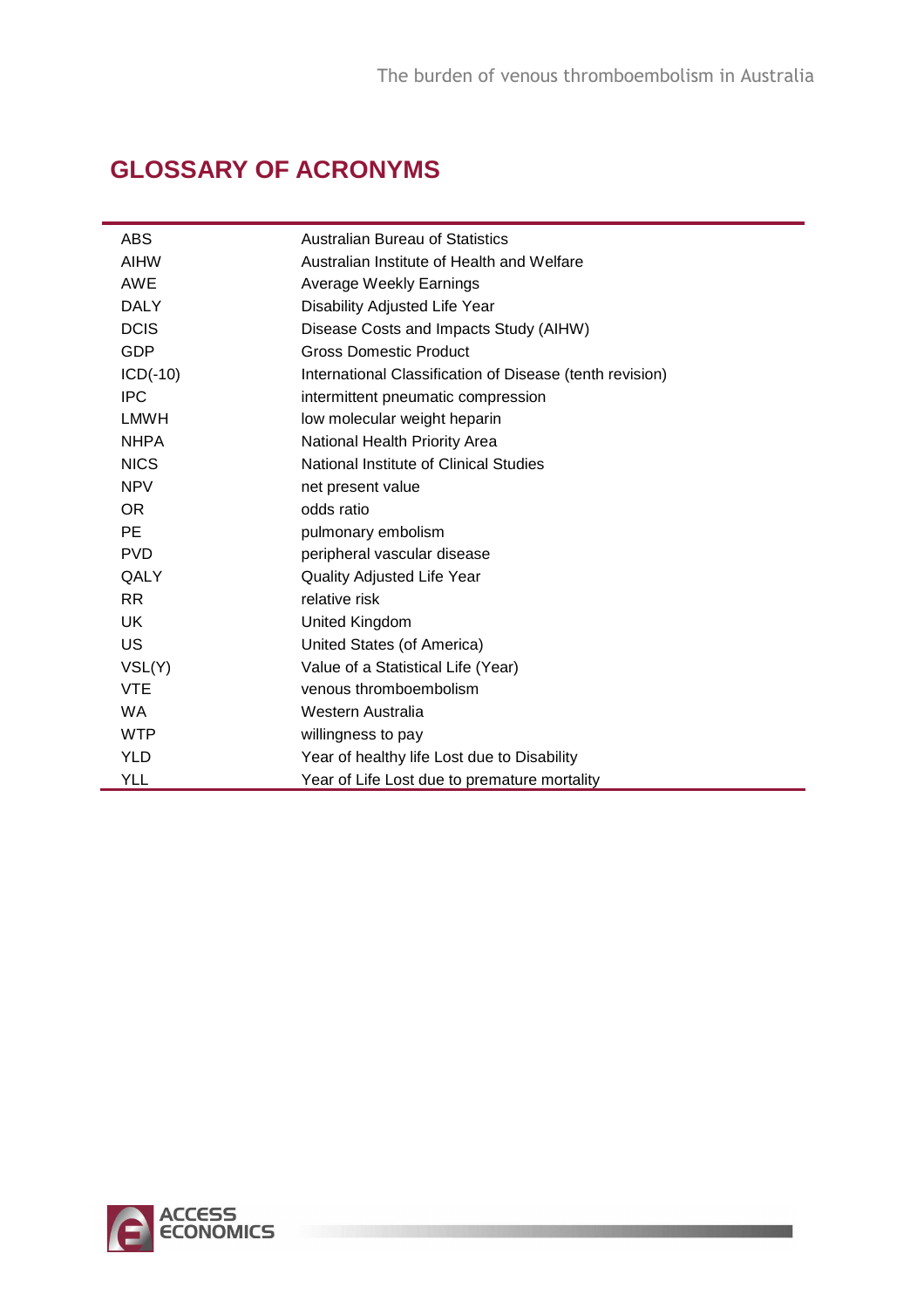<u> 1999 - John Brand, amerikansk politiker og det</u>

## **GLOSSARY OF ACRONYMS**

| <b>ABS</b>  | <b>Australian Bureau of Statistics</b>                   |
|-------------|----------------------------------------------------------|
| <b>AIHW</b> | Australian Institute of Health and Welfare               |
| <b>AWE</b>  | Average Weekly Earnings                                  |
| <b>DALY</b> | Disability Adjusted Life Year                            |
| <b>DCIS</b> | Disease Costs and Impacts Study (AIHW)                   |
| <b>GDP</b>  | <b>Gross Domestic Product</b>                            |
| $ICD(-10)$  | International Classification of Disease (tenth revision) |
| <b>IPC</b>  | intermittent pneumatic compression                       |
| LMWH        | low molecular weight heparin                             |
| <b>NHPA</b> | National Health Priority Area                            |
| <b>NICS</b> | National Institute of Clinical Studies                   |
| <b>NPV</b>  | net present value                                        |
| OR.         | odds ratio                                               |
| <b>PE</b>   | pulmonary embolism                                       |
| <b>PVD</b>  | peripheral vascular disease                              |
| QALY        | <b>Quality Adjusted Life Year</b>                        |
| RR.         | relative risk                                            |
| <b>UK</b>   | United Kingdom                                           |
| <b>US</b>   | United States (of America)                               |
| VSL(Y)      | Value of a Statistical Life (Year)                       |
| <b>VTE</b>  | venous thromboembolism                                   |
| <b>WA</b>   | Western Australia                                        |
| <b>WTP</b>  | willingness to pay                                       |
| <b>YLD</b>  | Year of healthy life Lost due to Disability              |
| YLL         | Year of Life Lost due to premature mortality             |

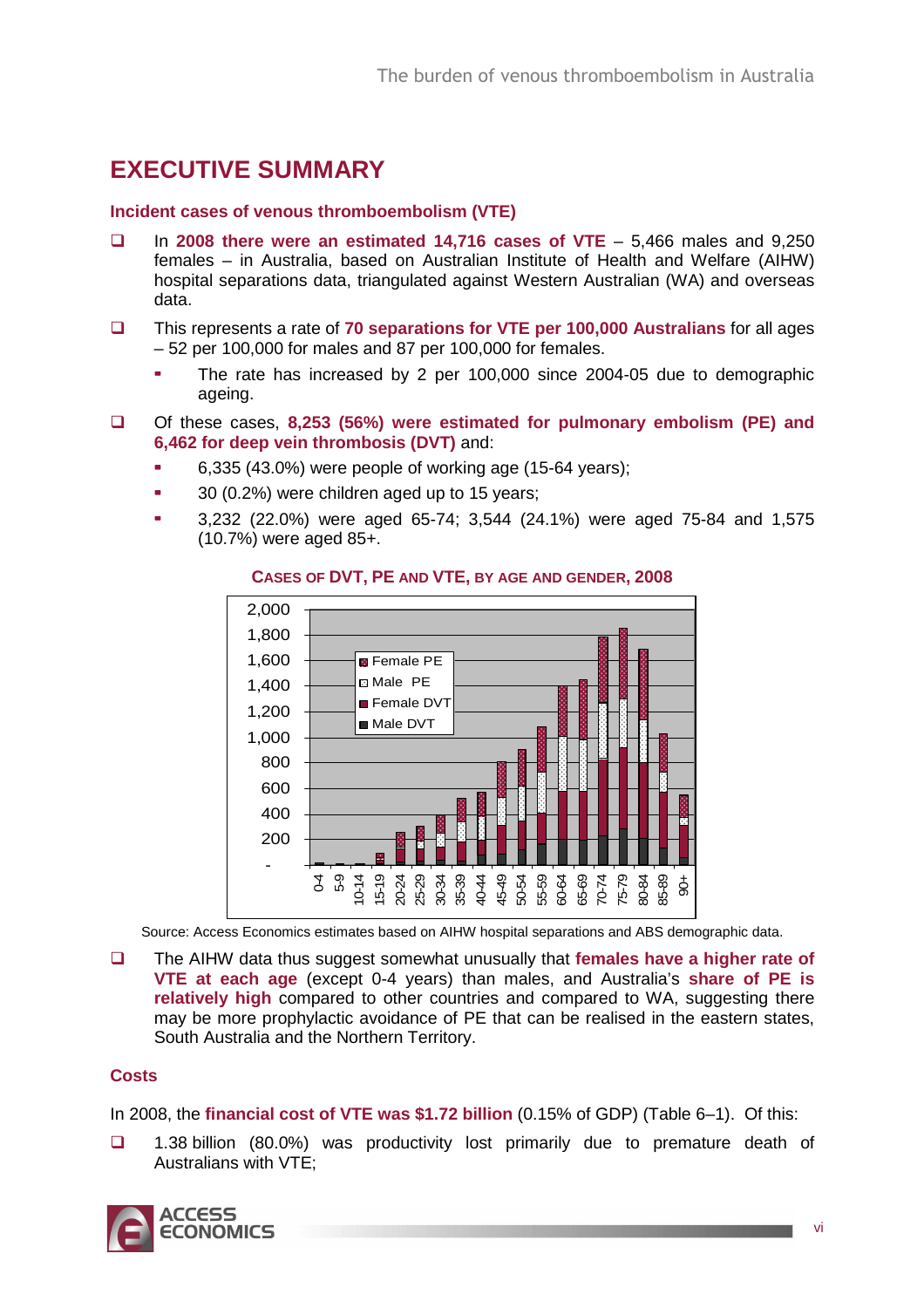## **EXECUTIVE SUMMARY**

### **Incident cases of venous thromboembolism (VTE)**

- In **2008 there were an estimated 14,716 cases of VTE** 5,466 males and 9,250 females – in Australia, based on Australian Institute of Health and Welfare (AIHW) hospital separations data, triangulated against Western Australian (WA) and overseas data.
- This represents a rate of **70 separations for VTE per 100,000 Australians** for all ages – 52 per 100,000 for males and 87 per 100,000 for females.
	- The rate has increased by 2 per 100,000 since 2004-05 due to demographic ageing.
- Of these cases, **8,253 (56%) were estimated for pulmonary embolism (PE) and 6,462 for deep vein thrombosis (DVT)** and:
	- 6,335 (43.0%) were people of working age (15-64 years);
	- 30 (0.2%) were children aged up to 15 years;
	- 3,232 (22.0%) were aged 65-74; 3,544 (24.1%) were aged 75-84 and 1,575 (10.7%) were aged 85+.



### **CASES OF DVT, PE AND VTE, BY AGE AND GENDER, 2008**

Source: Access Economics estimates based on AIHW hospital separations and ABS demographic data.

 The AIHW data thus suggest somewhat unusually that **females have a higher rate of VTE at each age** (except 0-4 years) than males, and Australia's **share of PE is relatively high** compared to other countries and compared to WA, suggesting there may be more prophylactic avoidance of PE that can be realised in the eastern states, South Australia and the Northern Territory.

### **Costs**

In 2008, the **financial cost of VTE was \$1.72 billion** (0.15% of GDP) (Table 6–1). Of this:

 1.38 billion (80.0%) was productivity lost primarily due to premature death of Australians with VTE;

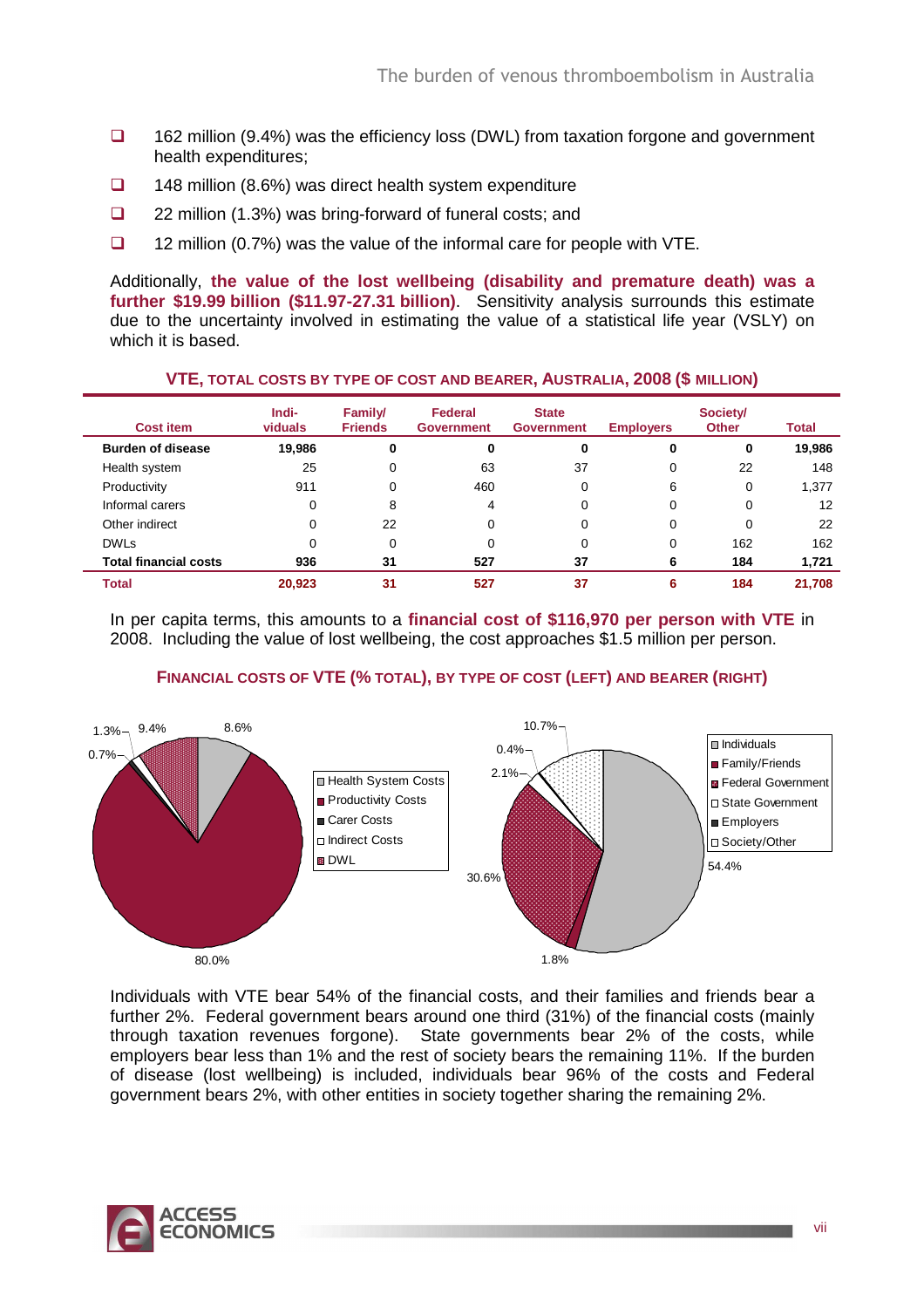- $\Box$  162 million (9.4%) was the efficiency loss (DWL) from taxation forgone and government health expenditures;
- $\Box$  148 million (8.6%) was direct health system expenditure
- 22 million (1.3%) was bring-forward of funeral costs; and
- $\Box$  12 million (0.7%) was the value of the informal care for people with VTE.

Additionally, **the value of the lost wellbeing (disability and premature death) was a further \$19.99 billion (\$11.97-27.31 billion)**. Sensitivity analysis surrounds this estimate due to the uncertainty involved in estimating the value of a statistical life year (VSLY) on which it is based.

| <b>Cost item</b>             | Indi-<br>viduals | Family/<br><b>Friends</b> | Federal<br><b>Government</b> | <b>State</b><br><b>Government</b> | <b>Employers</b> | Society/<br><b>Other</b> | Total  |
|------------------------------|------------------|---------------------------|------------------------------|-----------------------------------|------------------|--------------------------|--------|
| <b>Burden of disease</b>     | 19,986           | 0                         | 0                            | 0                                 | 0                | 0                        | 19,986 |
| Health system                | 25               | 0                         | 63                           | 37                                | 0                | 22                       | 148    |
| Productivity                 | 911              | 0                         | 460                          | 0                                 | 6                | 0                        | 1,377  |
| Informal carers              | 0                | 8                         | 4                            | 0                                 | 0                | 0                        | 12     |
| Other indirect               | 0                | 22                        | $\Omega$                     | 0                                 | 0                | 0                        | 22     |
| <b>DWLs</b>                  | 0                | 0                         |                              | 0                                 | 0                | 162                      | 162    |
| <b>Total financial costs</b> | 936              | 31                        | 527                          | 37                                | 6                | 184                      | 1,721  |
| <b>Total</b>                 | 20.923           | 31                        | 527                          | 37                                | 6                | 184                      | 21,708 |

In per capita terms, this amounts to a **financial cost of \$116,970 per person with VTE** in 2008. Including the value of lost wellbeing, the cost approaches \$1.5 million per person.



### **FINANCIAL COSTS OF VTE (% TOTAL), BY TYPE OF COST (LEFT) AND BEARER (RIGHT)**

Individuals with VTE bear 54% of the financial costs, and their families and friends bear a further 2%. Federal government bears around one third (31%) of the financial costs (mainly through taxation revenues forgone). State governments bear 2% of the costs, while employers bear less than 1% and the rest of society bears the remaining 11%. If the burden of disease (lost wellbeing) is included, individuals bear 96% of the costs and Federal government bears 2%, with other entities in society together sharing the remaining 2%.

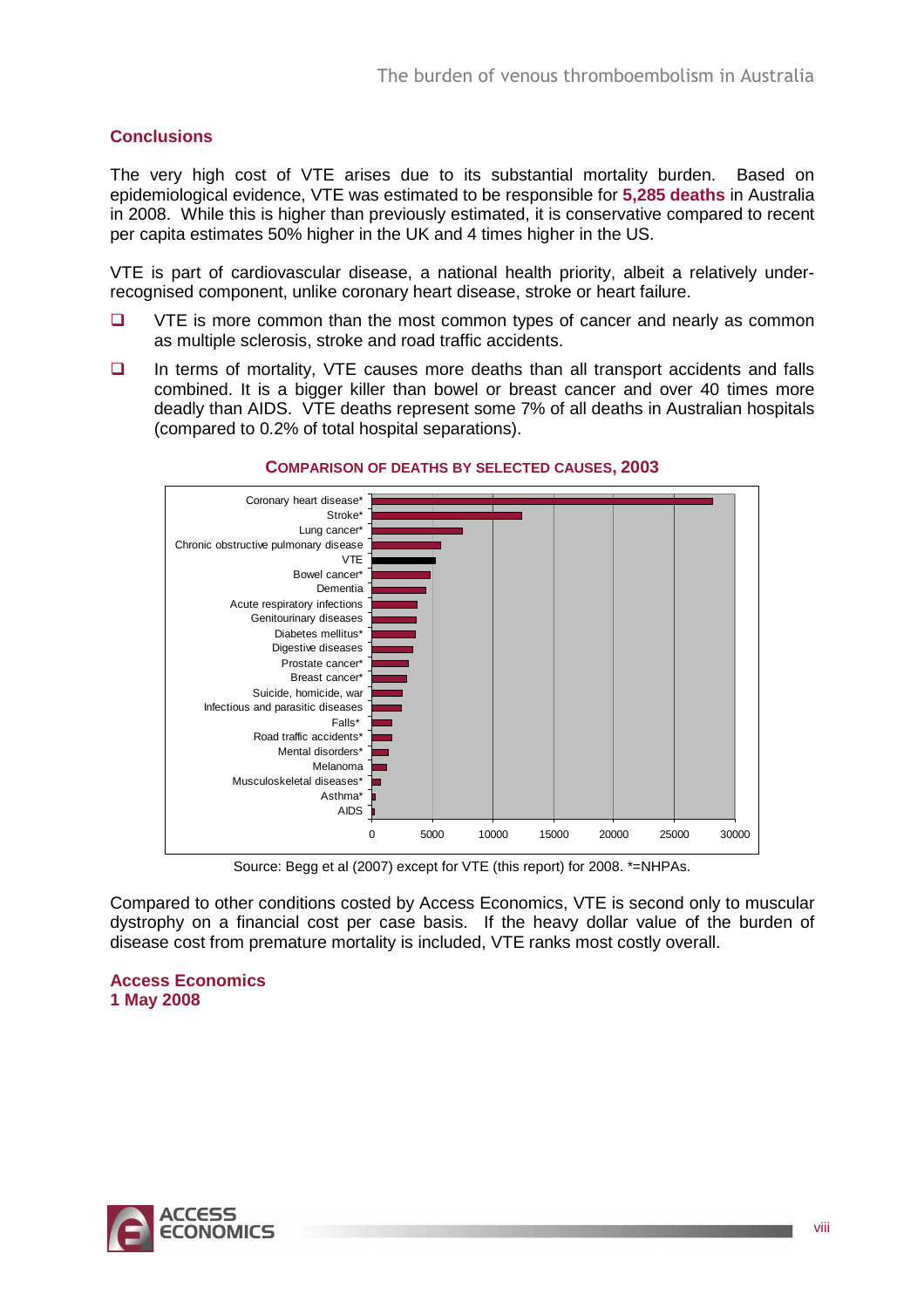### **Conclusions**

The very high cost of VTE arises due to its substantial mortality burden. Based on epidemiological evidence, VTE was estimated to be responsible for **5,285 deaths** in Australia in 2008. While this is higher than previously estimated, it is conservative compared to recent per capita estimates 50% higher in the UK and 4 times higher in the US.

VTE is part of cardiovascular disease, a national health priority, albeit a relatively underrecognised component, unlike coronary heart disease, stroke or heart failure.

- $\Box$  VTE is more common than the most common types of cancer and nearly as common as multiple sclerosis, stroke and road traffic accidents.
- $\Box$  In terms of mortality, VTE causes more deaths than all transport accidents and falls combined. It is a bigger killer than bowel or breast cancer and over 40 times more deadly than AIDS. VTE deaths represent some 7% of all deaths in Australian hospitals (compared to 0.2% of total hospital separations).



#### **COMPARISON OF DEATHS BY SELECTED CAUSES, 2003**

Source: Begg et al (2007) except for VTE (this report) for 2008. \*=NHPAs.

Compared to other conditions costed by Access Economics, VTE is second only to muscular dystrophy on a financial cost per case basis. If the heavy dollar value of the burden of disease cost from premature mortality is included, VTE ranks most costly overall.

**Access Economics 1 May 2008** 

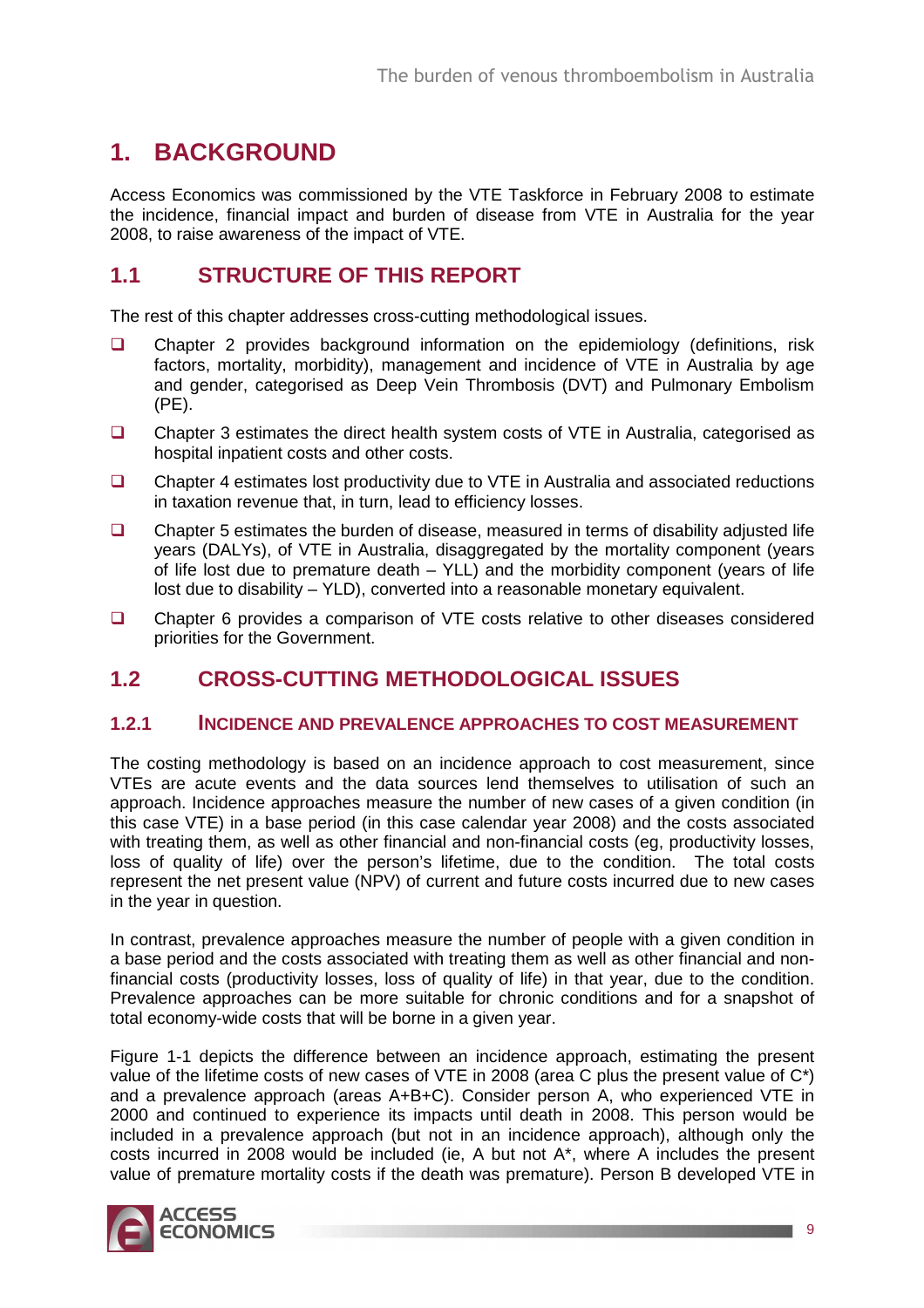## **1. BACKGROUND**

Access Economics was commissioned by the VTE Taskforce in February 2008 to estimate the incidence, financial impact and burden of disease from VTE in Australia for the year 2008, to raise awareness of the impact of VTE.

## **1.1 STRUCTURE OF THIS REPORT**

The rest of this chapter addresses cross-cutting methodological issues.

- □ Chapter 2 provides background information on the epidemiology (definitions, risk factors, mortality, morbidity), management and incidence of VTE in Australia by age and gender, categorised as Deep Vein Thrombosis (DVT) and Pulmonary Embolism  $(PE)$ .
- □ Chapter 3 estimates the direct health system costs of VTE in Australia, categorised as hospital inpatient costs and other costs.
- □ Chapter 4 estimates lost productivity due to VTE in Australia and associated reductions in taxation revenue that, in turn, lead to efficiency losses.
- $\Box$  Chapter 5 estimates the burden of disease, measured in terms of disability adjusted life years (DALYs), of VTE in Australia, disaggregated by the mortality component (years of life lost due to premature death – YLL) and the morbidity component (years of life lost due to disability – YLD), converted into a reasonable monetary equivalent.
- □ Chapter 6 provides a comparison of VTE costs relative to other diseases considered priorities for the Government.

### **1.2 CROSS-CUTTING METHODOLOGICAL ISSUES**

### **1.2.1 INCIDENCE AND PREVALENCE APPROACHES TO COST MEASUREMENT**

The costing methodology is based on an incidence approach to cost measurement, since VTEs are acute events and the data sources lend themselves to utilisation of such an approach. Incidence approaches measure the number of new cases of a given condition (in this case VTE) in a base period (in this case calendar year 2008) and the costs associated with treating them, as well as other financial and non-financial costs (eg, productivity losses, loss of quality of life) over the person's lifetime, due to the condition. The total costs represent the net present value (NPV) of current and future costs incurred due to new cases in the year in question.

In contrast, prevalence approaches measure the number of people with a given condition in a base period and the costs associated with treating them as well as other financial and nonfinancial costs (productivity losses, loss of quality of life) in that year, due to the condition. Prevalence approaches can be more suitable for chronic conditions and for a snapshot of total economy-wide costs that will be borne in a given year.

Figure 1-1 depicts the difference between an incidence approach, estimating the present value of the lifetime costs of new cases of VTE in 2008 (area C plus the present value of C\*) and a prevalence approach (areas A+B+C). Consider person A, who experienced VTE in 2000 and continued to experience its impacts until death in 2008. This person would be included in a prevalence approach (but not in an incidence approach), although only the costs incurred in 2008 would be included (ie, A but not A\*, where A includes the present value of premature mortality costs if the death was premature). Person B developed VTE in

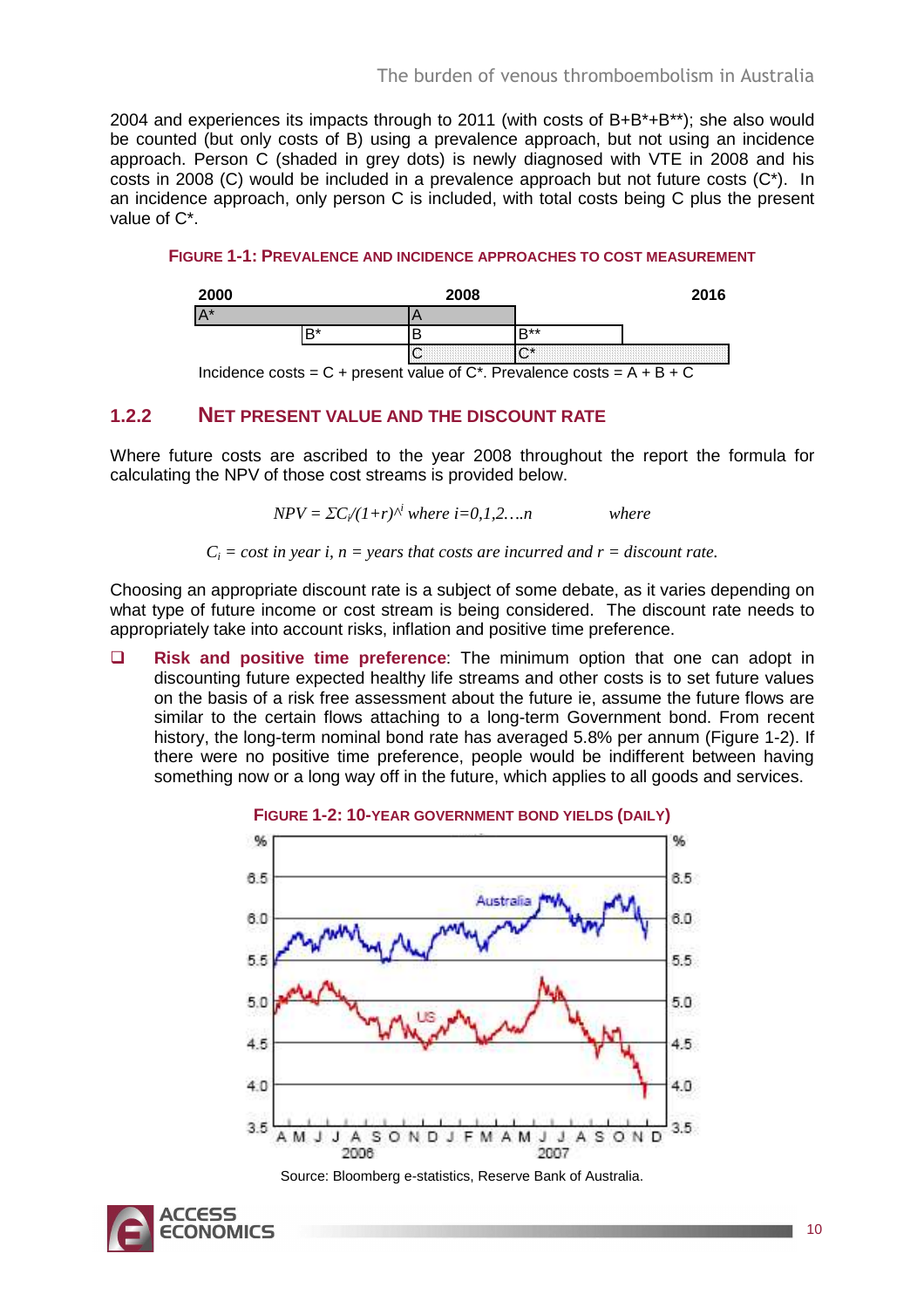2004 and experiences its impacts through to 2011 (with costs of B+B\*+B\*\*); she also would be counted (but only costs of B) using a prevalence approach, but not using an incidence approach. Person C (shaded in grey dots) is newly diagnosed with VTE in 2008 and his costs in 2008 (C) would be included in a prevalence approach but not future costs (C\*). In an incidence approach, only person C is included, with total costs being C plus the present value of C\*.

**FIGURE 1-1: PREVALENCE AND INCIDENCE APPROACHES TO COST MEASUREMENT**

| 2000  | 2008                                                                                                                  |             | 2016 |
|-------|-----------------------------------------------------------------------------------------------------------------------|-------------|------|
| $A^*$ |                                                                                                                       |             |      |
|       |                                                                                                                       | <b>D</b> ** |      |
|       | <b>La dia kaominina mpikambana mpikambana mpikambana mpikambana mpikambana mpikambana mpikambana mpikambana mpika</b> |             |      |

Incidence costs =  $C$  + present value of  $C^*$ . Prevalence costs =  $A + B + C$ 

### **1.2.2 NET PRESENT VALUE AND THE DISCOUNT RATE**

Where future costs are ascribed to the year 2008 throughout the report the formula for calculating the NPV of those cost streams is provided below.

$$
NPV = \Sigma C_i/(1+r)^{i}
$$
 where  $i=0,1,2,...n$  where

 $C_i$  = cost in year i,  $n$  = years that costs are incurred and  $r$  = discount rate.

Choosing an appropriate discount rate is a subject of some debate, as it varies depending on what type of future income or cost stream is being considered. The discount rate needs to appropriately take into account risks, inflation and positive time preference.

 **Risk and positive time preference**: The minimum option that one can adopt in discounting future expected healthy life streams and other costs is to set future values on the basis of a risk free assessment about the future ie, assume the future flows are similar to the certain flows attaching to a long-term Government bond. From recent history, the long-term nominal bond rate has averaged 5.8% per annum (Figure 1-2). If there were no positive time preference, people would be indifferent between having something now or a long way off in the future, which applies to all goods and services.



Source: Bloomberg e-statistics, Reserve Bank of Australia.

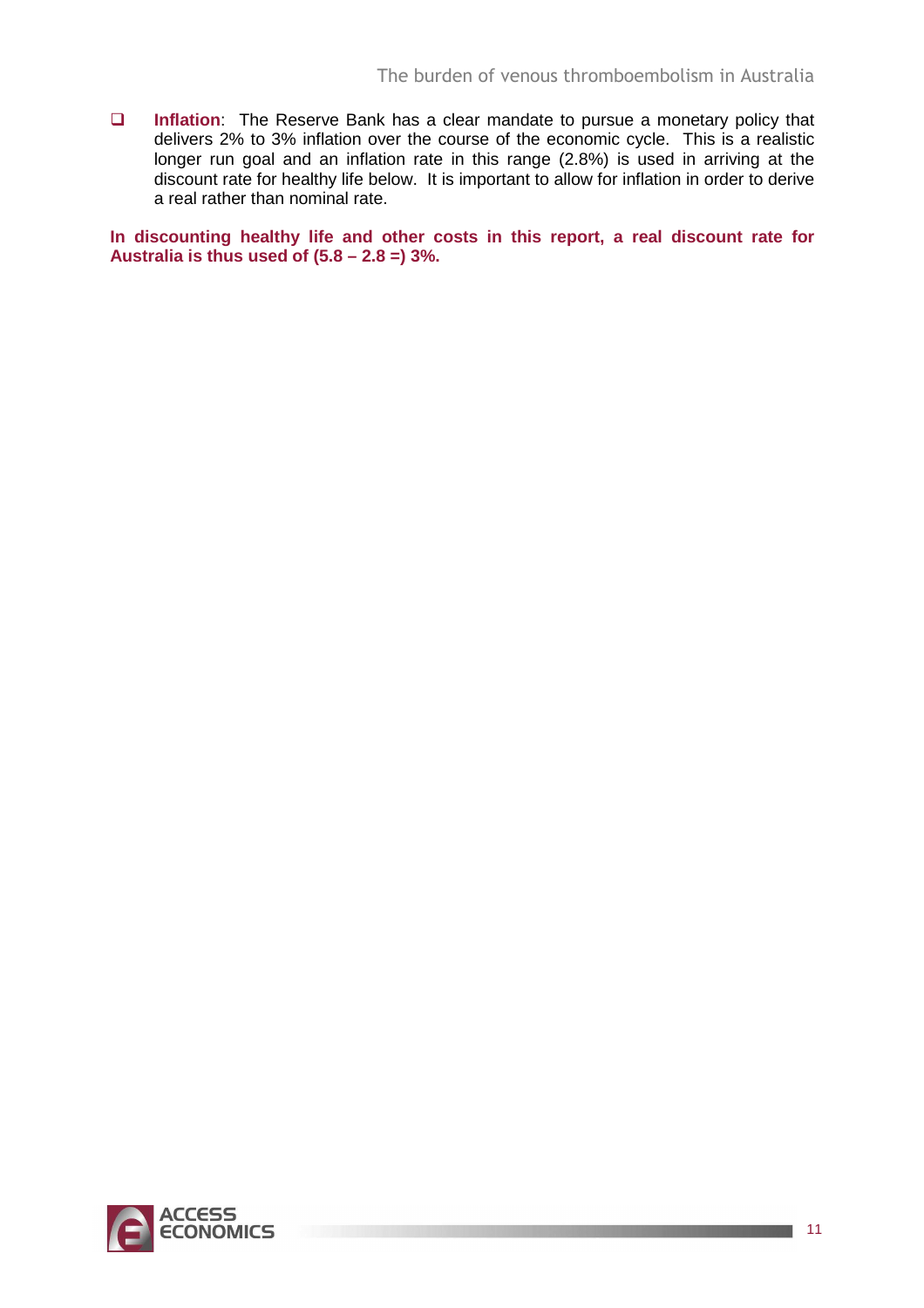**Inflation**: The Reserve Bank has a clear mandate to pursue a monetary policy that delivers 2% to 3% inflation over the course of the economic cycle. This is a realistic longer run goal and an inflation rate in this range (2.8%) is used in arriving at the discount rate for healthy life below. It is important to allow for inflation in order to derive a real rather than nominal rate.

**In discounting healthy life and other costs in this report, a real discount rate for Australia is thus used of (5.8 – 2.8 =) 3%.** 

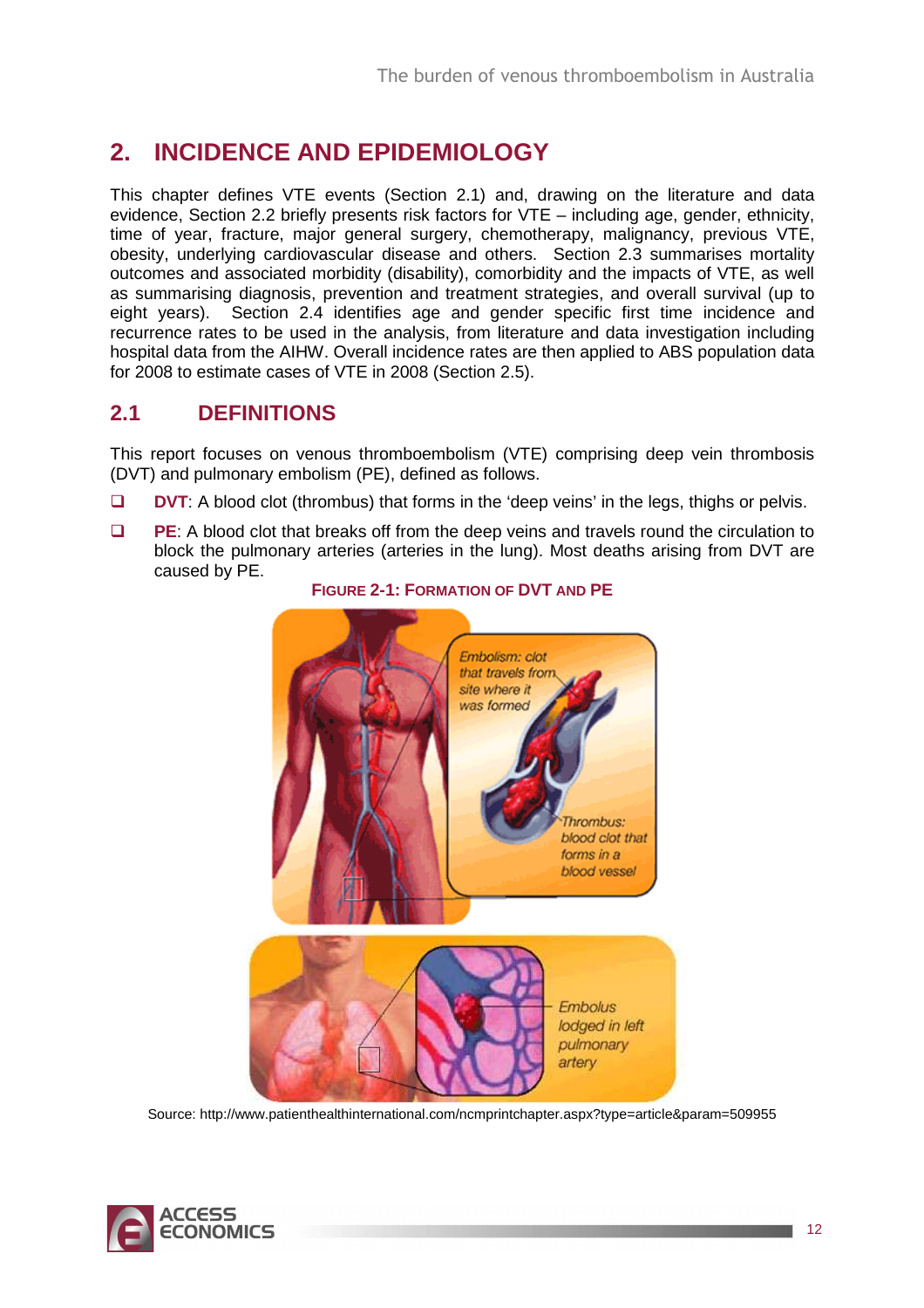## **2. INCIDENCE AND EPIDEMIOLOGY**

This chapter defines VTE events (Section 2.1) and, drawing on the literature and data evidence, Section 2.2 briefly presents risk factors for VTE – including age, gender, ethnicity, time of year, fracture, major general surgery, chemotherapy, malignancy, previous VTE, obesity, underlying cardiovascular disease and others. Section 2.3 summarises mortality outcomes and associated morbidity (disability), comorbidity and the impacts of VTE, as well as summarising diagnosis, prevention and treatment strategies, and overall survival (up to eight years). Section 2.4 identifies age and gender specific first time incidence and recurrence rates to be used in the analysis, from literature and data investigation including hospital data from the AIHW. Overall incidence rates are then applied to ABS population data for 2008 to estimate cases of VTE in 2008 (Section 2.5).

## **2.1 DEFINITIONS**

This report focuses on venous thromboembolism (VTE) comprising deep vein thrombosis (DVT) and pulmonary embolism (PE), defined as follows.

- **DVT:** A blood clot (thrombus) that forms in the 'deep veins' in the legs, thighs or pelvis.
- **PE**: A blood clot that breaks off from the deep veins and travels round the circulation to block the pulmonary arteries (arteries in the lung). Most deaths arising from DVT are caused by PE.



### **FIGURE 2-1: FORMATION OF DVT AND PE**

Source: http://www.patienthealthinternational.com/ncmprintchapter.aspx?type=article&param=509955

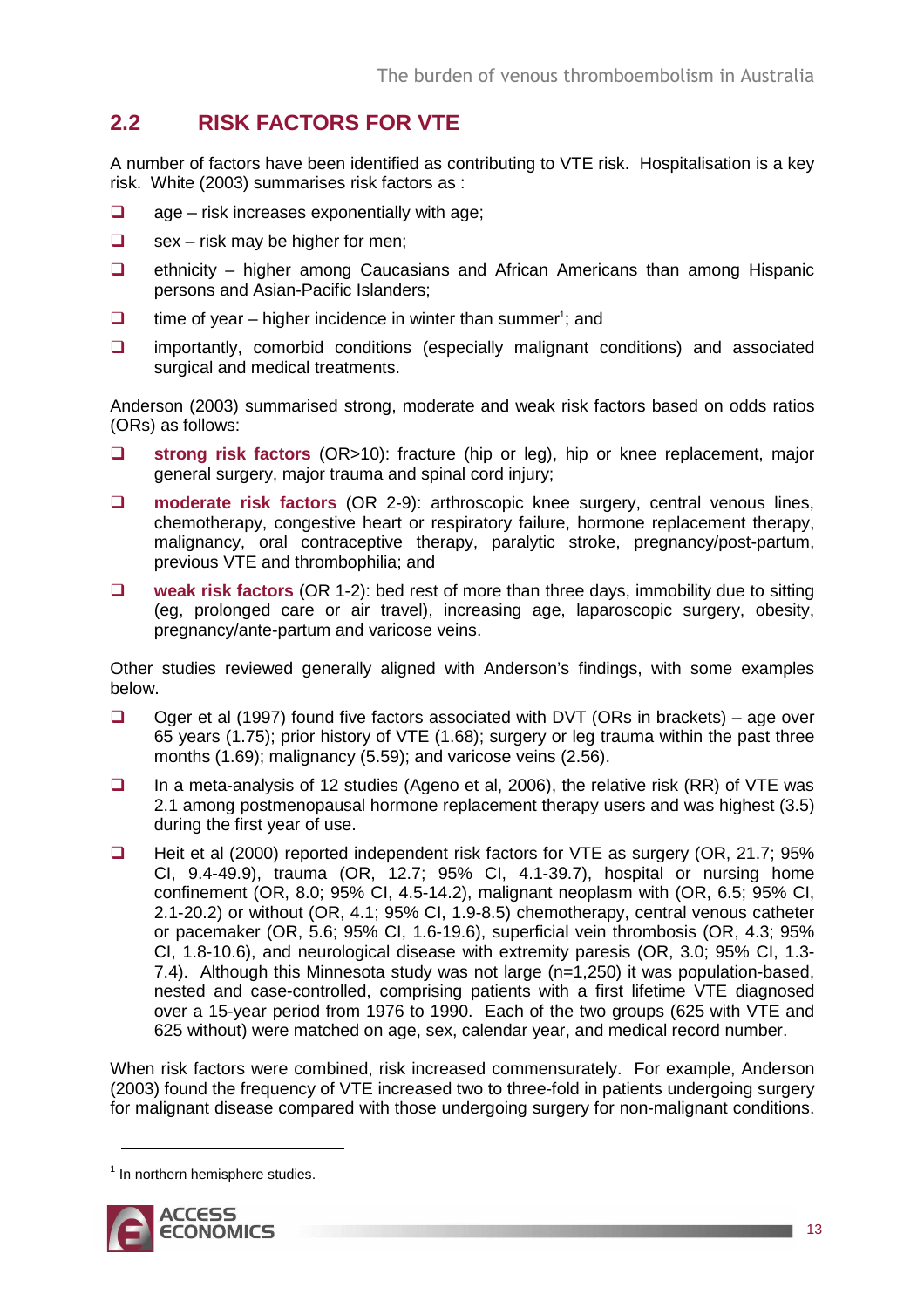## **2.2 RISK FACTORS FOR VTE**

A number of factors have been identified as contributing to VTE risk. Hospitalisation is a key risk. White (2003) summarises risk factors as :

- $\Box$  age risk increases exponentially with age;
- $\Box$  sex risk may be higher for men;
- $\Box$  ethnicity higher among Caucasians and African Americans than among Hispanic persons and Asian-Pacific Islanders;
- $\Box$  time of year higher incidence in winter than summer<sup>1</sup>; and
- $\Box$  importantly, comorbid conditions (especially malignant conditions) and associated surgical and medical treatments.

Anderson (2003) summarised strong, moderate and weak risk factors based on odds ratios (ORs) as follows:

- **strong risk factors** (OR>10): fracture (hip or leg), hip or knee replacement, major general surgery, major trauma and spinal cord injury;
- **moderate risk factors** (OR 2-9): arthroscopic knee surgery, central venous lines, chemotherapy, congestive heart or respiratory failure, hormone replacement therapy, malignancy, oral contraceptive therapy, paralytic stroke, pregnancy/post-partum, previous VTE and thrombophilia; and
- **weak risk factors** (OR 1-2): bed rest of more than three days, immobility due to sitting (eg, prolonged care or air travel), increasing age, laparoscopic surgery, obesity, pregnancy/ante-partum and varicose veins.

Other studies reviewed generally aligned with Anderson's findings, with some examples below.

- $\Box$  Oger et al (1997) found five factors associated with DVT (ORs in brackets) age over 65 years (1.75); prior history of VTE (1.68); surgery or leg trauma within the past three months (1.69); malignancy (5.59); and varicose veins (2.56).
- In a meta-analysis of 12 studies (Ageno et al, 2006), the relative risk (RR) of VTE was 2.1 among postmenopausal hormone replacement therapy users and was highest (3.5) during the first year of use.
- **Heit et al (2000) reported independent risk factors for VTE as surgery (OR, 21.7; 95%** CI, 9.4-49.9), trauma (OR, 12.7; 95% CI, 4.1-39.7), hospital or nursing home confinement (OR, 8.0; 95% CI, 4.5-14.2), malignant neoplasm with (OR, 6.5; 95% CI, 2.1-20.2) or without (OR, 4.1; 95% CI, 1.9-8.5) chemotherapy, central venous catheter or pacemaker (OR, 5.6; 95% CI, 1.6-19.6), superficial vein thrombosis (OR, 4.3; 95% CI, 1.8-10.6), and neurological disease with extremity paresis (OR, 3.0; 95% CI, 1.3- 7.4). Although this Minnesota study was not large (n=1,250) it was population-based, nested and case-controlled, comprising patients with a first lifetime VTE diagnosed over a 15-year period from 1976 to 1990. Each of the two groups (625 with VTE and 625 without) were matched on age, sex, calendar year, and medical record number.

When risk factors were combined, risk increased commensurately. For example, Anderson (2003) found the frequency of VTE increased two to three-fold in patients undergoing surgery for malignant disease compared with those undergoing surgery for non-malignant conditions.

 $<sup>1</sup>$  In northern hemisphere studies.</sup>



 $\overline{a}$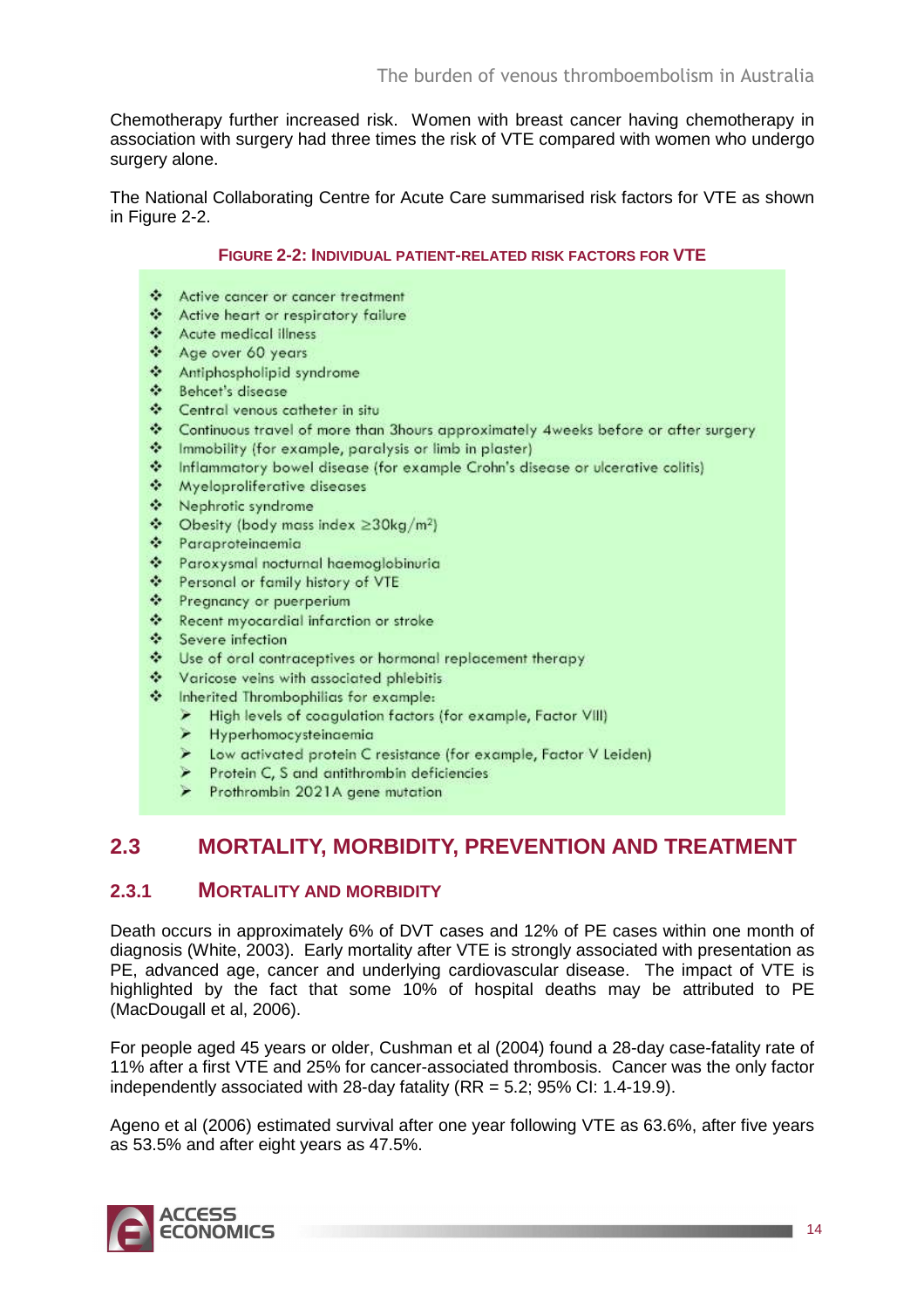Chemotherapy further increased risk. Women with breast cancer having chemotherapy in association with surgery had three times the risk of VTE compared with women who undergo surgery alone.

The National Collaborating Centre for Acute Care summarised risk factors for VTE as shown in Figure 2-2.

#### **FIGURE 2-2: INDIVIDUAL PATIENT-RELATED RISK FACTORS FOR VTE**

- Active cancer or cancer treatment
- Active heart or respiratory failure
- ❖ Acute medical illness
- Age over 60 years
- ❖ Antiphospholipid syndrome
- \* Behcet's disease
- Central venous catheter in situ
- Continuous travel of more than 3hours approximately 4weeks before or after surgery
- A Immobility (for example, paralysis or limb in plaster)
- \* Inflammatory bowel disease (for example Crohn's disease or ulcerative colitis)
- Myeloproliferative diseases
- ❖ Nephrotic syndrome
- $\div$  Obesity (body mass index  $\geq$ 30kg/m<sup>2</sup>)
- \* Paraproteinaemia
- \* Paroxysmal nocturnal haemoglobinuria
- Personal or family history of VTE
- Pregnancy or puerperium
- \* Recent myocardial infarction or stroke
- Severe infection
- Vise of oral contraceptives or hormonal replacement therapy
- Varicose veins with associated phlebitis
- the inherited Thrombophilias for example:
	- High levels of coagulation factors (for example, Factor VIII)
	- > Hyperhomocysteinaemia
	- > Low activated protein C resistance (for example, Factor V Leiden)
	- Protein C, S and antithrombin deficiencies
	- > Prothrombin 2021A gene mutation

## **2.3 MORTALITY, MORBIDITY, PREVENTION AND TREATMENT**

### **2.3.1 MORTALITY AND MORBIDITY**

Death occurs in approximately 6% of DVT cases and 12% of PE cases within one month of diagnosis (White, 2003). Early mortality after VTE is strongly associated with presentation as PE, advanced age, cancer and underlying cardiovascular disease. The impact of VTE is highlighted by the fact that some 10% of hospital deaths may be attributed to PE (MacDougall et al, 2006).

For people aged 45 years or older, Cushman et al (2004) found a 28-day case-fatality rate of 11% after a first VTE and 25% for cancer-associated thrombosis. Cancer was the only factor independently associated with 28-day fatality  $(RR = 5.2; 95\% \text{ Cl: } 1.4-19.9)$ .

Ageno et al (2006) estimated survival after one year following VTE as 63.6%, after five years as 53.5% and after eight years as 47.5%.

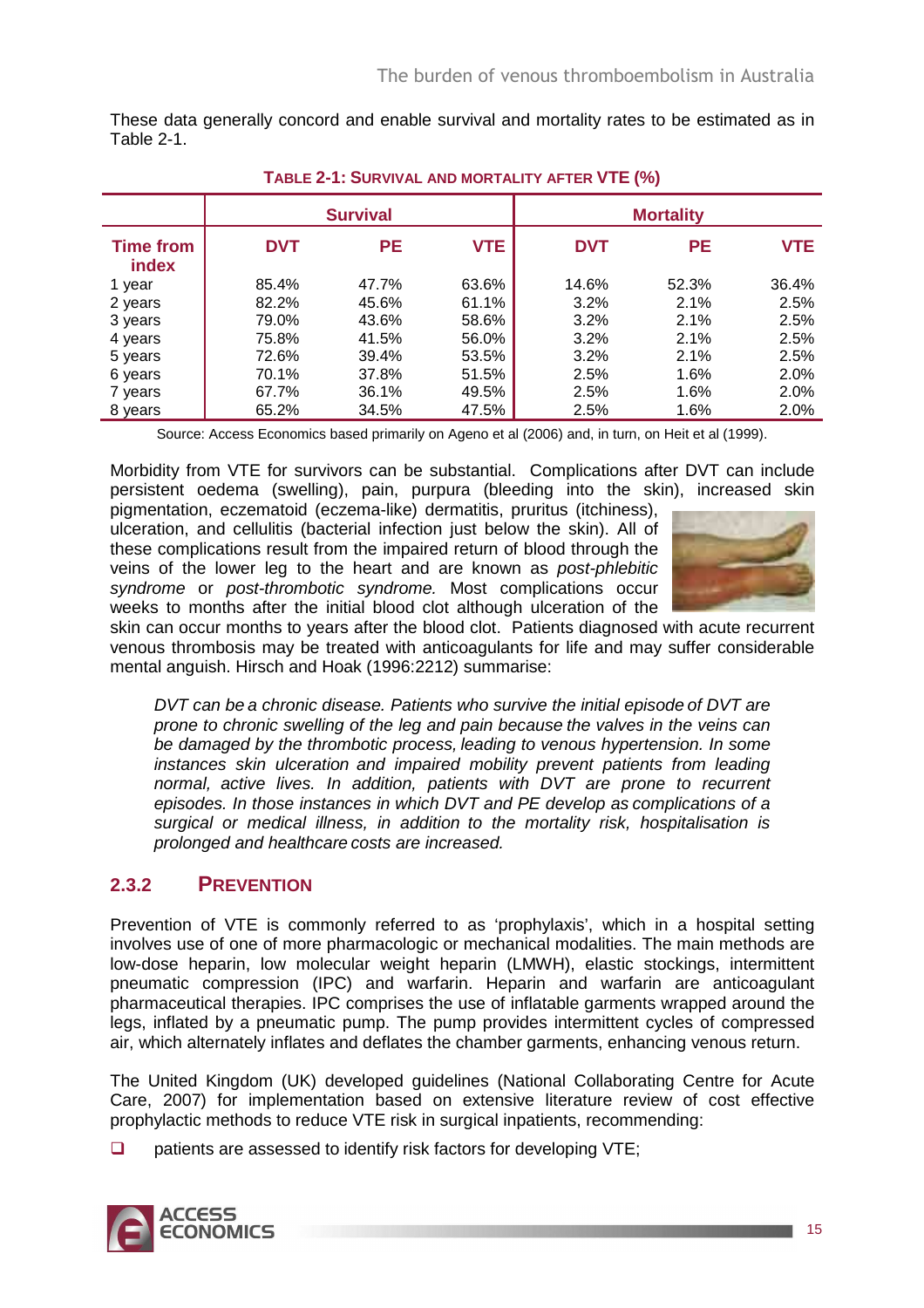These data generally concord and enable survival and mortality rates to be estimated as in Table 2-1.

|                                  |            | <b>Survival</b> |            |            | <b>Mortality</b> |            |
|----------------------------------|------------|-----------------|------------|------------|------------------|------------|
| <b>Time from</b><br><b>index</b> | <b>DVT</b> | <b>PE</b>       | <b>VTE</b> | <b>DVT</b> | <b>PE</b>        | <b>VTE</b> |
| 1 year                           | 85.4%      | 47.7%           | 63.6%      | 14.6%      | 52.3%            | 36.4%      |
| 2 years                          | 82.2%      | 45.6%           | 61.1%      | 3.2%       | 2.1%             | 2.5%       |
| 3 years                          | 79.0%      | 43.6%           | 58.6%      | 3.2%       | 2.1%             | 2.5%       |
| 4 years                          | 75.8%      | 41.5%           | 56.0%      | 3.2%       | 2.1%             | 2.5%       |
| 5 years                          | 72.6%      | 39.4%           | 53.5%      | 3.2%       | 2.1%             | 2.5%       |
| 6 years                          | 70.1%      | 37.8%           | 51.5%      | 2.5%       | 1.6%             | 2.0%       |
| 7 years                          | 67.7%      | 36.1%           | 49.5%      | 2.5%       | 1.6%             | 2.0%       |
| 8 years                          | 65.2%      | 34.5%           | 47.5%      | 2.5%       | 1.6%             | 2.0%       |

**TABLE 2-1: SURVIVAL AND MORTALITY AFTER VTE (%)** 

Source: Access Economics based primarily on Ageno et al (2006) and, in turn, on Heit et al (1999).

Morbidity from VTE for survivors can be substantial. Complications after DVT can include persistent oedema (swelling), pain, purpura (bleeding into the skin), increased skin

pigmentation, eczematoid (eczema-like) dermatitis, pruritus (itchiness), ulceration, and cellulitis (bacterial infection just below the skin). All of these complications result from the impaired return of blood through the veins of the lower leg to the heart and are known as post-phlebitic syndrome or post-thrombotic syndrome. Most complications occur weeks to months after the initial blood clot although ulceration of the



skin can occur months to years after the blood clot. Patients diagnosed with acute recurrent venous thrombosis may be treated with anticoagulants for life and may suffer considerable mental anguish. Hirsch and Hoak (1996:2212) summarise:

DVT can be a chronic disease. Patients who survive the initial episode of DVT are prone to chronic swelling of the leg and pain because the valves in the veins can be damaged by the thrombotic process, leading to venous hypertension. In some instances skin ulceration and impaired mobility prevent patients from leading normal, active lives. In addition, patients with DVT are prone to recurrent episodes. In those instances in which DVT and PE develop as complications of a surgical or medical illness, in addition to the mortality risk, hospitalisation is prolonged and healthcare costs are increased.

### **2.3.2 PREVENTION**

Prevention of VTE is commonly referred to as 'prophylaxis', which in a hospital setting involves use of one of more pharmacologic or mechanical modalities. The main methods are low-dose heparin, low molecular weight heparin (LMWH), elastic stockings, intermittent pneumatic compression (IPC) and warfarin. Heparin and warfarin are anticoagulant pharmaceutical therapies. IPC comprises the use of inflatable garments wrapped around the legs, inflated by a pneumatic pump. The pump provides intermittent cycles of compressed air, which alternately inflates and deflates the chamber garments, enhancing venous return.

The United Kingdom (UK) developed guidelines (National Collaborating Centre for Acute Care, 2007) for implementation based on extensive literature review of cost effective prophylactic methods to reduce VTE risk in surgical inpatients, recommending:

 $\Box$  patients are assessed to identify risk factors for developing VTE;

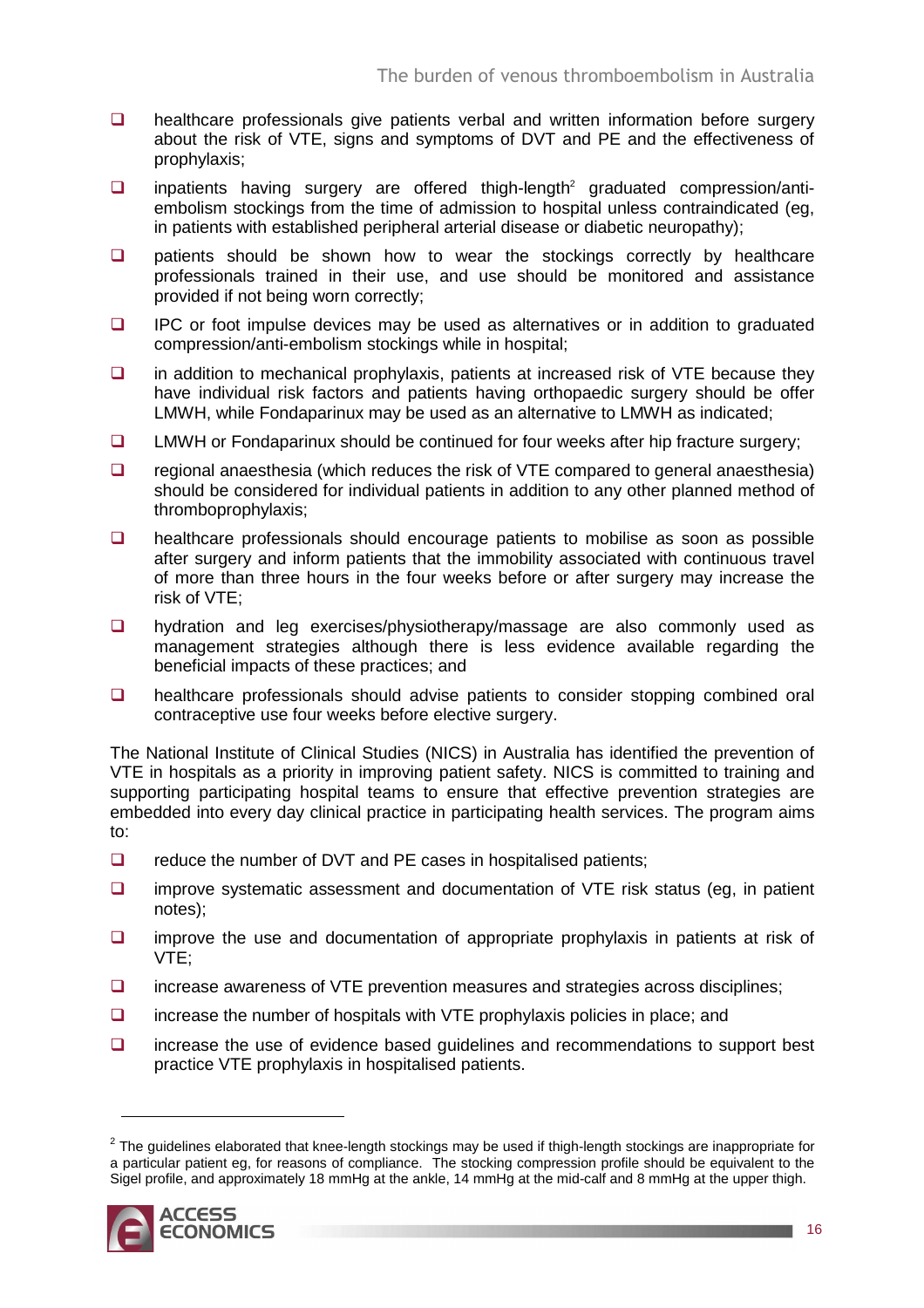- $\Box$  healthcare professionals give patients verbal and written information before surgery about the risk of VTE, signs and symptoms of DVT and PE and the effectiveness of prophylaxis;
- $\Box$  inpatients having surgery are offered thigh-length<sup>2</sup> graduated compression/antiembolism stockings from the time of admission to hospital unless contraindicated (eg, in patients with established peripheral arterial disease or diabetic neuropathy);
- $\Box$  patients should be shown how to wear the stockings correctly by healthcare professionals trained in their use, and use should be monitored and assistance provided if not being worn correctly;
- **IPC** or foot impulse devices may be used as alternatives or in addition to graduated compression/anti-embolism stockings while in hospital;
- $\Box$  in addition to mechanical prophylaxis, patients at increased risk of VTE because they have individual risk factors and patients having orthopaedic surgery should be offer LMWH, while Fondaparinux may be used as an alternative to LMWH as indicated;
- $\Box$  LMWH or Fondaparinux should be continued for four weeks after hip fracture surgery;
- $\Box$  regional anaesthesia (which reduces the risk of VTE compared to general anaesthesia) should be considered for individual patients in addition to any other planned method of thromboprophylaxis;
- $\Box$  healthcare professionals should encourage patients to mobilise as soon as possible after surgery and inform patients that the immobility associated with continuous travel of more than three hours in the four weeks before or after surgery may increase the risk of VTE;
- **D** hydration and leg exercises/physiotherapy/massage are also commonly used as management strategies although there is less evidence available regarding the beneficial impacts of these practices; and
- **Q** healthcare professionals should advise patients to consider stopping combined oral contraceptive use four weeks before elective surgery.

The National Institute of Clinical Studies (NICS) in Australia has identified the prevention of VTE in hospitals as a priority in improving patient safety. NICS is committed to training and supporting participating hospital teams to ensure that effective prevention strategies are embedded into every day clinical practice in participating health services. The program aims to:

- $\Box$  reduce the number of DVT and PE cases in hospitalised patients;
- $\Box$  improve systematic assessment and documentation of VTE risk status (eg, in patient notes);
- $\Box$  improve the use and documentation of appropriate prophylaxis in patients at risk of VTE;
- $\Box$  increase awareness of VTE prevention measures and strategies across disciplines;
- $\Box$  increase the number of hospitals with VTE prophylaxis policies in place; and
- $\Box$  increase the use of evidence based guidelines and recommendations to support best practice VTE prophylaxis in hospitalised patients.

 $^2$  The guidelines elaborated that knee-length stockings may be used if thigh-length stockings are inappropriate for a particular patient eg, for reasons of compliance. The stocking compression profile should be equivalent to the Sigel profile, and approximately 18 mmHg at the ankle, 14 mmHg at the mid-calf and 8 mmHg at the upper thigh.



 $\overline{a}$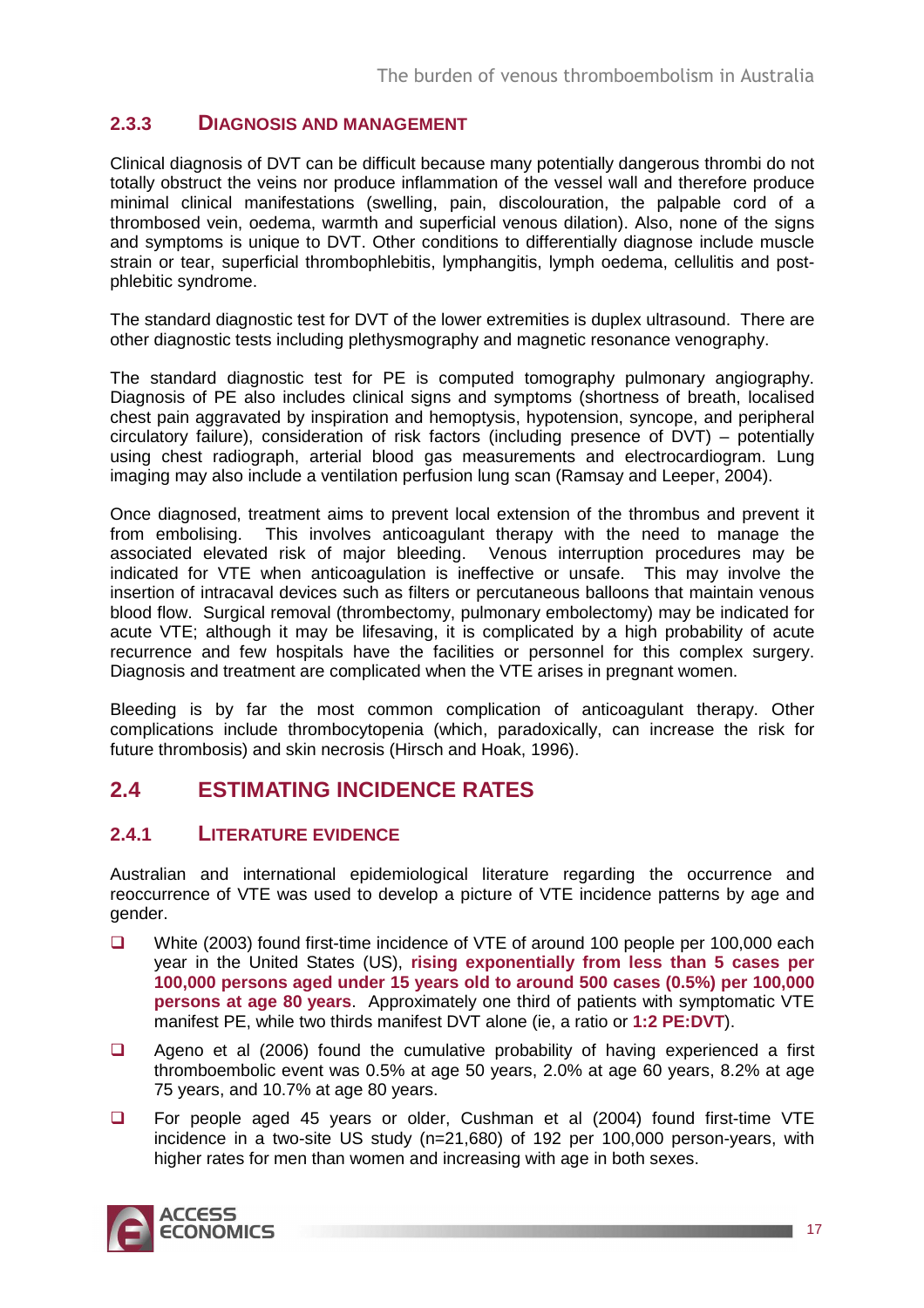### **2.3.3 DIAGNOSIS AND MANAGEMENT**

Clinical diagnosis of DVT can be difficult because many potentially dangerous thrombi do not totally obstruct the veins nor produce inflammation of the vessel wall and therefore produce minimal clinical manifestations (swelling, pain, discolouration, the palpable cord of a thrombosed vein, oedema, warmth and superficial venous dilation). Also, none of the signs and symptoms is unique to DVT. Other conditions to differentially diagnose include muscle strain or tear, superficial thrombophlebitis, lymphangitis, lymph oedema, cellulitis and postphlebitic syndrome.

The standard diagnostic test for DVT of the lower extremities is duplex ultrasound. There are other diagnostic tests including plethysmography and magnetic resonance venography.

The standard diagnostic test for PE is computed tomography pulmonary angiography. Diagnosis of PE also includes clinical signs and symptoms (shortness of breath, localised chest pain aggravated by inspiration and hemoptysis, hypotension, syncope, and peripheral circulatory failure), consideration of risk factors (including presence of DVT) – potentially using chest radiograph, arterial blood gas measurements and electrocardiogram. Lung imaging may also include a ventilation perfusion lung scan (Ramsay and Leeper, 2004).

Once diagnosed, treatment aims to prevent local extension of the thrombus and prevent it from embolising. This involves anticoagulant therapy with the need to manage the associated elevated risk of major bleeding. Venous interruption procedures may be indicated for VTE when anticoagulation is ineffective or unsafe. This may involve the insertion of intracaval devices such as filters or percutaneous balloons that maintain venous blood flow. Surgical removal (thrombectomy, pulmonary embolectomy) may be indicated for acute VTE; although it may be lifesaving, it is complicated by a high probability of acute recurrence and few hospitals have the facilities or personnel for this complex surgery. Diagnosis and treatment are complicated when the VTE arises in pregnant women.

Bleeding is by far the most common complication of anticoagulant therapy. Other complications include thrombocytopenia (which, paradoxically, can increase the risk for future thrombosis) and skin necrosis (Hirsch and Hoak, 1996).

### **2.4 ESTIMATING INCIDENCE RATES**

### **2.4.1 LITERATURE EVIDENCE**

Australian and international epidemiological literature regarding the occurrence and reoccurrence of VTE was used to develop a picture of VTE incidence patterns by age and gender.

- White (2003) found first-time incidence of VTE of around 100 people per 100,000 each year in the United States (US), **rising exponentially from less than 5 cases per 100,000 persons aged under 15 years old to around 500 cases (0.5%) per 100,000 persons at age 80 years**. Approximately one third of patients with symptomatic VTE manifest PE, while two thirds manifest DVT alone (ie, a ratio or **1:2 PE:DVT**).
- $\Box$  Ageno et al (2006) found the cumulative probability of having experienced a first thromboembolic event was 0.5% at age 50 years, 2.0% at age 60 years, 8.2% at age 75 years, and 10.7% at age 80 years.
- □ For people aged 45 years or older, Cushman et al (2004) found first-time VTE incidence in a two-site US study (n=21,680) of 192 per 100,000 person-years, with higher rates for men than women and increasing with age in both sexes.

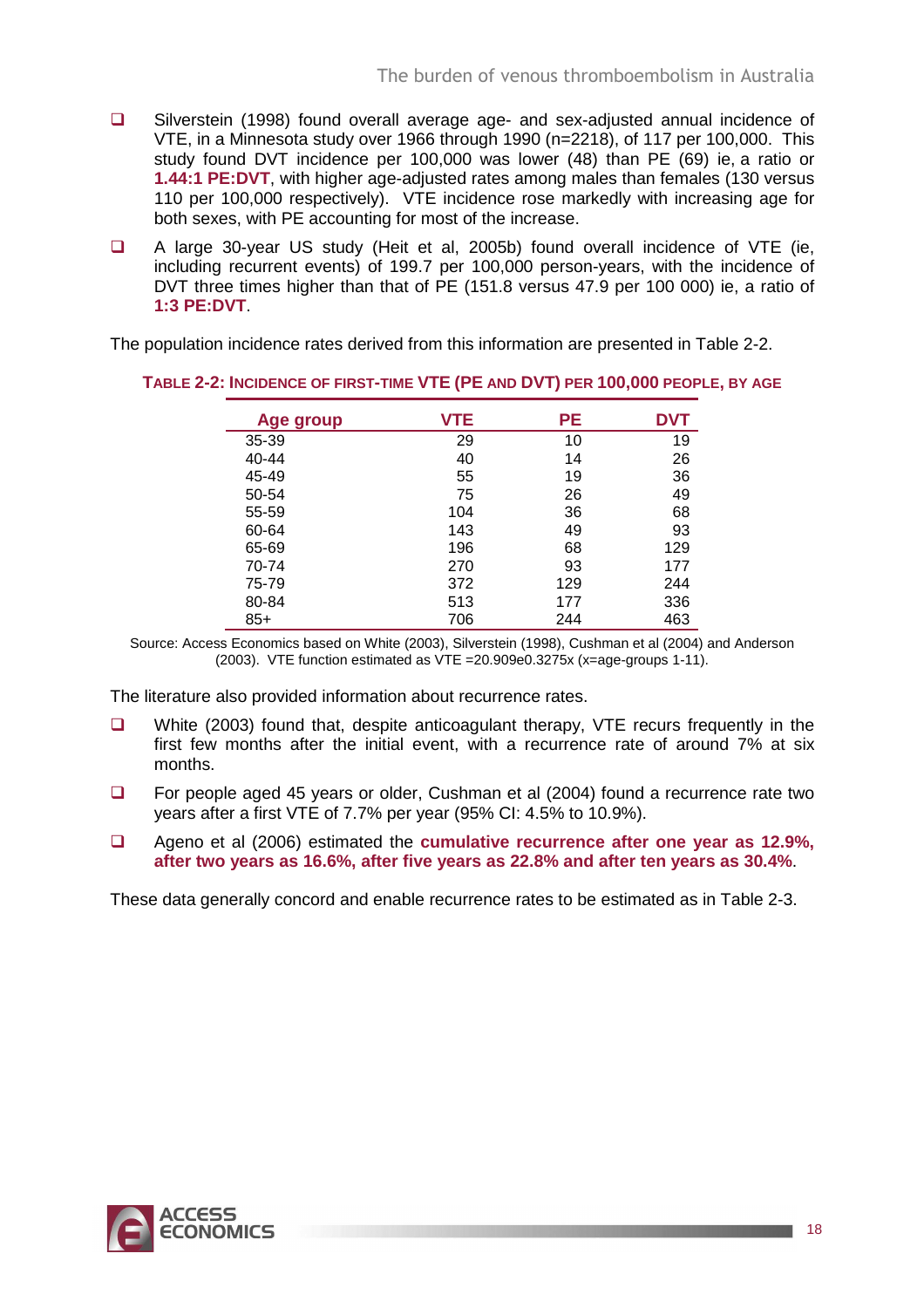- □ Silverstein (1998) found overall average age- and sex-adjusted annual incidence of VTE, in a Minnesota study over 1966 through 1990 (n=2218), of 117 per 100,000. This study found DVT incidence per 100,000 was lower (48) than PE (69) ie, a ratio or **1.44:1 PE:DVT**, with higher age-adjusted rates among males than females (130 versus 110 per 100,000 respectively). VTE incidence rose markedly with increasing age for both sexes, with PE accounting for most of the increase.
- A large 30-year US study (Heit et al, 2005b) found overall incidence of VTE (ie, including recurrent events) of 199.7 per 100,000 person-years, with the incidence of DVT three times higher than that of PE (151.8 versus 47.9 per 100 000) ie, a ratio of **1:3 PE:DVT**.

The population incidence rates derived from this information are presented in Table 2-2.

| Age group | VTE | <b>PE</b> | <b>DVT</b> |
|-----------|-----|-----------|------------|
| 35-39     | 29  | 10        | 19         |
| $40 - 44$ | 40  | 14        | 26         |
| 45-49     | 55  | 19        | 36         |
| 50-54     | 75  | 26        | 49         |
| 55-59     | 104 | 36        | 68         |
| 60-64     | 143 | 49        | 93         |
| 65-69     | 196 | 68        | 129        |
| 70-74     | 270 | 93        | 177        |
| 75-79     | 372 | 129       | 244        |
| 80-84     | 513 | 177       | 336        |
| $85+$     | 706 | 244       | 463        |

**TABLE 2-2: INCIDENCE OF FIRST-TIME VTE (PE AND DVT) PER 100,000 PEOPLE, BY AGE**

Source: Access Economics based on White (2003), Silverstein (1998), Cushman et al (2004) and Anderson (2003). VTE function estimated as VTE =20.909e0.3275x (x=age-groups 1-11).

The literature also provided information about recurrence rates.

- $\Box$  White (2003) found that, despite anticoagulant therapy, VTE recurs frequently in the first few months after the initial event, with a recurrence rate of around 7% at six months.
- □ For people aged 45 years or older, Cushman et al (2004) found a recurrence rate two years after a first VTE of 7.7% per year (95% CI: 4.5% to 10.9%).
- Ageno et al (2006) estimated the **cumulative recurrence after one year as 12.9%, after two years as 16.6%, after five years as 22.8% and after ten years as 30.4%**.

These data generally concord and enable recurrence rates to be estimated as in Table 2-3.

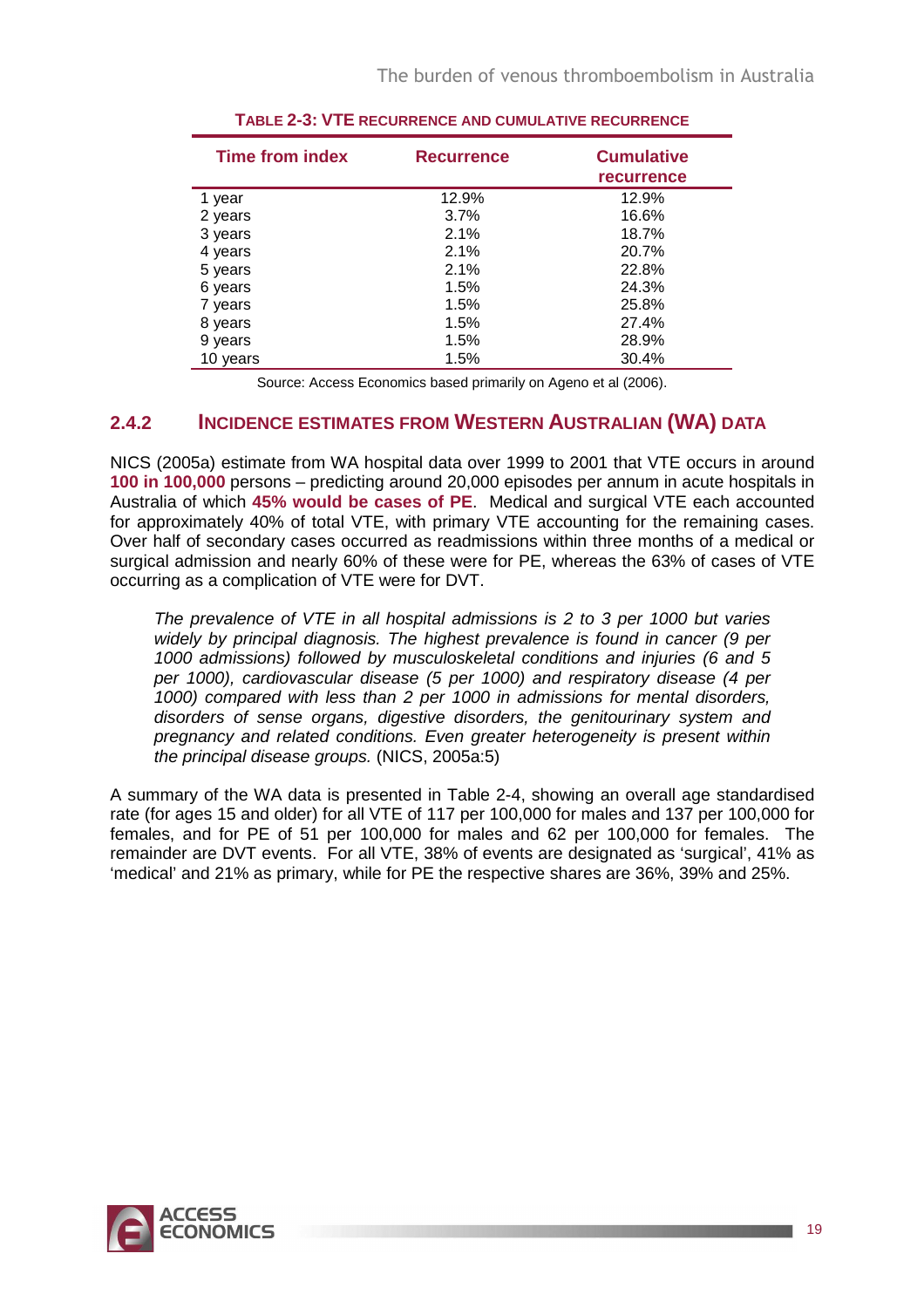| <b>Time from index</b> | <b>Recurrence</b> | <b>Cumulative</b><br><b>recurrence</b> |
|------------------------|-------------------|----------------------------------------|
| 1 year                 | 12.9%             | 12.9%                                  |
| 2 years                | 3.7%              | 16.6%                                  |
| 3 years                | 2.1%              | 18.7%                                  |
| 4 years                | 2.1%              | 20.7%                                  |
| 5 years                | 2.1%              | 22.8%                                  |
| 6 years                | 1.5%              | 24.3%                                  |
| 7 years                | 1.5%              | 25.8%                                  |
| 8 years                | 1.5%              | 27.4%                                  |
| 9 years                | 1.5%              | 28.9%                                  |
| 10 years               | 1.5%              | 30.4%                                  |

### **TABLE 2-3: VTE RECURRENCE AND CUMULATIVE RECURRENCE**

Source: Access Economics based primarily on Ageno et al (2006).

### **2.4.2 INCIDENCE ESTIMATES FROM WESTERN AUSTRALIAN (WA) DATA**

NICS (2005a) estimate from WA hospital data over 1999 to 2001 that VTE occurs in around **100 in 100,000** persons – predicting around 20,000 episodes per annum in acute hospitals in Australia of which **45% would be cases of PE**. Medical and surgical VTE each accounted for approximately 40% of total VTE, with primary VTE accounting for the remaining cases. Over half of secondary cases occurred as readmissions within three months of a medical or surgical admission and nearly 60% of these were for PE, whereas the 63% of cases of VTE occurring as a complication of VTE were for DVT.

The prevalence of VTE in all hospital admissions is 2 to 3 per 1000 but varies widely by principal diagnosis. The highest prevalence is found in cancer (9 per 1000 admissions) followed by musculoskeletal conditions and injuries (6 and 5 per 1000), cardiovascular disease (5 per 1000) and respiratory disease (4 per 1000) compared with less than 2 per 1000 in admissions for mental disorders, disorders of sense organs, digestive disorders, the genitourinary system and pregnancy and related conditions. Even greater heterogeneity is present within the principal disease groups. (NICS, 2005a:5)

A summary of the WA data is presented in Table 2-4, showing an overall age standardised rate (for ages 15 and older) for all VTE of 117 per 100,000 for males and 137 per 100,000 for females, and for PE of 51 per 100,000 for males and 62 per 100,000 for females. The remainder are DVT events. For all VTE, 38% of events are designated as 'surgical', 41% as 'medical' and 21% as primary, while for PE the respective shares are 36%, 39% and 25%.

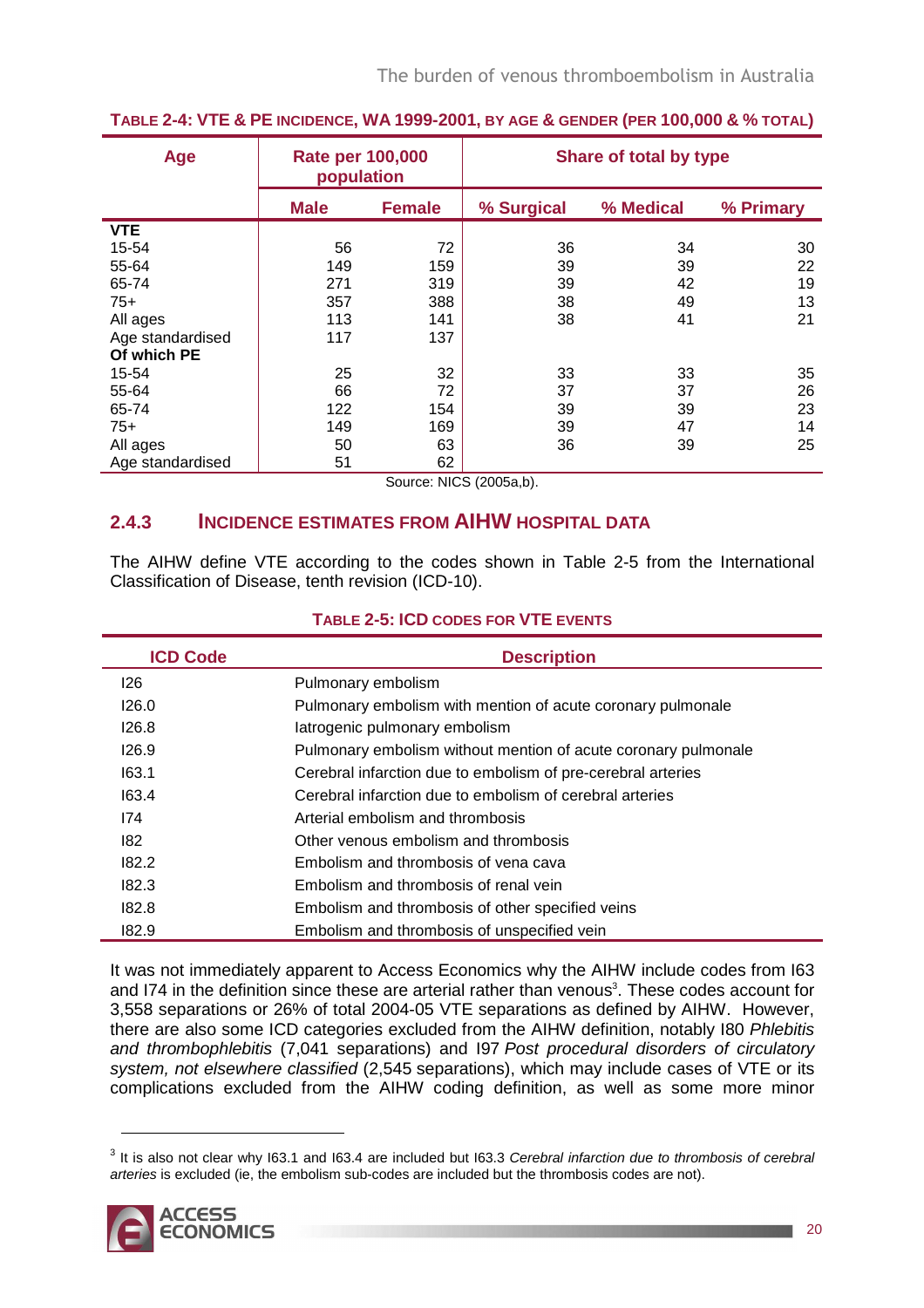| <b>Age</b>       | <b>Rate per 100,000</b><br>population |               | Share of total by type |           |           |  |
|------------------|---------------------------------------|---------------|------------------------|-----------|-----------|--|
|                  | <b>Male</b>                           | <b>Female</b> | % Surgical             | % Medical | % Primary |  |
| <b>VTE</b>       |                                       |               |                        |           |           |  |
| 15-54            | 56                                    | 72            | 36                     | 34        | 30        |  |
| 55-64            | 149                                   | 159           | 39                     | 39        | 22        |  |
| 65-74            | 271                                   | 319           | 39                     | 42        | 19        |  |
| $75+$            | 357                                   | 388           | 38                     | 49        | 13        |  |
| All ages         | 113                                   | 141           | 38                     | 41        | 21        |  |
| Age standardised | 117                                   | 137           |                        |           |           |  |
| Of which PE      |                                       |               |                        |           |           |  |
| 15-54            | 25                                    | 32            | 33                     | 33        | 35        |  |
| 55-64            | 66                                    | 72            | 37                     | 37        | 26        |  |
| 65-74            | 122                                   | 154           | 39                     | 39        | 23        |  |
| $75+$            | 149                                   | 169           | 39                     | 47        | 14        |  |
| All ages         | 50                                    | 63            | 36                     | 39        | 25        |  |
| Age standardised | 51                                    | 62            |                        |           |           |  |

### TABLE 2-4: VTE & PE INCIDENCE, WA 1999-2001, BY AGE & GENDER (PER 100,000 & % TOTAL)

Source: NICS (2005a,b).

### **2.4.3 INCIDENCE ESTIMATES FROM AIHW HOSPITAL DATA**

The AIHW define VTE according to the codes shown in Table 2-5 from the International Classification of Disease, tenth revision (ICD-10).

|  |  |  | <b>TABLE 2-5: ICD CODES FOR VTE EVENTS</b> |  |
|--|--|--|--------------------------------------------|--|
|  |  |  |                                            |  |

| <b>ICD Code</b> | <b>Description</b>                                             |
|-----------------|----------------------------------------------------------------|
| 126             | Pulmonary embolism                                             |
| 126.0           | Pulmonary embolism with mention of acute coronary pulmonale    |
| 126.8           | latrogenic pulmonary embolism                                  |
| 126.9           | Pulmonary embolism without mention of acute coronary pulmonale |
| 163.1           | Cerebral infarction due to embolism of pre-cerebral arteries   |
| 163.4           | Cerebral infarction due to embolism of cerebral arteries       |
| 174             | Arterial embolism and thrombosis                               |
| 182             | Other venous embolism and thrombosis                           |
| 182.2           | Embolism and thrombosis of vena cava                           |
| 182.3           | Embolism and thrombosis of renal vein                          |
| 182.8           | Embolism and thrombosis of other specified veins               |
| 182.9           | Embolism and thrombosis of unspecified vein                    |

It was not immediately apparent to Access Economics why the AIHW include codes from I63 and I74 in the definition since these are arterial rather than venous<sup>3</sup>. These codes account for 3,558 separations or 26% of total 2004-05 VTE separations as defined by AIHW. However, there are also some ICD categories excluded from the AIHW definition, notably I80 Phlebitis and thrombophlebitis (7,041 separations) and I97 Post procedural disorders of circulatory system, not elsewhere classified (2,545 separations), which may include cases of VTE or its complications excluded from the AIHW coding definition, as well as some more minor

 $3$  It is also not clear why 163.1 and 163.4 are included but 163.3 Cerebral infarction due to thrombosis of cerebral arteries is excluded (ie, the embolism sub-codes are included but the thrombosis codes are not).

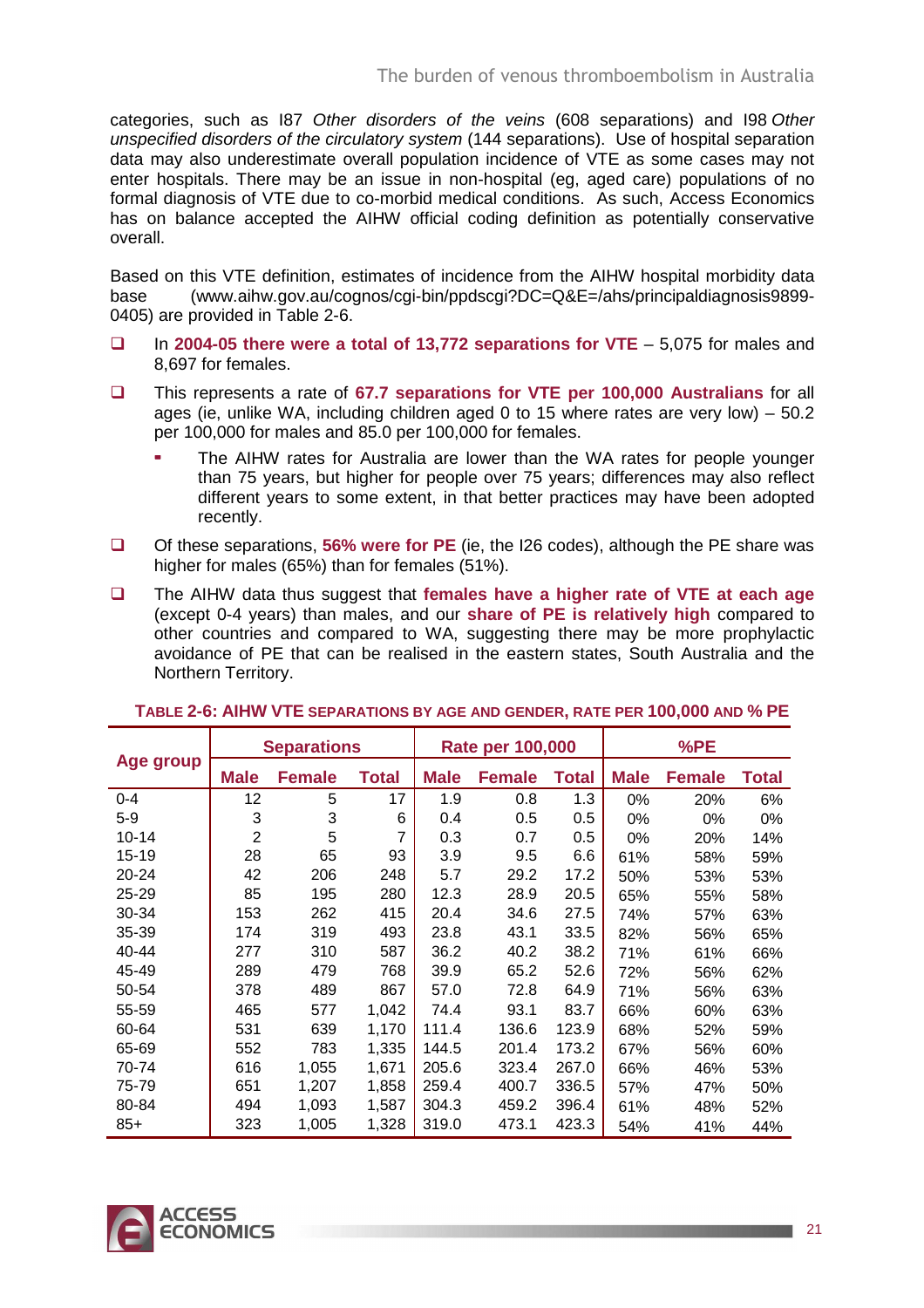categories, such as I87 Other disorders of the veins (608 separations) and I98 Other unspecified disorders of the circulatory system (144 separations). Use of hospital separation data may also underestimate overall population incidence of VTE as some cases may not enter hospitals. There may be an issue in non-hospital (eg, aged care) populations of no formal diagnosis of VTE due to co-morbid medical conditions. As such, Access Economics has on balance accepted the AIHW official coding definition as potentially conservative overall.

Based on this VTE definition, estimates of incidence from the AIHW hospital morbidity data base (www.aihw.gov.au/cognos/cgi-bin/ppdscgi?DC=Q&E=/ahs/principaldiagnosis9899- 0405) are provided in Table 2-6.

- In **2004-05 there were a total of 13,772 separations for VTE** 5,075 for males and 8,697 for females.
- This represents a rate of **67.7 separations for VTE per 100,000 Australians** for all ages (ie, unlike WA, including children aged 0 to 15 where rates are very low) – 50.2 per 100,000 for males and 85.0 per 100,000 for females.
	- The AIHW rates for Australia are lower than the WA rates for people younger than 75 years, but higher for people over 75 years; differences may also reflect different years to some extent, in that better practices may have been adopted recently.
- Of these separations, **56% were for PE** (ie, the I26 codes), although the PE share was higher for males (65%) than for females (51%).
- The AIHW data thus suggest that **females have a higher rate of VTE at each age** (except 0-4 years) than males, and our **share of PE is relatively high** compared to other countries and compared to WA, suggesting there may be more prophylactic avoidance of PE that can be realised in the eastern states, South Australia and the Northern Territory.

|           | <b>Separations</b> |               |       | <b>Rate per 100,000</b> |               |              | %PE         |               |       |
|-----------|--------------------|---------------|-------|-------------------------|---------------|--------------|-------------|---------------|-------|
| Age group | <b>Male</b>        | <b>Female</b> | Total | <b>Male</b>             | <b>Female</b> | <b>Total</b> | <b>Male</b> | <b>Female</b> | Total |
| $0 - 4$   | 12                 | 5             | 17    | 1.9                     | 0.8           | 1.3          | 0%          | 20%           | 6%    |
| $5-9$     | 3                  | 3             | 6     | 0.4                     | 0.5           | 0.5          | 0%          | 0%            | 0%    |
| $10 - 14$ | $\overline{2}$     | 5             | 7     | 0.3                     | 0.7           | 0.5          | $0\%$       | 20%           | 14%   |
| $15 - 19$ | 28                 | 65            | 93    | 3.9                     | 9.5           | 6.6          | 61%         | 58%           | 59%   |
| 20-24     | 42                 | 206           | 248   | 5.7                     | 29.2          | 17.2         | 50%         | 53%           | 53%   |
| 25-29     | 85                 | 195           | 280   | 12.3                    | 28.9          | 20.5         | 65%         | 55%           | 58%   |
| 30-34     | 153                | 262           | 415   | 20.4                    | 34.6          | 27.5         | 74%         | 57%           | 63%   |
| $35 - 39$ | 174                | 319           | 493   | 23.8                    | 43.1          | 33.5         | 82%         | 56%           | 65%   |
| 40-44     | 277                | 310           | 587   | 36.2                    | 40.2          | 38.2         | 71%         | 61%           | 66%   |
| 45-49     | 289                | 479           | 768   | 39.9                    | 65.2          | 52.6         | 72%         | 56%           | 62%   |
| 50-54     | 378                | 489           | 867   | 57.0                    | 72.8          | 64.9         | 71%         | 56%           | 63%   |
| 55-59     | 465                | 577           | 1,042 | 74.4                    | 93.1          | 83.7         | 66%         | 60%           | 63%   |
| 60-64     | 531                | 639           | 1,170 | 111.4                   | 136.6         | 123.9        | 68%         | 52%           | 59%   |
| 65-69     | 552                | 783           | 1,335 | 144.5                   | 201.4         | 173.2        | 67%         | 56%           | 60%   |
| 70-74     | 616                | 1,055         | 1,671 | 205.6                   | 323.4         | 267.0        | 66%         | 46%           | 53%   |
| 75-79     | 651                | 1,207         | 1,858 | 259.4                   | 400.7         | 336.5        | 57%         | 47%           | 50%   |
| 80-84     | 494                | 1,093         | 1,587 | 304.3                   | 459.2         | 396.4        | 61%         | 48%           | 52%   |
| $85+$     | 323                | 1,005         | 1,328 | 319.0                   | 473.1         | 423.3        | 54%         | 41%           | 44%   |

#### **TABLE 2-6: AIHW VTE SEPARATIONS BY AGE AND GENDER, RATE PER 100,000 AND % PE**

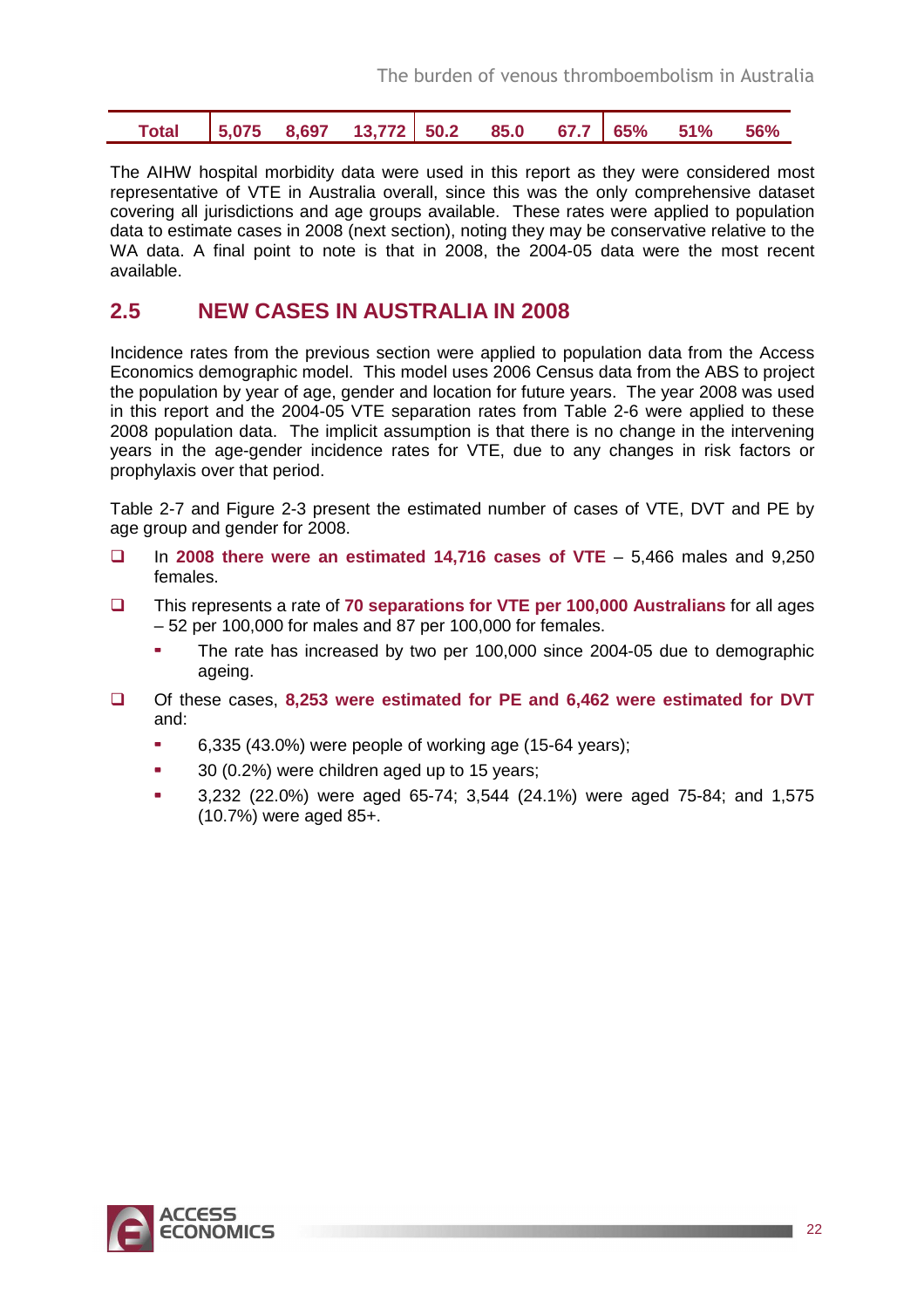| Total   5,075 8,697 13,772   50.2 85.0 67.7   65% 51% 56% |  |  |  |  |  |  |  |  |  |
|-----------------------------------------------------------|--|--|--|--|--|--|--|--|--|
|-----------------------------------------------------------|--|--|--|--|--|--|--|--|--|

The AIHW hospital morbidity data were used in this report as they were considered most representative of VTE in Australia overall, since this was the only comprehensive dataset covering all jurisdictions and age groups available. These rates were applied to population data to estimate cases in 2008 (next section), noting they may be conservative relative to the WA data. A final point to note is that in 2008, the 2004-05 data were the most recent available.

### **2.5 NEW CASES IN AUSTRALIA IN 2008**

Incidence rates from the previous section were applied to population data from the Access Economics demographic model. This model uses 2006 Census data from the ABS to project the population by year of age, gender and location for future years. The year 2008 was used in this report and the 2004-05 VTE separation rates from Table 2-6 were applied to these 2008 population data. The implicit assumption is that there is no change in the intervening years in the age-gender incidence rates for VTE, due to any changes in risk factors or prophylaxis over that period.

Table 2-7 and Figure 2-3 present the estimated number of cases of VTE, DVT and PE by age group and gender for 2008.

- In **2008 there were an estimated 14,716 cases of VTE** 5,466 males and 9,250 females.
- This represents a rate of **70 separations for VTE per 100,000 Australians** for all ages – 52 per 100,000 for males and 87 per 100,000 for females.
	- The rate has increased by two per 100,000 since 2004-05 due to demographic ageing.
- Of these cases, **8,253 were estimated for PE and 6,462 were estimated for DVT** and:
	- $\sim$  6,335 (43.0%) were people of working age (15-64 years);
	- 30 (0.2%) were children aged up to 15 years;
	- 3,232 (22.0%) were aged 65-74; 3,544 (24.1%) were aged 75-84; and 1,575 (10.7%) were aged 85+.

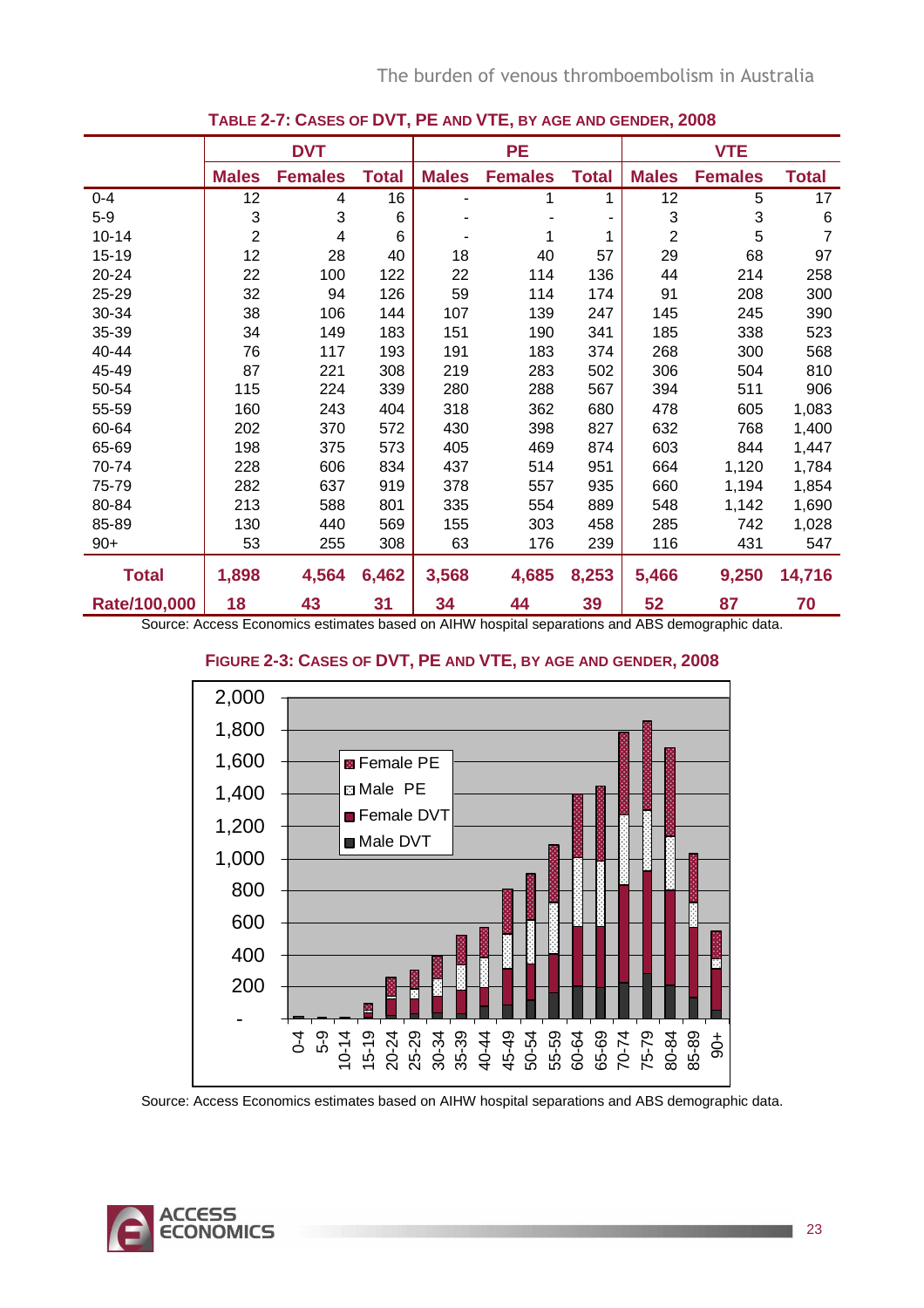|              | <b>DVT</b>     |                |              |              | <b>PE</b>      |              |                | <b>VTE</b>     |              |  |
|--------------|----------------|----------------|--------------|--------------|----------------|--------------|----------------|----------------|--------------|--|
|              | <b>Males</b>   | <b>Females</b> | <b>Total</b> | <b>Males</b> | <b>Females</b> | <b>Total</b> | <b>Males</b>   | <b>Females</b> | <b>Total</b> |  |
| $0 - 4$      | 12             | 4              | 16           |              |                | 1            | 12             | 5              | 17           |  |
| $5 - 9$      | 3              | 3              | 6            |              |                |              | 3              | 3              | 6            |  |
| $10 - 14$    | $\overline{2}$ | 4              | 6            |              |                | 1            | $\overline{2}$ | 5              | 7            |  |
| $15 - 19$    | 12             | 28             | 40           | 18           | 40             | 57           | 29             | 68             | 97           |  |
| 20-24        | 22             | 100            | 122          | 22           | 114            | 136          | 44             | 214            | 258          |  |
| 25-29        | 32             | 94             | 126          | 59           | 114            | 174          | 91             | 208            | 300          |  |
| 30-34        | 38             | 106            | 144          | 107          | 139            | 247          | 145            | 245            | 390          |  |
| 35-39        | 34             | 149            | 183          | 151          | 190            | 341          | 185            | 338            | 523          |  |
| 40-44        | 76             | 117            | 193          | 191          | 183            | 374          | 268            | 300            | 568          |  |
| 45-49        | 87             | 221            | 308          | 219          | 283            | 502          | 306            | 504            | 810          |  |
| 50-54        | 115            | 224            | 339          | 280          | 288            | 567          | 394            | 511            | 906          |  |
| 55-59        | 160            | 243            | 404          | 318          | 362            | 680          | 478            | 605            | 1,083        |  |
| 60-64        | 202            | 370            | 572          | 430          | 398            | 827          | 632            | 768            | 1,400        |  |
| 65-69        | 198            | 375            | 573          | 405          | 469            | 874          | 603            | 844            | 1,447        |  |
| 70-74        | 228            | 606            | 834          | 437          | 514            | 951          | 664            | 1,120          | 1,784        |  |
| 75-79        | 282            | 637            | 919          | 378          | 557            | 935          | 660            | 1,194          | 1,854        |  |
| 80-84        | 213            | 588            | 801          | 335          | 554            | 889          | 548            | 1,142          | 1,690        |  |
| 85-89        | 130            | 440            | 569          | 155          | 303            | 458          | 285            | 742            | 1,028        |  |
| $90+$        | 53             | 255            | 308          | 63           | 176            | 239          | 116            | 431            | 547          |  |
| <b>Total</b> | 1,898          | 4,564          | 6,462        | 3,568        | 4,685          | 8,253        | 5,466          | 9,250          | 14,716       |  |
| Rate/100,000 | 18             | 43             | 31           | 34           | 44             | 39           | 52             | 87             | 70           |  |

### **TABLE 2-7: CASES OF DVT, PE AND VTE, BY AGE AND GENDER, 2008**

Source: Access Economics estimates based on AIHW hospital separations and ABS demographic data.

### **FIGURE 2-3: CASES OF DVT, PE AND VTE, BY AGE AND GENDER, 2008**



Source: Access Economics estimates based on AIHW hospital separations and ABS demographic data.

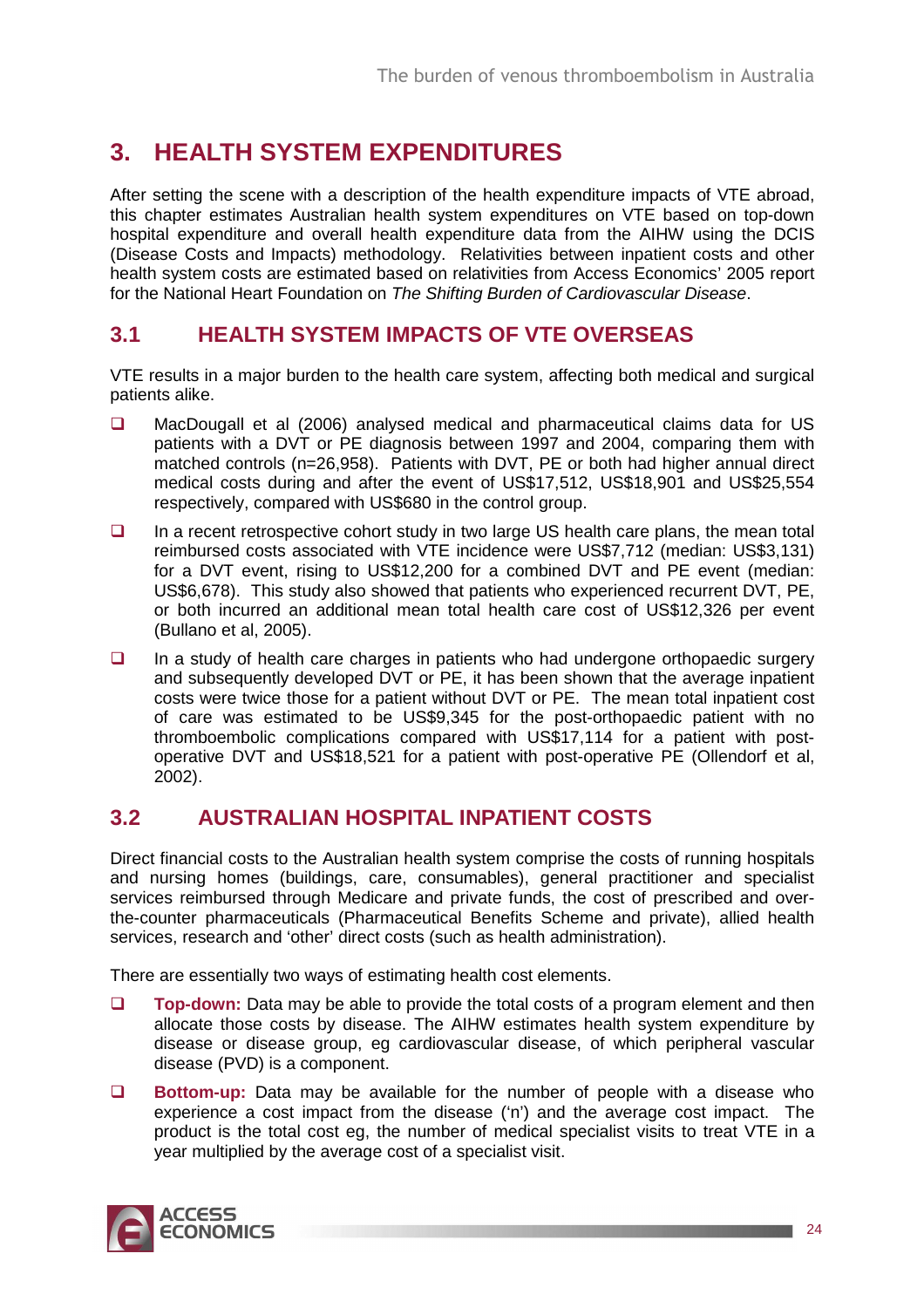## **3. HEALTH SYSTEM EXPENDITURES**

After setting the scene with a description of the health expenditure impacts of VTE abroad, this chapter estimates Australian health system expenditures on VTE based on top-down hospital expenditure and overall health expenditure data from the AIHW using the DCIS (Disease Costs and Impacts) methodology. Relativities between inpatient costs and other health system costs are estimated based on relativities from Access Economics' 2005 report for the National Heart Foundation on The Shifting Burden of Cardiovascular Disease.

## **3.1 HEALTH SYSTEM IMPACTS OF VTE OVERSEAS**

VTE results in a major burden to the health care system, affecting both medical and surgical patients alike.

- □ MacDougall et al (2006) analysed medical and pharmaceutical claims data for US patients with a DVT or PE diagnosis between 1997 and 2004, comparing them with matched controls (n=26,958). Patients with DVT, PE or both had higher annual direct medical costs during and after the event of US\$17,512, US\$18,901 and US\$25,554 respectively, compared with US\$680 in the control group.
- $\Box$  In a recent retrospective cohort study in two large US health care plans, the mean total reimbursed costs associated with VTE incidence were US\$7,712 (median: US\$3,131) for a DVT event, rising to US\$12,200 for a combined DVT and PE event (median: US\$6,678). This study also showed that patients who experienced recurrent DVT, PE, or both incurred an additional mean total health care cost of US\$12,326 per event (Bullano et al, 2005).
- $\Box$  In a study of health care charges in patients who had undergone orthopaedic surgery and subsequently developed DVT or PE, it has been shown that the average inpatient costs were twice those for a patient without DVT or PE. The mean total inpatient cost of care was estimated to be US\$9,345 for the post-orthopaedic patient with no thromboembolic complications compared with US\$17,114 for a patient with postoperative DVT and US\$18,521 for a patient with post-operative PE (Ollendorf et al, 2002).

## **3.2 AUSTRALIAN HOSPITAL INPATIENT COSTS**

Direct financial costs to the Australian health system comprise the costs of running hospitals and nursing homes (buildings, care, consumables), general practitioner and specialist services reimbursed through Medicare and private funds, the cost of prescribed and overthe-counter pharmaceuticals (Pharmaceutical Benefits Scheme and private), allied health services, research and 'other' direct costs (such as health administration).

There are essentially two ways of estimating health cost elements.

- **Top-down:** Data may be able to provide the total costs of a program element and then allocate those costs by disease. The AIHW estimates health system expenditure by disease or disease group, eg cardiovascular disease, of which peripheral vascular disease (PVD) is a component.
- **Bottom-up:** Data may be available for the number of people with a disease who experience a cost impact from the disease ('n') and the average cost impact. The product is the total cost eg, the number of medical specialist visits to treat VTE in a year multiplied by the average cost of a specialist visit.

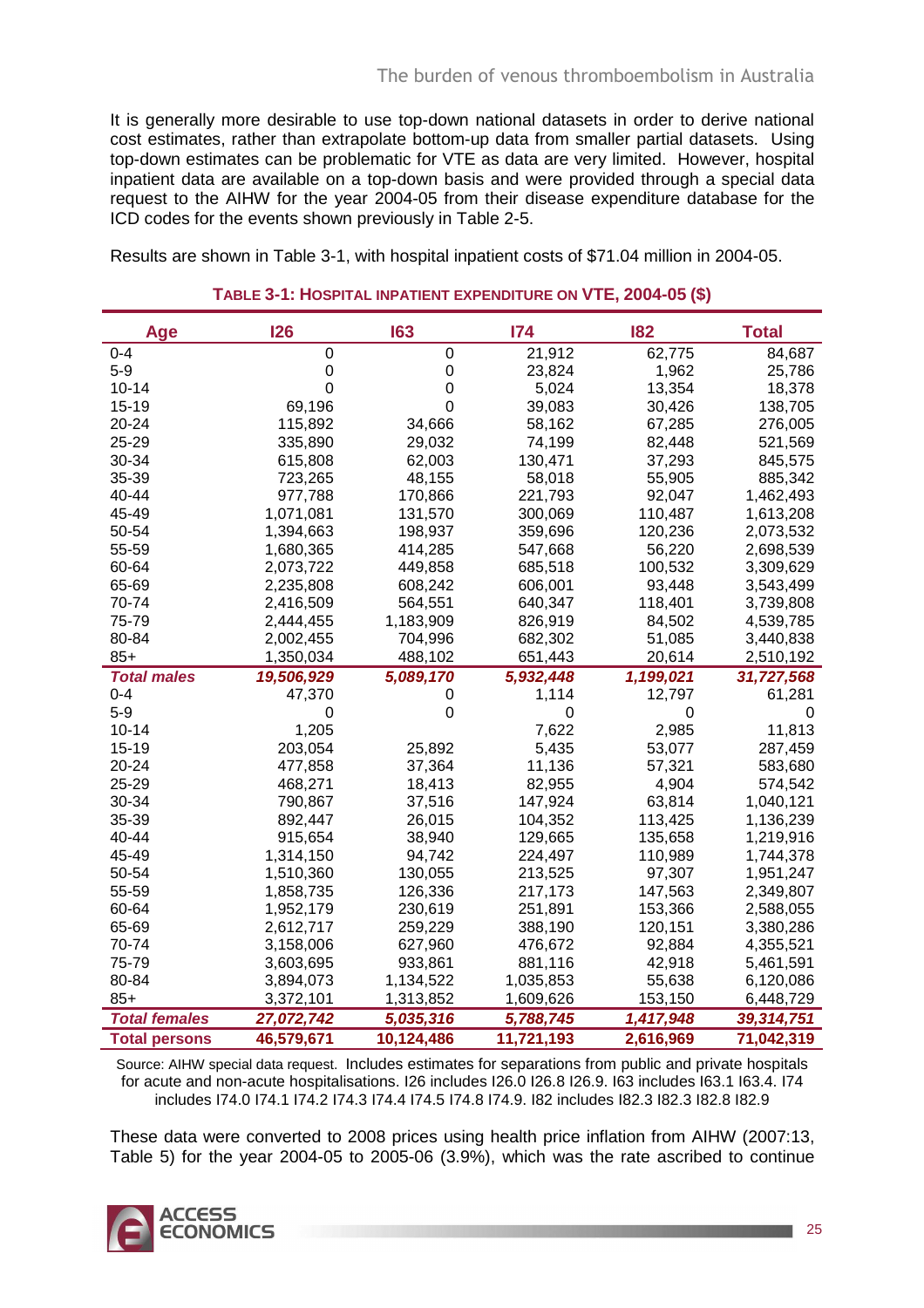It is generally more desirable to use top-down national datasets in order to derive national cost estimates, rather than extrapolate bottom-up data from smaller partial datasets. Using top-down estimates can be problematic for VTE as data are very limited. However, hospital inpatient data are available on a top-down basis and were provided through a special data request to the AIHW for the year 2004-05 from their disease expenditure database for the ICD codes for the events shown previously in Table 2-5.

Results are shown in Table 3-1, with hospital inpatient costs of \$71.04 million in 2004-05.

| Age                  | <b>126</b>     | 163        | 174         | 182       | <b>Total</b> |
|----------------------|----------------|------------|-------------|-----------|--------------|
| $0 - 4$              | 0              | 0          | 21,912      | 62,775    | 84,687       |
| $5-9$                | 0              | 0          | 23,824      | 1,962     | 25,786       |
| $10 - 14$            | $\overline{0}$ | 0          | 5,024       | 13,354    | 18,378       |
| 15-19                | 69,196         | 0          | 39,083      | 30,426    | 138,705      |
| 20-24                | 115,892        | 34,666     | 58,162      | 67,285    | 276,005      |
| 25-29                | 335,890        | 29,032     | 74,199      | 82,448    | 521,569      |
| 30-34                | 615,808        | 62,003     | 130,471     | 37,293    | 845,575      |
| 35-39                | 723,265        | 48,155     | 58,018      | 55,905    | 885,342      |
| 40-44                | 977,788        | 170,866    | 221,793     | 92,047    | 1,462,493    |
| 45-49                | 1,071,081      | 131,570    | 300,069     | 110,487   | 1,613,208    |
| 50-54                | 1,394,663      | 198,937    | 359,696     | 120,236   | 2,073,532    |
| 55-59                | 1,680,365      | 414,285    | 547,668     | 56,220    | 2,698,539    |
| 60-64                | 2,073,722      | 449,858    | 685,518     | 100,532   | 3,309,629    |
| 65-69                | 2,235,808      | 608,242    | 606,001     | 93,448    | 3,543,499    |
| 70-74                | 2,416,509      | 564,551    | 640,347     | 118,401   | 3,739,808    |
| 75-79                | 2,444,455      | 1,183,909  | 826,919     | 84,502    | 4,539,785    |
| 80-84                | 2,002,455      | 704,996    | 682,302     | 51,085    | 3,440,838    |
| $85+$                | 1,350,034      | 488,102    | 651,443     | 20,614    | 2,510,192    |
| <b>Total males</b>   | 19,506,929     | 5,089,170  | 5,932,448   | 1,199,021 | 31,727,568   |
| $0 - 4$              | 47,370         | 0          | 1,114       | 12,797    | 61,281       |
| $5-9$                | 0              | 0          | $\mathbf 0$ | 0         | 0            |
| $10 - 14$            | 1,205          |            | 7,622       | 2,985     | 11,813       |
| $15 - 19$            | 203,054        | 25,892     | 5,435       | 53,077    | 287,459      |
| 20-24                | 477,858        | 37,364     | 11,136      | 57,321    | 583,680      |
| 25-29                | 468,271        | 18,413     | 82,955      | 4,904     | 574,542      |
| 30-34                | 790,867        | 37,516     | 147,924     | 63,814    | 1,040,121    |
| 35-39                | 892,447        | 26,015     | 104,352     | 113,425   | 1,136,239    |
| 40-44                | 915,654        | 38,940     | 129,665     | 135,658   | 1,219,916    |
| 45-49                | 1,314,150      | 94,742     | 224,497     | 110,989   | 1,744,378    |
| 50-54                | 1,510,360      | 130,055    | 213,525     | 97,307    | 1,951,247    |
| 55-59                | 1,858,735      | 126,336    | 217,173     | 147,563   | 2,349,807    |
| 60-64                | 1,952,179      | 230,619    | 251,891     | 153,366   | 2,588,055    |
| 65-69                | 2,612,717      | 259,229    | 388,190     | 120,151   | 3,380,286    |
| 70-74                | 3,158,006      | 627,960    | 476,672     | 92,884    | 4,355,521    |
| 75-79                | 3,603,695      | 933,861    | 881,116     | 42,918    | 5,461,591    |
| 80-84                | 3,894,073      | 1,134,522  | 1,035,853   | 55,638    | 6,120,086    |
| $85+$                | 3,372,101      | 1,313,852  | 1,609,626   | 153,150   | 6,448,729    |
| <b>Total females</b> | 27,072,742     | 5,035,316  | 5,788,745   | 1,417,948 | 39,314,751   |
| <b>Total persons</b> | 46,579,671     | 10,124,486 | 11,721,193  | 2,616,969 | 71,042,319   |

#### **TABLE 3-1: HOSPITAL INPATIENT EXPENDITURE ON VTE, 2004-05 (\$)**

Source: AIHW special data request. Includes estimates for separations from public and private hospitals for acute and non-acute hospitalisations. I26 includes I26.0 I26.8 I26.9. I63 includes I63.1 I63.4. I74 includes I74.0 I74.1 I74.2 I74.3 I74.4 I74.5 I74.8 I74.9. I82 includes I82.3 I82.3 I82.8 I82.9

These data were converted to 2008 prices using health price inflation from AIHW (2007:13, Table 5) for the year 2004-05 to 2005-06 (3.9%), which was the rate ascribed to continue

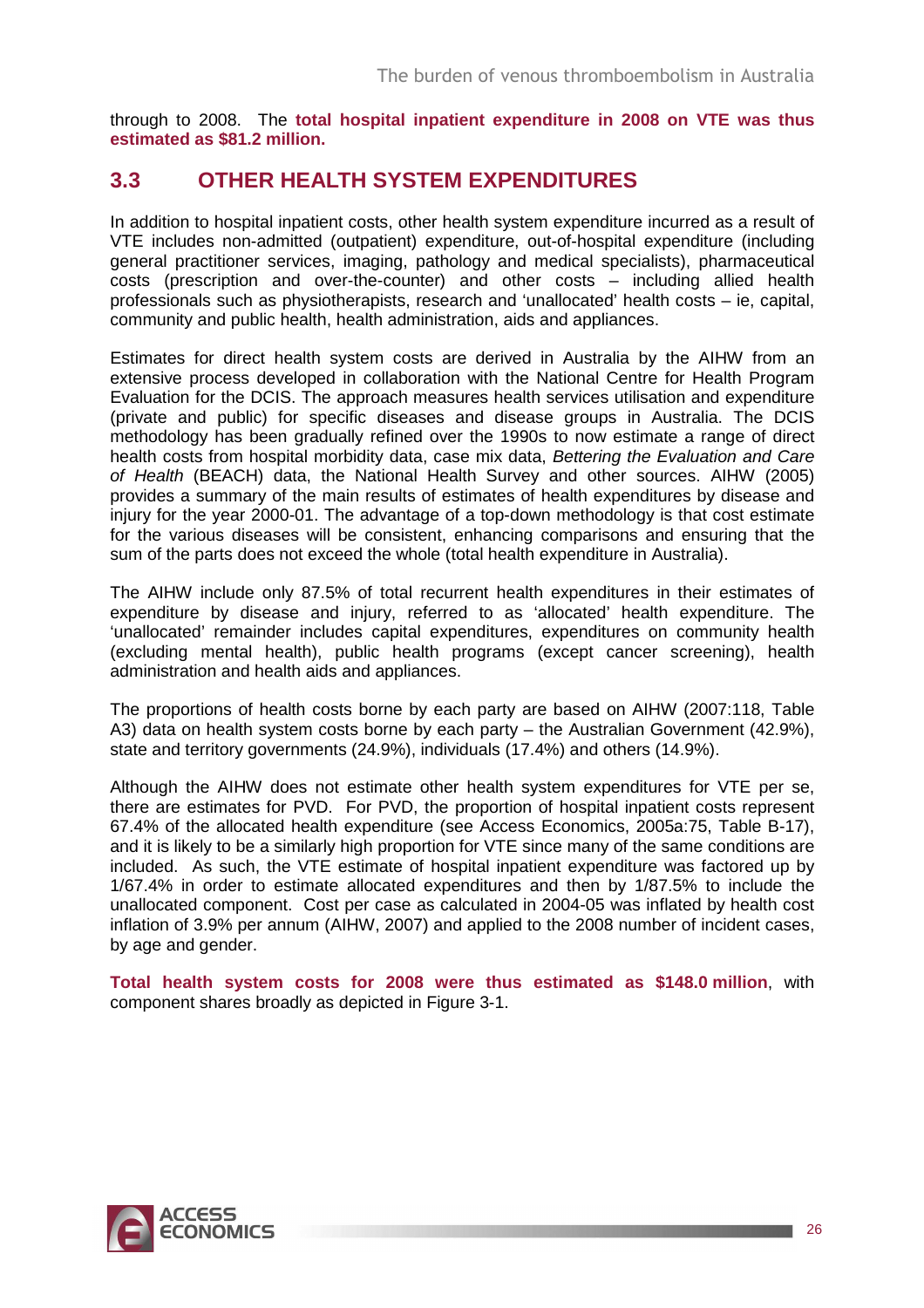through to 2008. The **total hospital inpatient expenditure in 2008 on VTE was thus estimated as \$81.2 million.**

## **3.3 OTHER HEALTH SYSTEM EXPENDITURES**

In addition to hospital inpatient costs, other health system expenditure incurred as a result of VTE includes non-admitted (outpatient) expenditure, out-of-hospital expenditure (including general practitioner services, imaging, pathology and medical specialists), pharmaceutical costs (prescription and over-the-counter) and other costs – including allied health professionals such as physiotherapists, research and 'unallocated' health costs – ie, capital, community and public health, health administration, aids and appliances.

Estimates for direct health system costs are derived in Australia by the AIHW from an extensive process developed in collaboration with the National Centre for Health Program Evaluation for the DCIS. The approach measures health services utilisation and expenditure (private and public) for specific diseases and disease groups in Australia. The DCIS methodology has been gradually refined over the 1990s to now estimate a range of direct health costs from hospital morbidity data, case mix data, Bettering the Evaluation and Care of Health (BEACH) data, the National Health Survey and other sources. AIHW (2005) provides a summary of the main results of estimates of health expenditures by disease and injury for the year 2000-01. The advantage of a top-down methodology is that cost estimate for the various diseases will be consistent, enhancing comparisons and ensuring that the sum of the parts does not exceed the whole (total health expenditure in Australia).

The AIHW include only 87.5% of total recurrent health expenditures in their estimates of expenditure by disease and injury, referred to as 'allocated' health expenditure. The 'unallocated' remainder includes capital expenditures, expenditures on community health (excluding mental health), public health programs (except cancer screening), health administration and health aids and appliances.

The proportions of health costs borne by each party are based on AIHW (2007:118, Table A3) data on health system costs borne by each party – the Australian Government (42.9%), state and territory governments (24.9%), individuals (17.4%) and others (14.9%).

Although the AIHW does not estimate other health system expenditures for VTE per se, there are estimates for PVD. For PVD, the proportion of hospital inpatient costs represent 67.4% of the allocated health expenditure (see Access Economics, 2005a:75, Table B-17), and it is likely to be a similarly high proportion for VTE since many of the same conditions are included. As such, the VTE estimate of hospital inpatient expenditure was factored up by 1/67.4% in order to estimate allocated expenditures and then by 1/87.5% to include the unallocated component. Cost per case as calculated in 2004-05 was inflated by health cost inflation of 3.9% per annum (AIHW, 2007) and applied to the 2008 number of incident cases, by age and gender.

**Total health system costs for 2008 were thus estimated as \$148.0 million**, with component shares broadly as depicted in Figure 3-1.

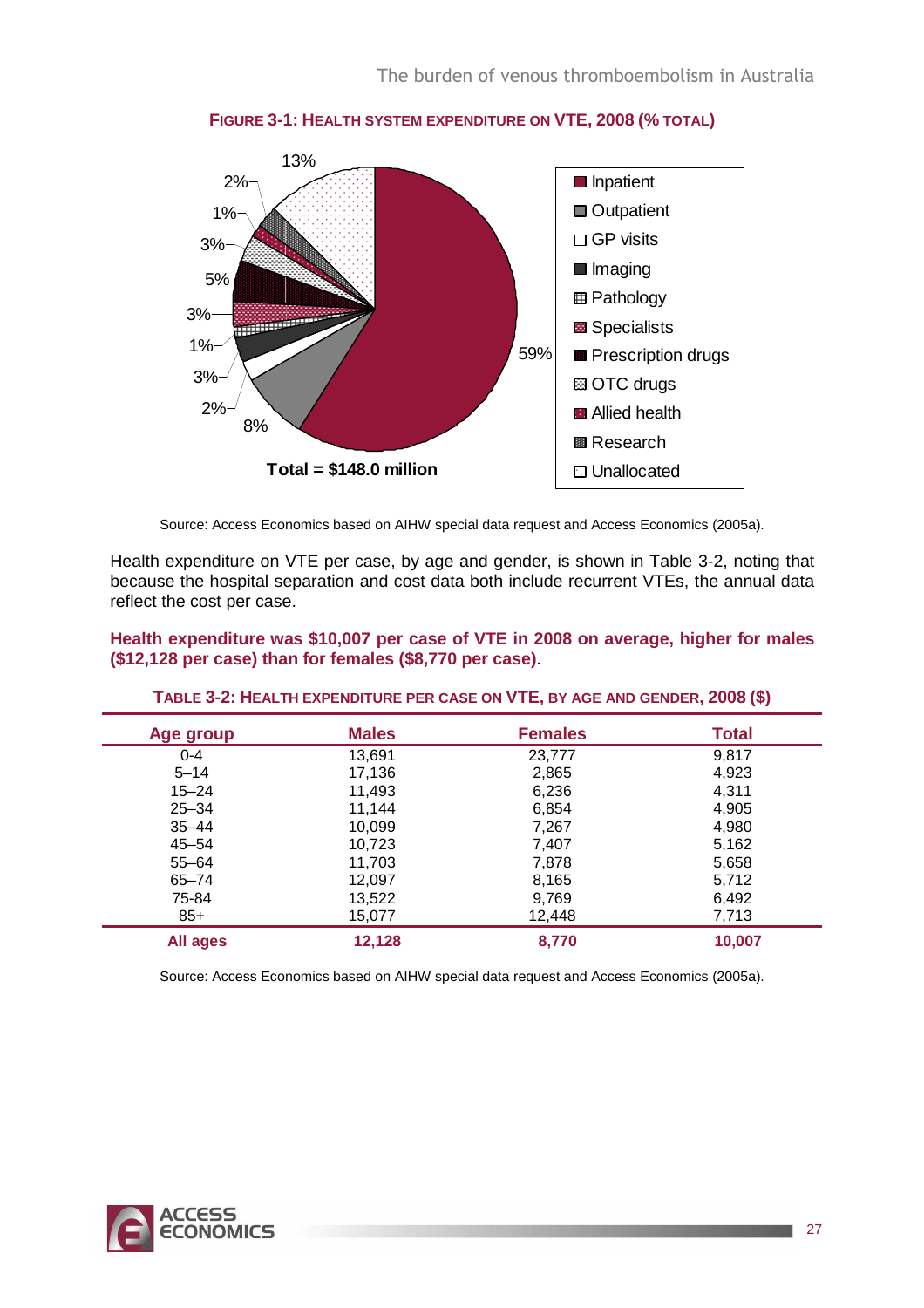

**FIGURE 3-1: HEALTH SYSTEM EXPENDITURE ON VTE, 2008 (% TOTAL)** 

Source: Access Economics based on AIHW special data request and Access Economics (2005a).

Health expenditure on VTE per case, by age and gender, is shown in Table 3-2, noting that because the hospital separation and cost data both include recurrent VTEs, the annual data reflect the cost per case.

#### **Health expenditure was \$10,007 per case of VTE in 2008 on average, higher for males (\$12,128 per case) than for females (\$8,770 per case)**.

| Age group | <b>Males</b> | <b>Females</b> | <b>Total</b> |
|-----------|--------------|----------------|--------------|
| $0 - 4$   | 13,691       | 23,777         | 9,817        |
| $5 - 14$  | 17,136       | 2,865          | 4,923        |
| $15 - 24$ | 11,493       | 6,236          | 4,311        |
| $25 - 34$ | 11,144       | 6,854          | 4,905        |
| $35 - 44$ | 10,099       | 7,267          | 4,980        |
| $45 - 54$ | 10,723       | 7,407          | 5,162        |
| $55 - 64$ | 11,703       | 7,878          | 5,658        |
| $65 - 74$ | 12,097       | 8,165          | 5,712        |
| 75-84     | 13,522       | 9,769          | 6,492        |
| $85+$     | 15,077       | 12,448         | 7,713        |
| All ages  | 12,128       | 8,770          | 10,007       |

**TABLE 3-2: HEALTH EXPENDITURE PER CASE ON VTE, BY AGE AND GENDER, 2008 (\$)** 

Source: Access Economics based on AIHW special data request and Access Economics (2005a).

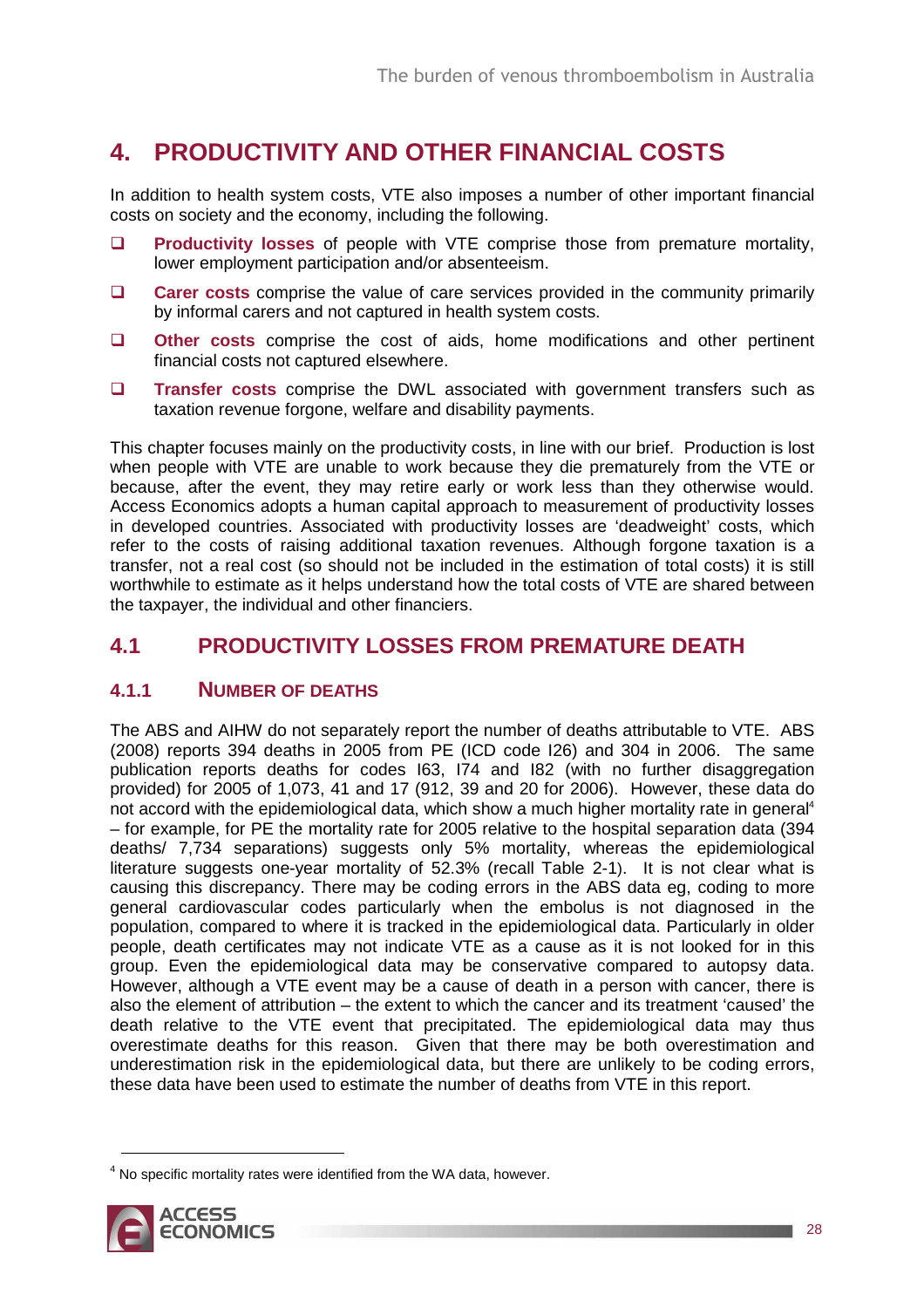## **4. PRODUCTIVITY AND OTHER FINANCIAL COSTS**

In addition to health system costs, VTE also imposes a number of other important financial costs on society and the economy, including the following.

- **Productivity losses** of people with VTE comprise those from premature mortality, lower employment participation and/or absenteeism.
- **Carer costs** comprise the value of care services provided in the community primarily by informal carers and not captured in health system costs.
- **Other costs** comprise the cost of aids, home modifications and other pertinent financial costs not captured elsewhere.
- **Transfer costs** comprise the DWL associated with government transfers such as taxation revenue forgone, welfare and disability payments.

This chapter focuses mainly on the productivity costs, in line with our brief. Production is lost when people with VTE are unable to work because they die prematurely from the VTE or because, after the event, they may retire early or work less than they otherwise would. Access Economics adopts a human capital approach to measurement of productivity losses in developed countries. Associated with productivity losses are 'deadweight' costs, which refer to the costs of raising additional taxation revenues. Although forgone taxation is a transfer, not a real cost (so should not be included in the estimation of total costs) it is still worthwhile to estimate as it helps understand how the total costs of VTE are shared between the taxpayer, the individual and other financiers.

## **4.1 PRODUCTIVITY LOSSES FROM PREMATURE DEATH**

### **4.1.1 NUMBER OF DEATHS**

The ABS and AIHW do not separately report the number of deaths attributable to VTE. ABS (2008) reports 394 deaths in 2005 from PE (ICD code I26) and 304 in 2006. The same publication reports deaths for codes I63, I74 and I82 (with no further disaggregation provided) for 2005 of 1,073, 41 and 17 (912, 39 and 20 for 2006). However, these data do not accord with the epidemiological data, which show a much higher mortality rate in general<sup>4</sup> – for example, for PE the mortality rate for 2005 relative to the hospital separation data (394 deaths/ 7,734 separations) suggests only 5% mortality, whereas the epidemiological literature suggests one-year mortality of 52.3% (recall Table 2-1). It is not clear what is causing this discrepancy. There may be coding errors in the ABS data eg, coding to more general cardiovascular codes particularly when the embolus is not diagnosed in the population, compared to where it is tracked in the epidemiological data. Particularly in older people, death certificates may not indicate VTE as a cause as it is not looked for in this group. Even the epidemiological data may be conservative compared to autopsy data. However, although a VTE event may be a cause of death in a person with cancer, there is also the element of attribution – the extent to which the cancer and its treatment 'caused' the death relative to the VTE event that precipitated. The epidemiological data may thus overestimate deaths for this reason. Given that there may be both overestimation and underestimation risk in the epidemiological data, but there are unlikely to be coding errors, these data have been used to estimate the number of deaths from VTE in this report.

 $4$  No specific mortality rates were identified from the WA data, however.



 $\overline{a}$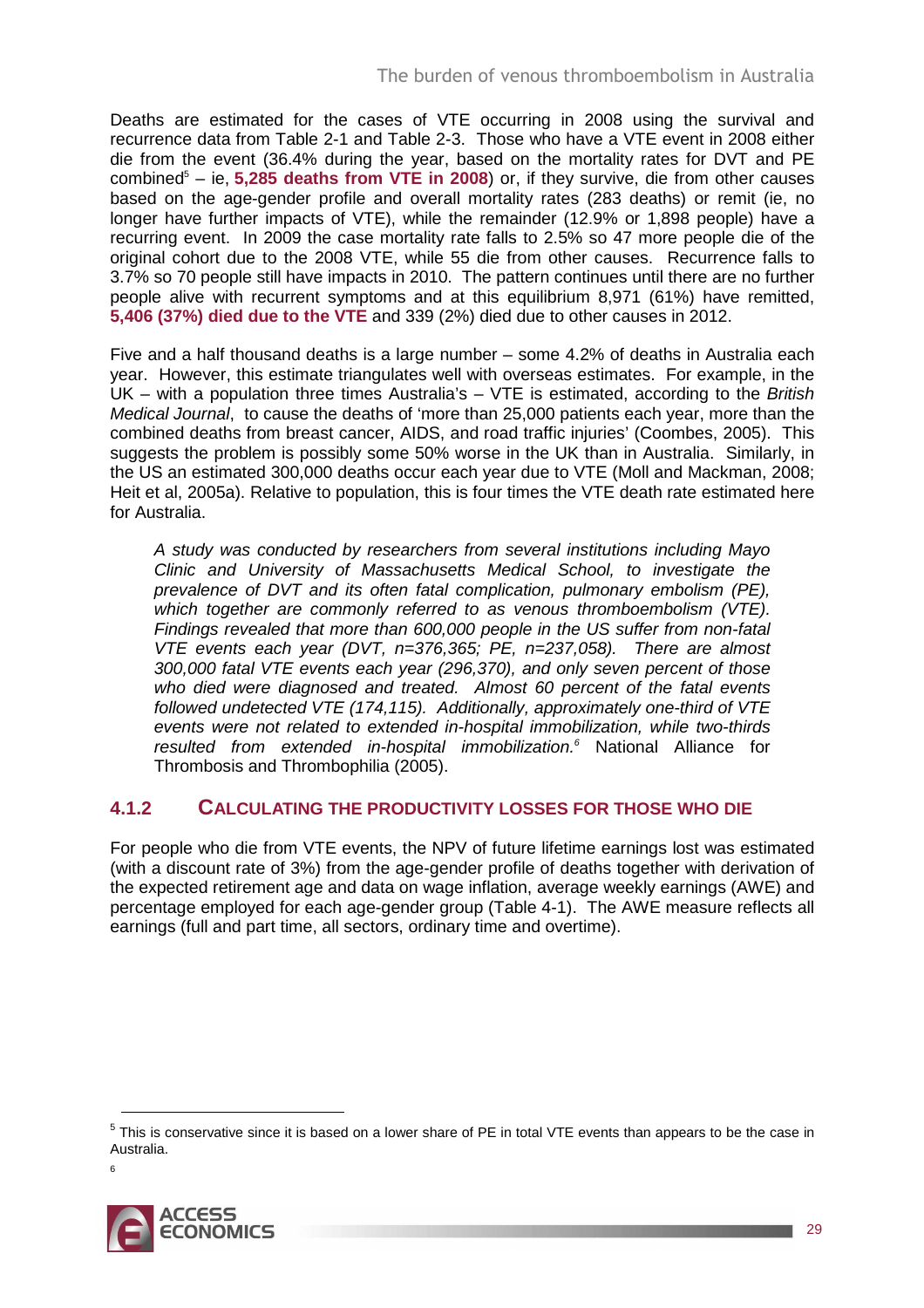Deaths are estimated for the cases of VTE occurring in 2008 using the survival and recurrence data from Table 2-1 and Table 2-3. Those who have a VTE event in 2008 either die from the event (36.4% during the year, based on the mortality rates for DVT and PE combined<sup>5</sup> – ie, **5,285 deaths from VTE in 2008**) or, if they survive, die from other causes based on the age-gender profile and overall mortality rates (283 deaths) or remit (ie, no longer have further impacts of VTE), while the remainder (12.9% or 1,898 people) have a recurring event. In 2009 the case mortality rate falls to 2.5% so 47 more people die of the original cohort due to the 2008 VTE, while 55 die from other causes. Recurrence falls to 3.7% so 70 people still have impacts in 2010. The pattern continues until there are no further people alive with recurrent symptoms and at this equilibrium 8,971 (61%) have remitted, **5,406 (37%) died due to the VTE** and 339 (2%) died due to other causes in 2012.

Five and a half thousand deaths is a large number – some 4.2% of deaths in Australia each year. However, this estimate triangulates well with overseas estimates. For example, in the  $UK - with a population three times Australia's - VTE is estimated, according to the *British*$ Medical Journal, to cause the deaths of 'more than 25,000 patients each year, more than the combined deaths from breast cancer, AIDS, and road traffic injuries' (Coombes, 2005). This suggests the problem is possibly some 50% worse in the UK than in Australia. Similarly, in the US an estimated 300,000 deaths occur each year due to VTE (Moll and Mackman, 2008; Heit et al, 2005a). Relative to population, this is four times the VTE death rate estimated here for Australia.

A study was conducted by researchers from several institutions including Mayo Clinic and University of Massachusetts Medical School, to investigate the prevalence of DVT and its often fatal complication, pulmonary embolism (PE), which together are commonly referred to as venous thromboembolism (VTE). Findings revealed that more than 600,000 people in the US suffer from non-fatal VTE events each year (DVT, n=376,365; PE, n=237,058). There are almost 300,000 fatal VTE events each year (296,370), and only seven percent of those who died were diagnosed and treated. Almost 60 percent of the fatal events followed undetected VTE (174,115). Additionally, approximately one-third of VTE events were not related to extended in-hospital immobilization, while two-thirds resulted from extended in-hospital immobilization.<sup>6</sup> National Alliance for Thrombosis and Thrombophilia (2005).

### **4.1.2 CALCULATING THE PRODUCTIVITY LOSSES FOR THOSE WHO DIE**

For people who die from VTE events, the NPV of future lifetime earnings lost was estimated (with a discount rate of 3%) from the age-gender profile of deaths together with derivation of the expected retirement age and data on wage inflation, average weekly earnings (AWE) and percentage employed for each age-gender group (Table 4-1). The AWE measure reflects all earnings (full and part time, all sectors, ordinary time and overtime).

 $\overline{a}$ 



 $<sup>5</sup>$  This is conservative since it is based on a lower share of PE in total VTE events than appears to be the case in</sup> Australia.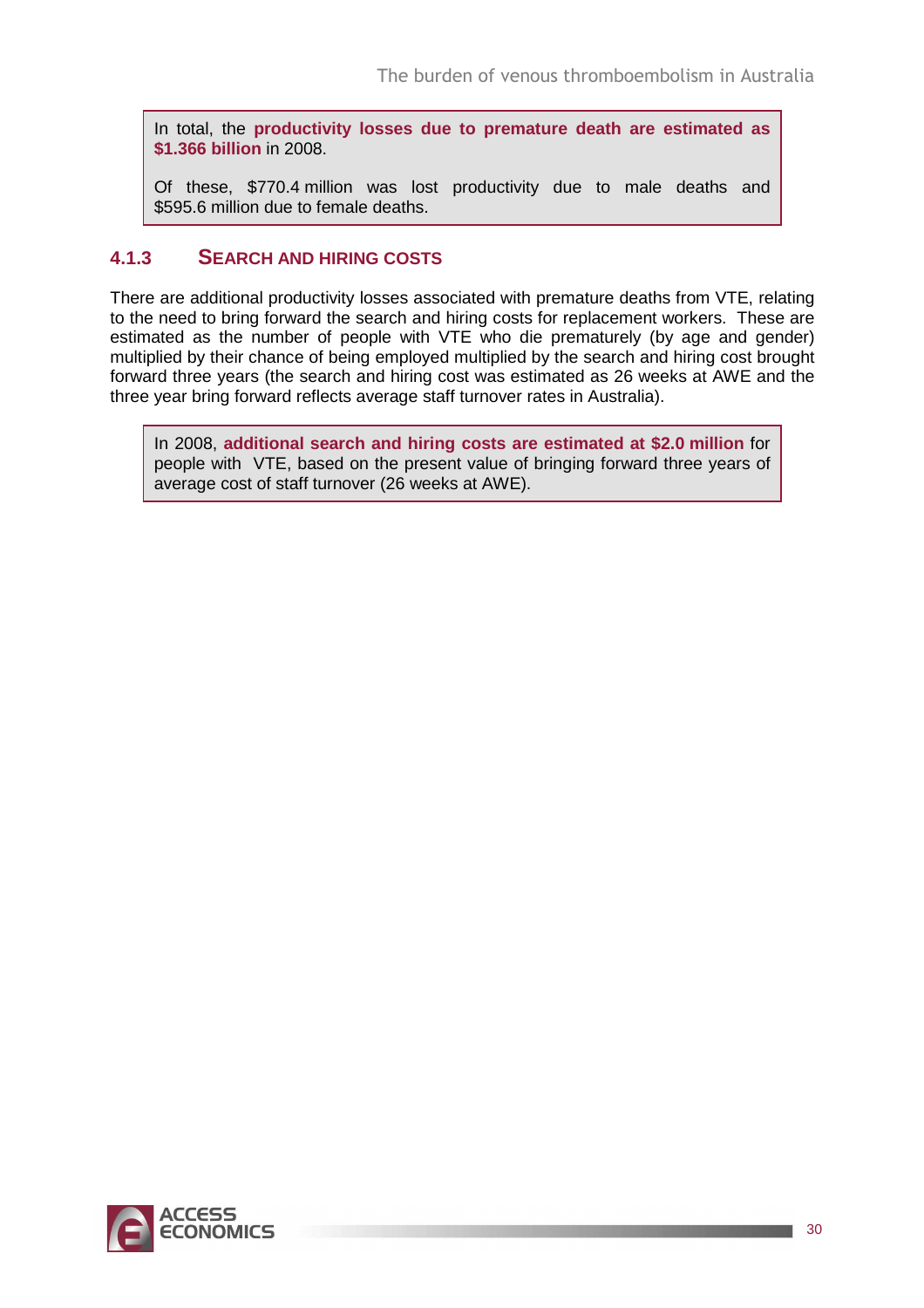In total, the **productivity losses due to premature death are estimated as \$1.366 billion** in 2008.

Of these, \$770.4 million was lost productivity due to male deaths and \$595.6 million due to female deaths.

### **4.1.3 SEARCH AND HIRING COSTS**

There are additional productivity losses associated with premature deaths from VTE, relating to the need to bring forward the search and hiring costs for replacement workers. These are estimated as the number of people with VTE who die prematurely (by age and gender) multiplied by their chance of being employed multiplied by the search and hiring cost brought forward three years (the search and hiring cost was estimated as 26 weeks at AWE and the three year bring forward reflects average staff turnover rates in Australia).

In 2008, **additional search and hiring costs are estimated at \$2.0 million** for people with VTE, based on the present value of bringing forward three years of average cost of staff turnover (26 weeks at AWE).

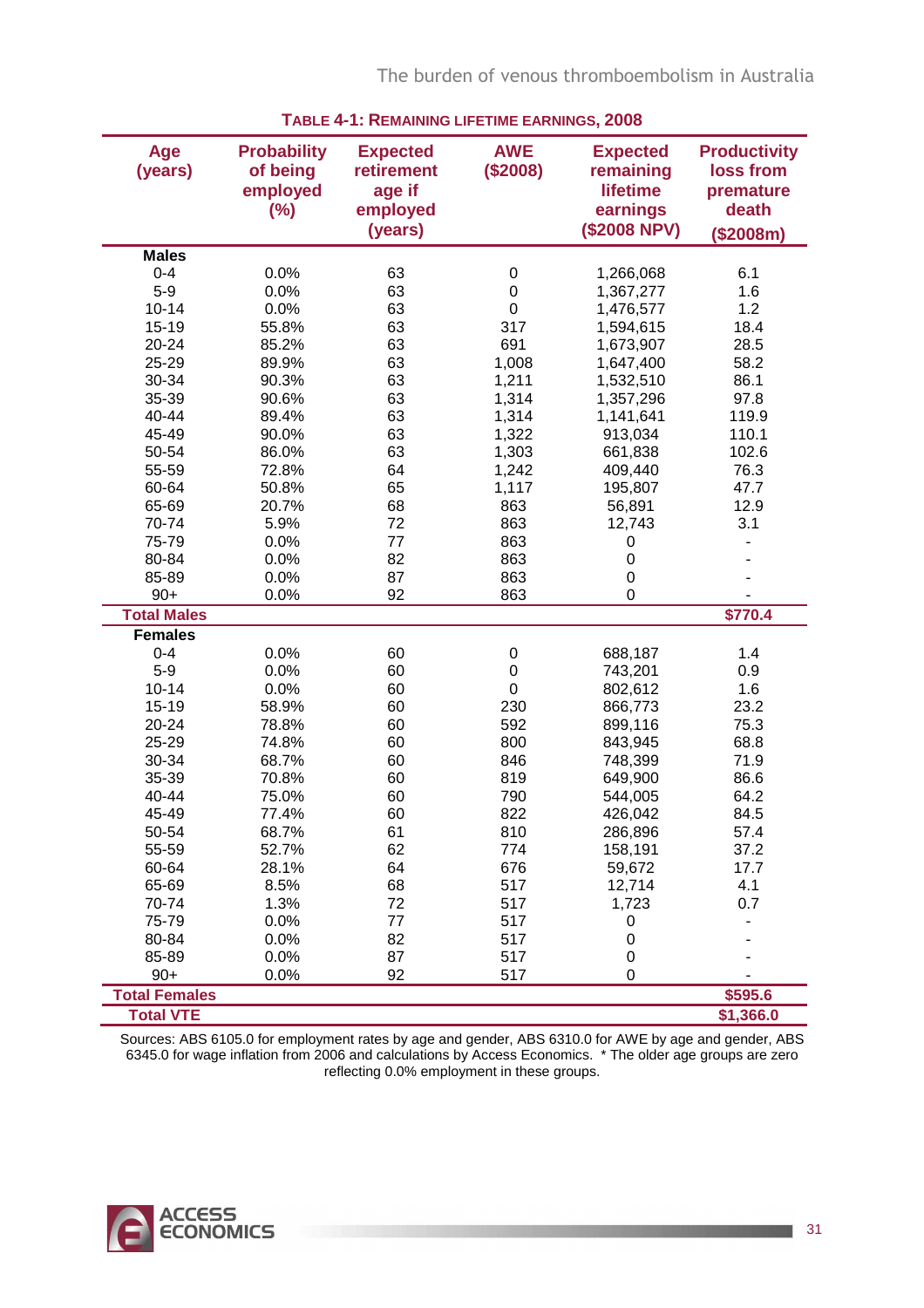The burden of venous thromboembolism in Australia

| Age<br>(years)       | <b>Probability</b><br>of being<br>employed<br>$(\%)$ | <b>Expected</b><br>retirement<br>age if<br>employed<br>(years) | <b>AWE</b><br>(\$2008) | <b>Expected</b><br>remaining<br><b>lifetime</b><br>earnings<br>(\$2008 NPV) | <b>Productivity</b><br>loss from<br>premature<br>death<br>(\$2008m) |
|----------------------|------------------------------------------------------|----------------------------------------------------------------|------------------------|-----------------------------------------------------------------------------|---------------------------------------------------------------------|
| <b>Males</b>         |                                                      |                                                                |                        |                                                                             |                                                                     |
| $0 - 4$              | 0.0%                                                 | 63                                                             | 0                      | 1,266,068                                                                   | 6.1                                                                 |
| $5-9$                | 0.0%                                                 | 63                                                             | 0                      | 1,367,277                                                                   | 1.6                                                                 |
| $10 - 14$            | 0.0%                                                 | 63                                                             | 0                      | 1,476,577                                                                   | 1.2                                                                 |
| $15 - 19$            | 55.8%                                                | 63                                                             | 317                    | 1,594,615                                                                   | 18.4                                                                |
| 20-24                | 85.2%                                                | 63                                                             | 691                    | 1,673,907                                                                   | 28.5                                                                |
| 25-29                | 89.9%                                                | 63                                                             | 1,008                  | 1,647,400                                                                   | 58.2                                                                |
| 30-34                | 90.3%                                                | 63                                                             | 1,211                  | 1,532,510                                                                   | 86.1                                                                |
| 35-39                | 90.6%                                                | 63                                                             | 1,314                  | 1,357,296                                                                   | 97.8                                                                |
| 40-44                | 89.4%                                                | 63                                                             | 1,314                  | 1,141,641                                                                   | 119.9                                                               |
| 45-49                | 90.0%                                                | 63                                                             | 1,322                  | 913,034                                                                     | 110.1                                                               |
| 50-54                | 86.0%                                                | 63                                                             | 1,303                  | 661,838                                                                     | 102.6                                                               |
| 55-59                | 72.8%                                                | 64                                                             | 1,242                  | 409,440                                                                     | 76.3                                                                |
| 60-64                | 50.8%                                                | 65                                                             | 1,117                  | 195,807                                                                     | 47.7                                                                |
| 65-69                | 20.7%                                                | 68                                                             | 863                    | 56,891                                                                      | 12.9                                                                |
| 70-74                | 5.9%                                                 | 72                                                             | 863                    | 12,743                                                                      | 3.1                                                                 |
| 75-79                | 0.0%                                                 | 77                                                             | 863                    | 0                                                                           |                                                                     |
| 80-84                | 0.0%                                                 | 82                                                             | 863                    | $\boldsymbol{0}$                                                            |                                                                     |
| 85-89                | 0.0%                                                 | 87                                                             | 863                    | $\mathbf 0$                                                                 |                                                                     |
| $90+$                | 0.0%                                                 | 92                                                             | 863                    | $\mathbf 0$                                                                 |                                                                     |
| <b>Total Males</b>   |                                                      |                                                                |                        |                                                                             | \$770.4                                                             |
| <b>Females</b>       |                                                      |                                                                |                        |                                                                             |                                                                     |
| $0 - 4$              | 0.0%                                                 | 60                                                             | 0                      | 688,187                                                                     | 1.4                                                                 |
| $5-9$                | 0.0%                                                 | 60                                                             | 0                      | 743,201                                                                     | 0.9                                                                 |
| $10 - 14$            | 0.0%                                                 | 60                                                             | 0                      | 802,612                                                                     | 1.6                                                                 |
| $15 - 19$            | 58.9%                                                | 60                                                             | 230                    | 866,773                                                                     | 23.2                                                                |
| 20-24                | 78.8%                                                | 60                                                             | 592                    | 899,116                                                                     | 75.3                                                                |
| 25-29                | 74.8%                                                | 60                                                             | 800                    | 843,945                                                                     | 68.8                                                                |
| 30-34                |                                                      | 60                                                             | 846                    |                                                                             | 71.9                                                                |
|                      | 68.7%                                                |                                                                |                        | 748,399                                                                     |                                                                     |
| 35-39                | 70.8%                                                | 60                                                             | 819                    | 649,900                                                                     | 86.6                                                                |
| 40-44                | 75.0%                                                | 60                                                             | 790                    | 544,005                                                                     | 64.2<br>84.5                                                        |
| 45-49                | 77.4%                                                | 60                                                             | 822                    | 426,042                                                                     |                                                                     |
| 50-54                | 68.7%                                                | 61                                                             | 810                    | 286,896                                                                     | 57.4                                                                |
| 55-59                | 52.7%                                                | 62                                                             | 774                    | 158,191                                                                     | 37.2                                                                |
| 60-64                | 28.1%                                                | 64                                                             | 676                    | 59,672                                                                      | 17.7                                                                |
| 65-69                | 8.5%                                                 | 68                                                             | 517                    | 12,714                                                                      | 4.1                                                                 |
| 70-74                | 1.3%                                                 | 72                                                             | 517                    | 1,723                                                                       | 0.7                                                                 |
| 75-79                | 0.0%                                                 | 77                                                             | 517                    | 0                                                                           |                                                                     |
| 80-84                | 0.0%                                                 | 82                                                             | 517                    | $\boldsymbol{0}$                                                            |                                                                     |
| 85-89                | 0.0%                                                 | 87                                                             | 517                    | 0                                                                           |                                                                     |
| $90+$                | 0.0%                                                 | 92                                                             | 517                    | 0                                                                           |                                                                     |
| <b>Total Females</b> |                                                      |                                                                |                        |                                                                             | \$595.6                                                             |
| <b>Total VTE</b>     |                                                      |                                                                |                        |                                                                             | \$1,366.0                                                           |

**TABLE 4-1: REMAINING LIFETIME EARNINGS, 2008**

Sources: ABS 6105.0 for employment rates by age and gender, ABS 6310.0 for AWE by age and gender, ABS 6345.0 for wage inflation from 2006 and calculations by Access Economics. \* The older age groups are zero reflecting 0.0% employment in these groups.

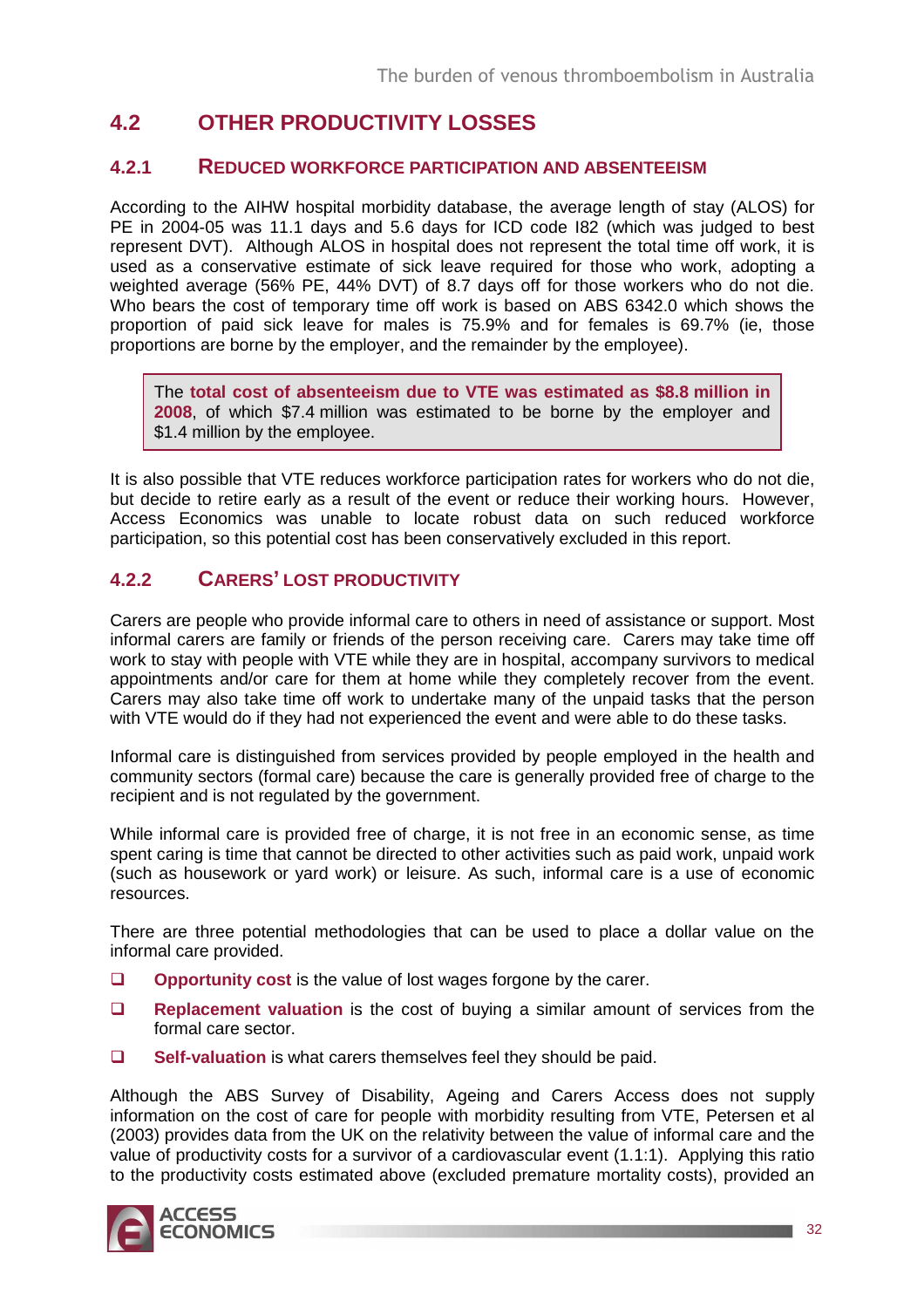## **4.2 OTHER PRODUCTIVITY LOSSES**

### **4.2.1 REDUCED WORKFORCE PARTICIPATION AND ABSENTEEISM**

According to the AIHW hospital morbidity database, the average length of stay (ALOS) for PE in 2004-05 was 11.1 days and 5.6 days for ICD code I82 (which was judged to best represent DVT). Although ALOS in hospital does not represent the total time off work, it is used as a conservative estimate of sick leave required for those who work, adopting a weighted average (56% PE, 44% DVT) of 8.7 days off for those workers who do not die. Who bears the cost of temporary time off work is based on ABS 6342.0 which shows the proportion of paid sick leave for males is 75.9% and for females is 69.7% (ie, those proportions are borne by the employer, and the remainder by the employee).

The **total cost of absenteeism due to VTE was estimated as \$8.8 million in 2008**, of which \$7.4 million was estimated to be borne by the employer and \$1.4 million by the employee.

It is also possible that VTE reduces workforce participation rates for workers who do not die, but decide to retire early as a result of the event or reduce their working hours. However, Access Economics was unable to locate robust data on such reduced workforce participation, so this potential cost has been conservatively excluded in this report.

### **4.2.2 CARERS' LOST PRODUCTIVITY**

Carers are people who provide informal care to others in need of assistance or support. Most informal carers are family or friends of the person receiving care. Carers may take time off work to stay with people with VTE while they are in hospital, accompany survivors to medical appointments and/or care for them at home while they completely recover from the event. Carers may also take time off work to undertake many of the unpaid tasks that the person with VTE would do if they had not experienced the event and were able to do these tasks.

Informal care is distinguished from services provided by people employed in the health and community sectors (formal care) because the care is generally provided free of charge to the recipient and is not regulated by the government.

While informal care is provided free of charge, it is not free in an economic sense, as time spent caring is time that cannot be directed to other activities such as paid work, unpaid work (such as housework or yard work) or leisure. As such, informal care is a use of economic resources.

There are three potential methodologies that can be used to place a dollar value on the informal care provided.

- **Q** Opportunity cost is the value of lost wages forgone by the carer.
- **Replacement valuation** is the cost of buying a similar amount of services from the formal care sector.
- **Self-valuation** is what carers themselves feel they should be paid.

Although the ABS Survey of Disability, Ageing and Carers Access does not supply information on the cost of care for people with morbidity resulting from VTE, Petersen et al (2003) provides data from the UK on the relativity between the value of informal care and the value of productivity costs for a survivor of a cardiovascular event (1.1:1). Applying this ratio to the productivity costs estimated above (excluded premature mortality costs), provided an

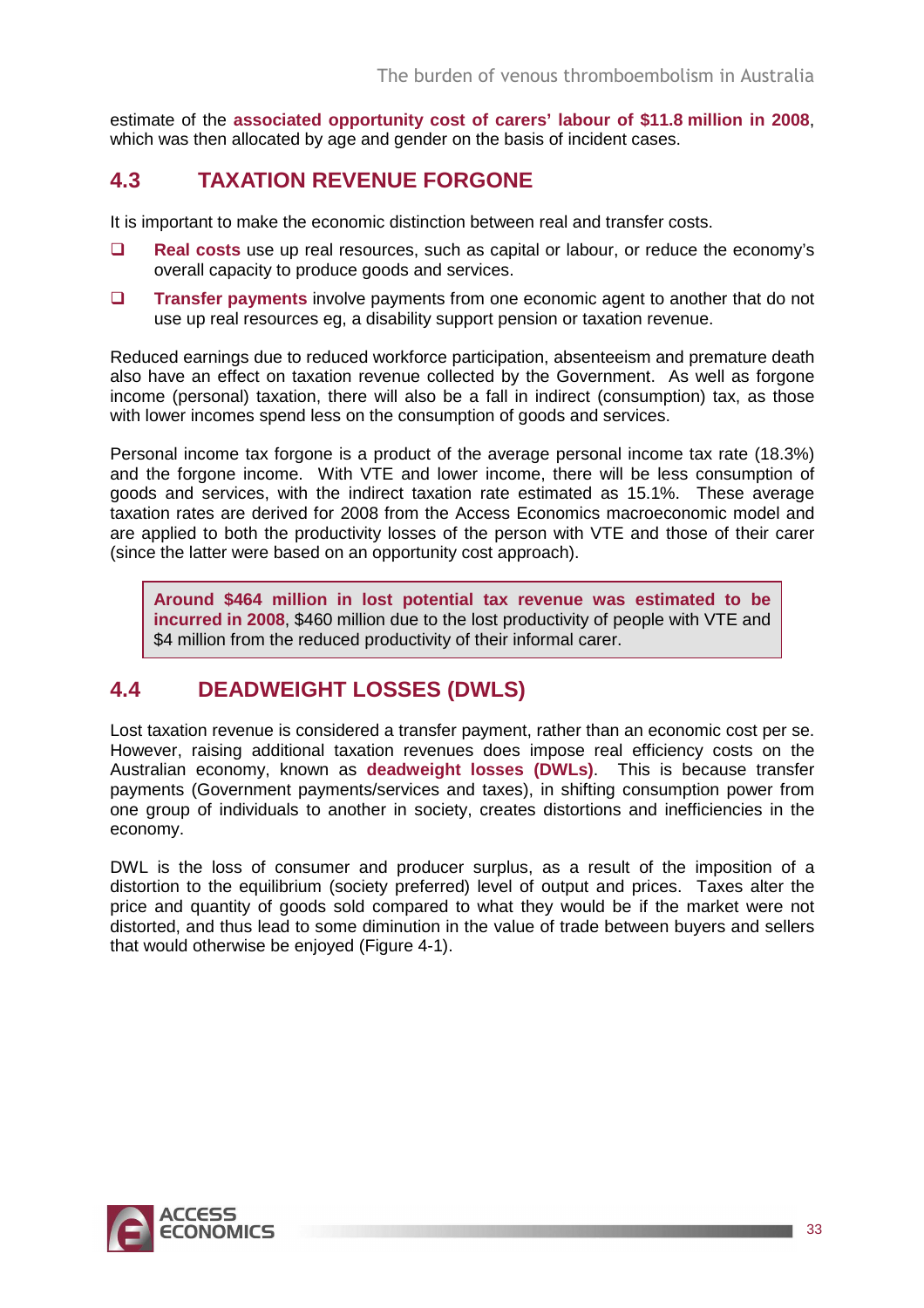estimate of the **associated opportunity cost of carers' labour of \$11.8 million in 2008**, which was then allocated by age and gender on the basis of incident cases.

## **4.3 TAXATION REVENUE FORGONE**

It is important to make the economic distinction between real and transfer costs.

- **Real costs** use up real resources, such as capital or labour, or reduce the economy's overall capacity to produce goods and services.
- **Transfer payments** involve payments from one economic agent to another that do not use up real resources eg, a disability support pension or taxation revenue.

Reduced earnings due to reduced workforce participation, absenteeism and premature death also have an effect on taxation revenue collected by the Government. As well as forgone income (personal) taxation, there will also be a fall in indirect (consumption) tax, as those with lower incomes spend less on the consumption of goods and services.

Personal income tax forgone is a product of the average personal income tax rate (18.3%) and the forgone income. With VTE and lower income, there will be less consumption of goods and services, with the indirect taxation rate estimated as 15.1%. These average taxation rates are derived for 2008 from the Access Economics macroeconomic model and are applied to both the productivity losses of the person with VTE and those of their carer (since the latter were based on an opportunity cost approach).

**Around \$464 million in lost potential tax revenue was estimated to be incurred in 2008**, \$460 million due to the lost productivity of people with VTE and \$4 million from the reduced productivity of their informal carer.

## **4.4 DEADWEIGHT LOSSES (DWLS)**

Lost taxation revenue is considered a transfer payment, rather than an economic cost per se. However, raising additional taxation revenues does impose real efficiency costs on the Australian economy, known as **deadweight losses (DWLs)**. This is because transfer payments (Government payments/services and taxes), in shifting consumption power from one group of individuals to another in society, creates distortions and inefficiencies in the economy.

DWL is the loss of consumer and producer surplus, as a result of the imposition of a distortion to the equilibrium (society preferred) level of output and prices. Taxes alter the price and quantity of goods sold compared to what they would be if the market were not distorted, and thus lead to some diminution in the value of trade between buyers and sellers that would otherwise be enjoyed (Figure 4-1).

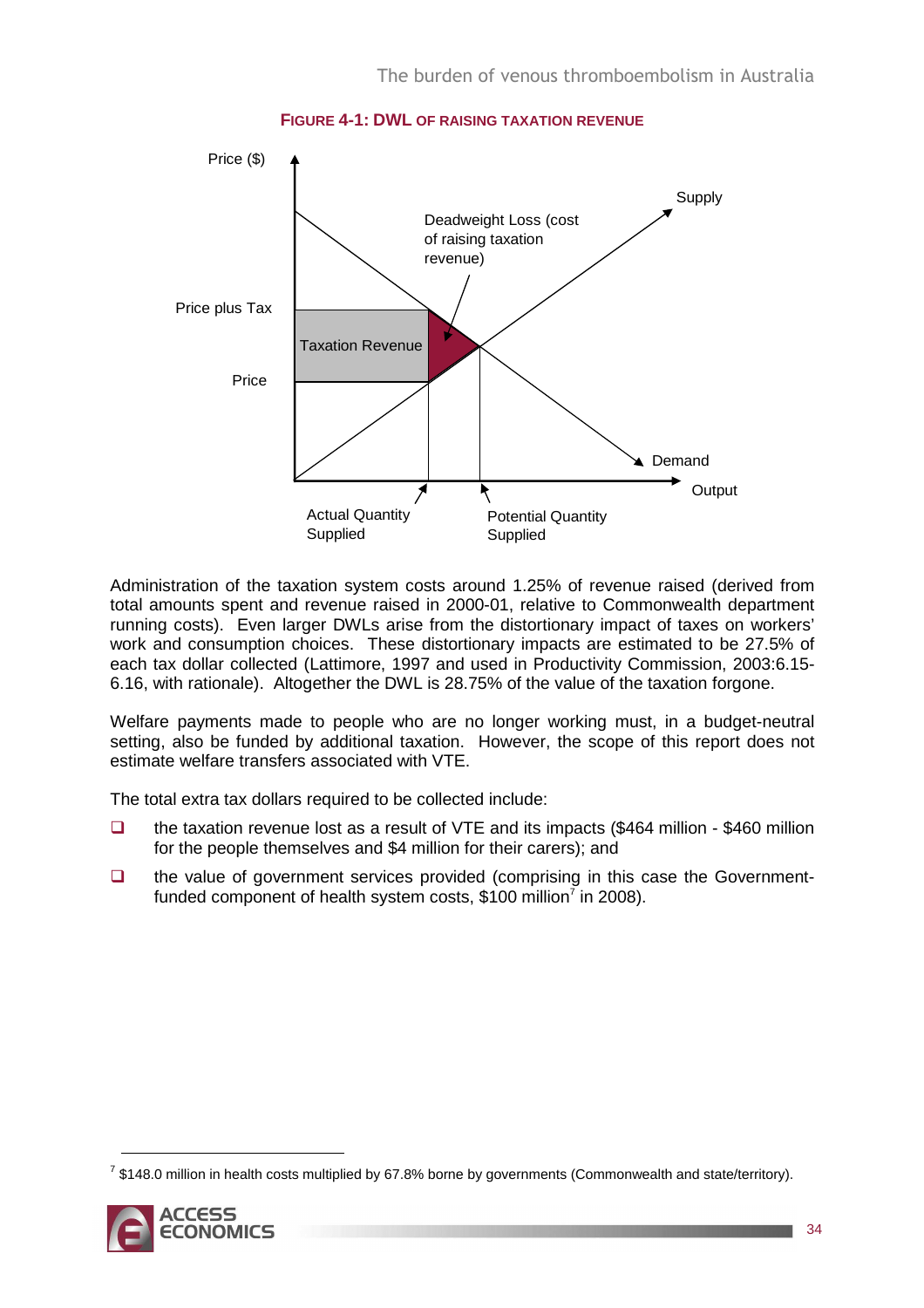

**FIGURE 4-1: DWL OF RAISING TAXATION REVENUE**

Administration of the taxation system costs around 1.25% of revenue raised (derived from total amounts spent and revenue raised in 2000-01, relative to Commonwealth department running costs). Even larger DWLs arise from the distortionary impact of taxes on workers' work and consumption choices. These distortionary impacts are estimated to be 27.5% of each tax dollar collected (Lattimore, 1997 and used in Productivity Commission, 2003:6.15- 6.16, with rationale). Altogether the DWL is 28.75% of the value of the taxation forgone.

Welfare payments made to people who are no longer working must, in a budget-neutral setting, also be funded by additional taxation. However, the scope of this report does not estimate welfare transfers associated with VTE.

The total extra tax dollars required to be collected include:

- $\Box$  the taxation revenue lost as a result of VTE and its impacts (\$464 million \$460 million for the people themselves and \$4 million for their carers); and
- $\Box$  the value of government services provided (comprising in this case the Governmentfunded component of health system costs, \$100 million<sup>7</sup> in 2008).

 $^7$  \$148.0 million in health costs multiplied by 67.8% borne by governments (Commonwealth and state/territory).



 $\overline{a}$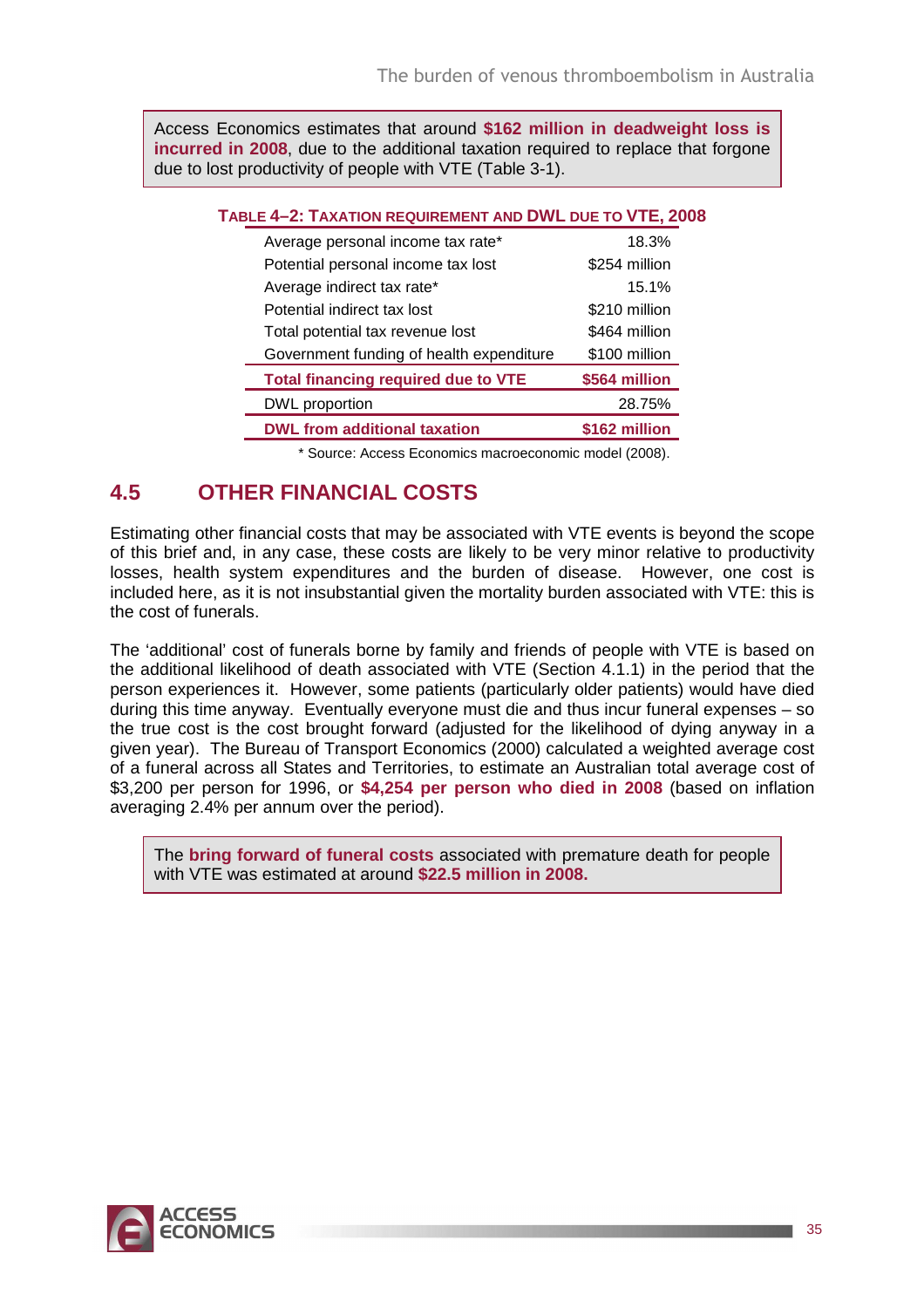Access Economics estimates that around **\$162 million in deadweight loss is incurred in 2008**, due to the additional taxation required to replace that forgone due to lost productivity of people with VTE (Table 3-1).

| TABLE 4-2: TAXATION REQUIREMENT AND DWL DUE TO VTE, 2008 |               |
|----------------------------------------------------------|---------------|
| Average personal income tax rate*                        | 18.3%         |
| Potential personal income tax lost                       | \$254 million |
| Average indirect tax rate*                               | 15.1%         |
| Potential indirect tax lost                              | \$210 million |
| Total potential tax revenue lost                         | \$464 million |
| Government funding of health expenditure                 | \$100 million |
| <b>Total financing required due to VTE</b>               | \$564 million |
| DWL proportion                                           | 28.75%        |
| <b>DWL from additional taxation</b>                      | \$162 million |
|                                                          |               |

\* Source: Access Economics macroeconomic model (2008).

## **4.5 OTHER FINANCIAL COSTS**

Estimating other financial costs that may be associated with VTE events is beyond the scope of this brief and, in any case, these costs are likely to be very minor relative to productivity losses, health system expenditures and the burden of disease. However, one cost is included here, as it is not insubstantial given the mortality burden associated with VTE: this is the cost of funerals.

The 'additional' cost of funerals borne by family and friends of people with VTE is based on the additional likelihood of death associated with VTE (Section 4.1.1) in the period that the person experiences it. However, some patients (particularly older patients) would have died during this time anyway. Eventually everyone must die and thus incur funeral expenses – so the true cost is the cost brought forward (adjusted for the likelihood of dying anyway in a given year). The Bureau of Transport Economics (2000) calculated a weighted average cost of a funeral across all States and Territories, to estimate an Australian total average cost of \$3,200 per person for 1996, or **\$4,254 per person who died in 2008** (based on inflation averaging 2.4% per annum over the period).

The **bring forward of funeral costs** associated with premature death for people with VTE was estimated at around **\$22.5 million in 2008.** 

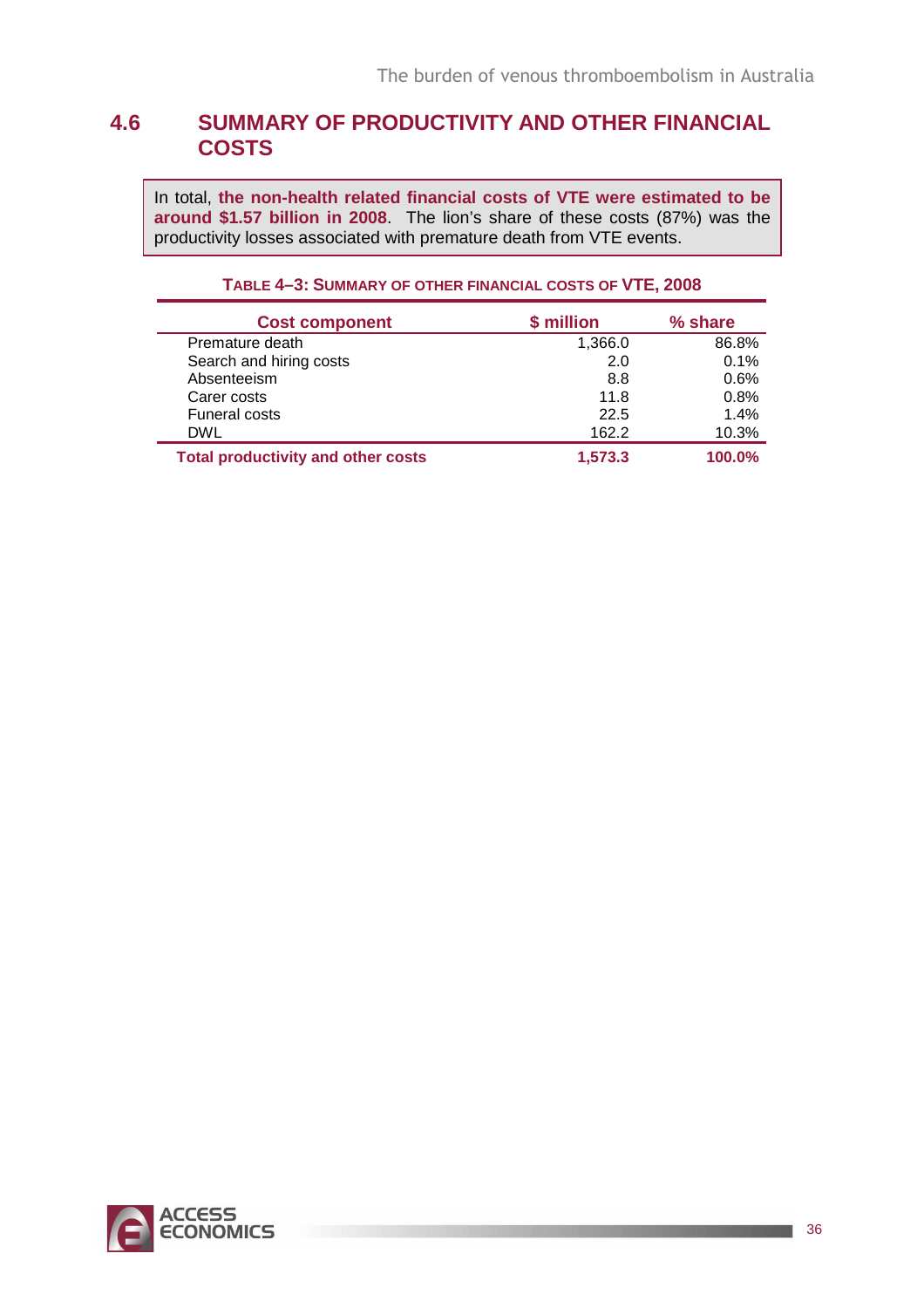## **4.6 SUMMARY OF PRODUCTIVITY AND OTHER FINANCIAL COSTS**

In total, **the non-health related financial costs of VTE were estimated to be around \$1.57 billion in 2008**. The lion's share of these costs (87%) was the productivity losses associated with premature death from VTE events.

| <b>Cost component</b>                     | \$ million | % share |
|-------------------------------------------|------------|---------|
| Premature death                           | 1,366.0    | 86.8%   |
| Search and hiring costs                   | 2.0        | 0.1%    |
| Absenteeism                               | 8.8        | 0.6%    |
| Carer costs                               | 11.8       | 0.8%    |
| <b>Funeral costs</b>                      | 22.5       | 1.4%    |
| <b>DWL</b>                                | 162.2      | 10.3%   |
| <b>Total productivity and other costs</b> | 1,573.3    | 100.0%  |

### **TABLE 4–3: SUMMARY OF OTHER FINANCIAL COSTS OF VTE, 2008**

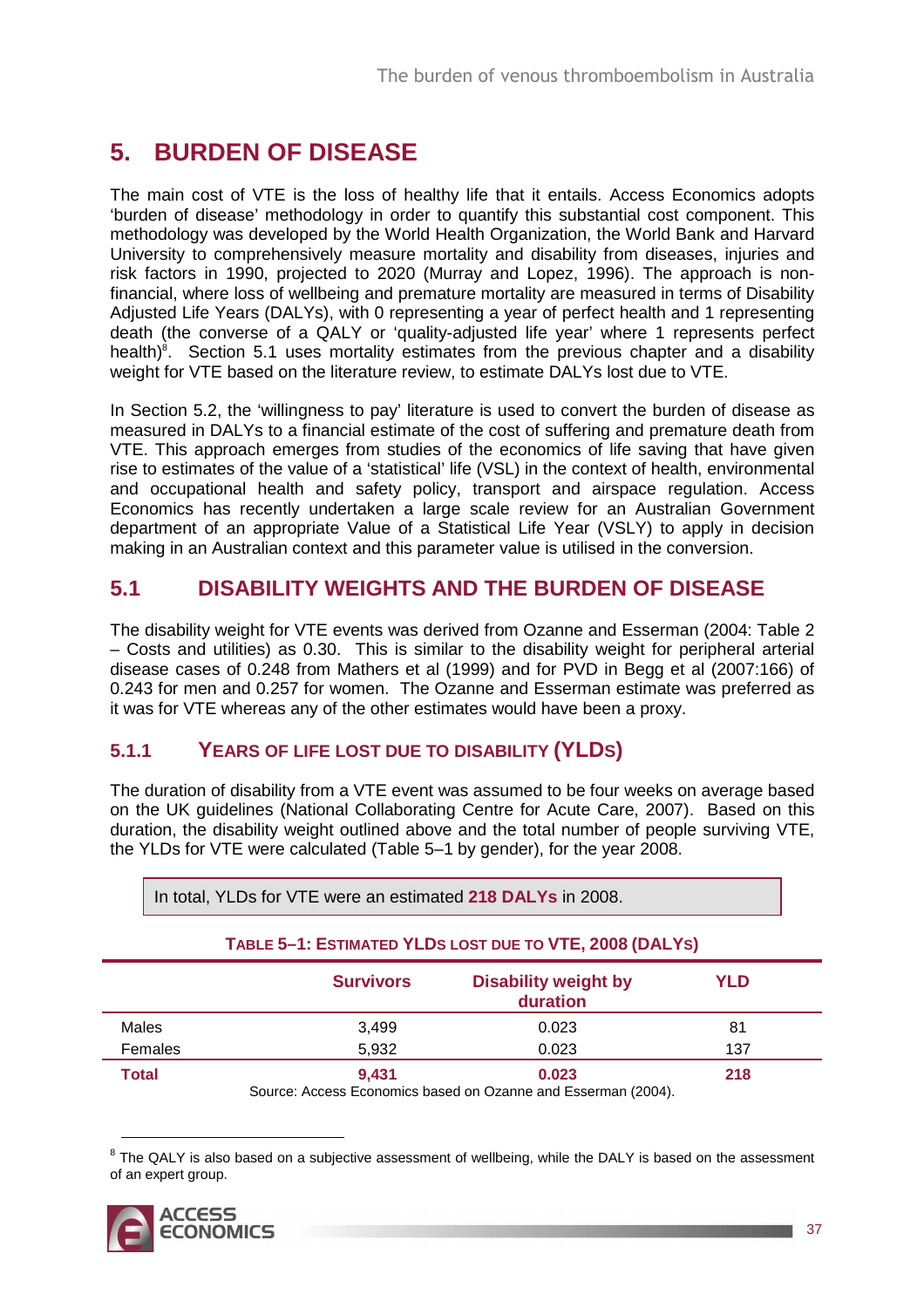## **5. BURDEN OF DISEASE**

The main cost of VTE is the loss of healthy life that it entails. Access Economics adopts 'burden of disease' methodology in order to quantify this substantial cost component. This methodology was developed by the World Health Organization, the World Bank and Harvard University to comprehensively measure mortality and disability from diseases, injuries and risk factors in 1990, projected to 2020 (Murray and Lopez, 1996). The approach is nonfinancial, where loss of wellbeing and premature mortality are measured in terms of Disability Adjusted Life Years (DALYs), with 0 representing a year of perfect health and 1 representing death (the converse of a QALY or 'quality-adjusted life year' where 1 represents perfect health)<sup>8</sup>. Section 5.1 uses mortality estimates from the previous chapter and a disability weight for VTE based on the literature review, to estimate DALYs lost due to VTE.

In Section 5.2, the 'willingness to pay' literature is used to convert the burden of disease as measured in DALYs to a financial estimate of the cost of suffering and premature death from VTE. This approach emerges from studies of the economics of life saving that have given rise to estimates of the value of a 'statistical' life (VSL) in the context of health, environmental and occupational health and safety policy, transport and airspace regulation. Access Economics has recently undertaken a large scale review for an Australian Government department of an appropriate Value of a Statistical Life Year (VSLY) to apply in decision making in an Australian context and this parameter value is utilised in the conversion.

## **5.1 DISABILITY WEIGHTS AND THE BURDEN OF DISEASE**

The disability weight for VTE events was derived from Ozanne and Esserman (2004: Table 2 – Costs and utilities) as 0.30. This is similar to the disability weight for peripheral arterial disease cases of 0.248 from Mathers et al (1999) and for PVD in Begg et al (2007:166) of 0.243 for men and 0.257 for women. The Ozanne and Esserman estimate was preferred as it was for VTE whereas any of the other estimates would have been a proxy.

### **5.1.1 YEARS OF LIFE LOST DUE TO DISABILITY (YLDS)**

The duration of disability from a VTE event was assumed to be four weeks on average based on the UK guidelines (National Collaborating Centre for Acute Care, 2007). Based on this duration, the disability weight outlined above and the total number of people surviving VTE, the YLDs for VTE were calculated (Table 5–1 by gender), for the year 2008.

| TABLE 5-1: ESTIMATED YLDS LOST DUE TO VTE, 2008 (DALYS) |                  |                                                                       |            |  |  |  |  |  |  |
|---------------------------------------------------------|------------------|-----------------------------------------------------------------------|------------|--|--|--|--|--|--|
|                                                         | <b>Survivors</b> | <b>Disability weight by</b><br>duration                               | <b>YLD</b> |  |  |  |  |  |  |
| Males                                                   | 3,499            | 0.023                                                                 | 81         |  |  |  |  |  |  |
| Females                                                 | 5,932            | 0.023                                                                 | 137        |  |  |  |  |  |  |
| <b>Total</b>                                            | 9,431            | 0.023<br>Source: Accoss Economics based on Ozanno and Esserman (2004) | 218        |  |  |  |  |  |  |

In total, YLDs for VTE were an estimated **218 DALYs** in 2008.

 $8$  The QALY is also based on a subjective assessment of wellbeing, while the DALY is based on the assessment of an expert group.



Source: Access Economics based on Ozanne and Esserman (2004).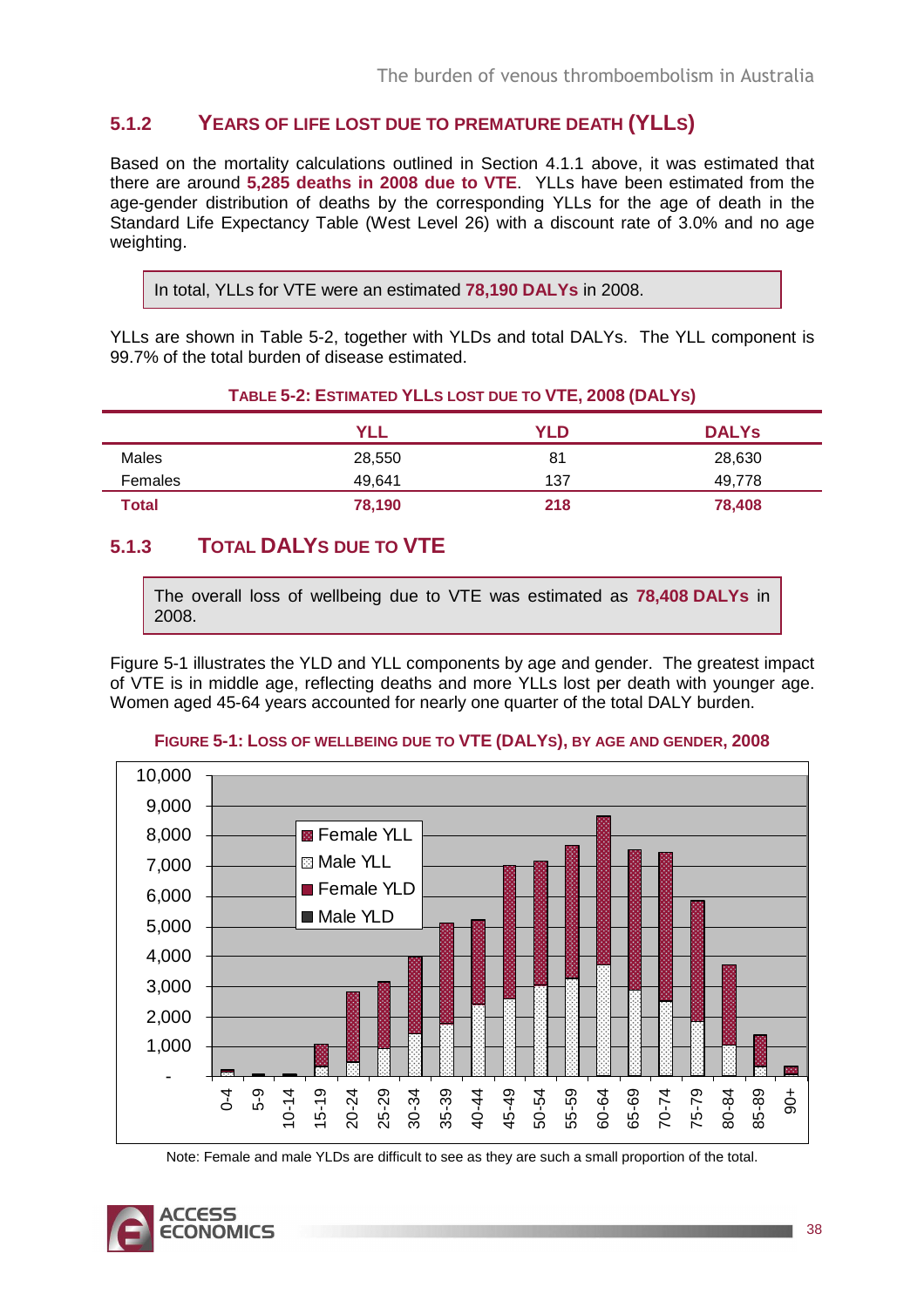### **5.1.2 YEARS OF LIFE LOST DUE TO PREMATURE DEATH (YLLS)**

Based on the mortality calculations outlined in Section 4.1.1 above, it was estimated that there are around **5,285 deaths in 2008 due to VTE**. YLLs have been estimated from the age-gender distribution of deaths by the corresponding YLLs for the age of death in the Standard Life Expectancy Table (West Level 26) with a discount rate of 3.0% and no age weighting.

```
In total, YLLs for VTE were an estimated 78,190 DALYs in 2008.
```
YLLs are shown in Table 5-2, together with YLDs and total DALYs. The YLL component is 99.7% of the total burden of disease estimated.

#### **TABLE 5-2: ESTIMATED YLLS LOST DUE TO VTE, 2008 (DALYS)**

|         | <b>YLL</b> | YLD | <b>DALYS</b> |
|---------|------------|-----|--------------|
| Males   | 28,550     | 81  | 28,630       |
| Females | 49,641     | 137 | 49.778       |
| Total   | 78,190     | 218 | 78,408       |

## **5.1.3 TOTAL DALYS DUE TO VTE**

The overall loss of wellbeing due to VTE was estimated as **78,408 DALYs** in 2008.

Figure 5-1 illustrates the YLD and YLL components by age and gender. The greatest impact of VTE is in middle age, reflecting deaths and more YLLs lost per death with younger age. Women aged 45-64 years accounted for nearly one quarter of the total DALY burden.



#### **FIGURE 5-1: LOSS OF WELLBEING DUE TO VTE (DALYS), BY AGE AND GENDER, 2008**

Note: Female and male YLDs are difficult to see as they are such a small proportion of the total.

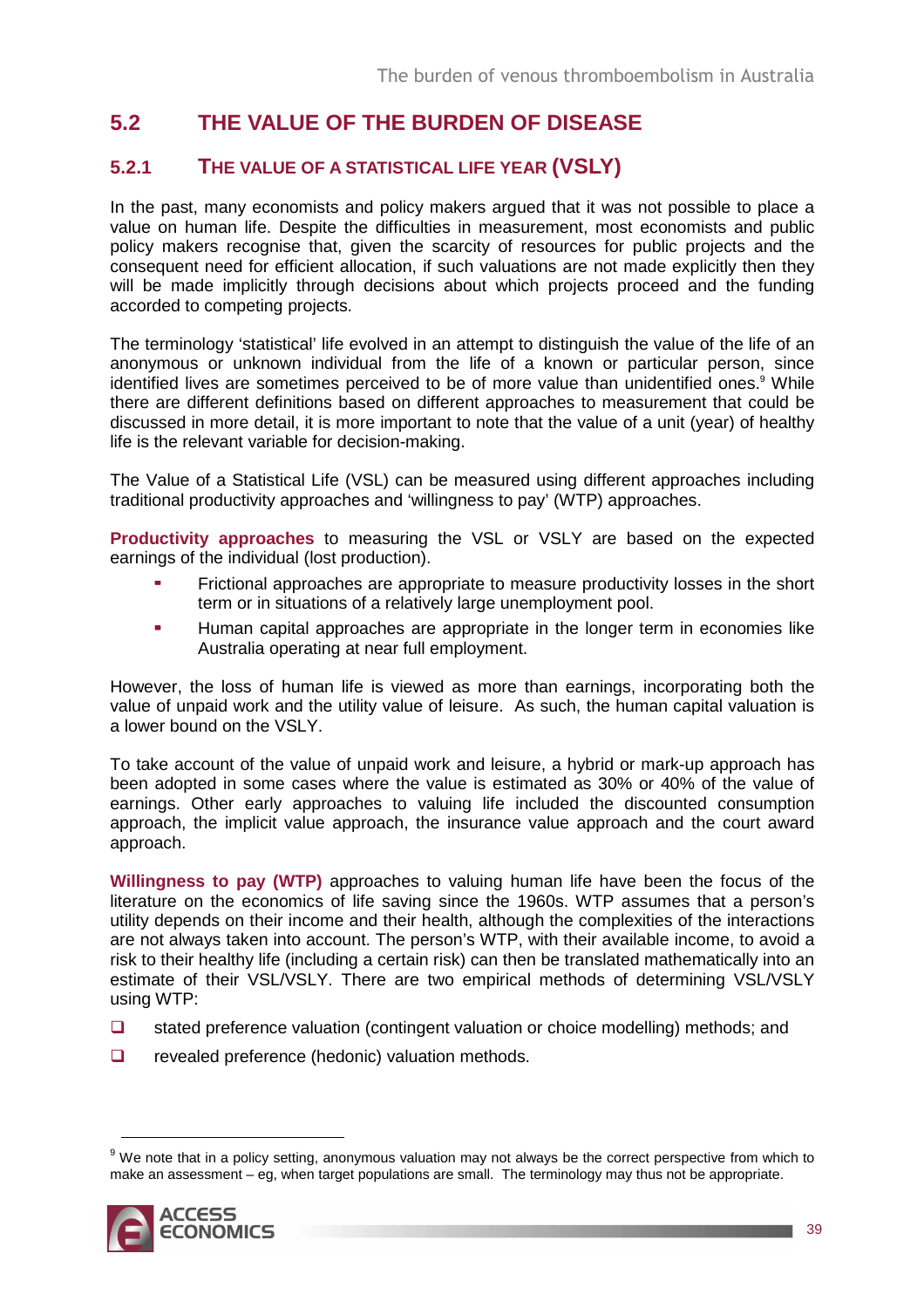## **5.2 THE VALUE OF THE BURDEN OF DISEASE**

### **5.2.1 THE VALUE OF A STATISTICAL LIFE YEAR (VSLY)**

In the past, many economists and policy makers argued that it was not possible to place a value on human life. Despite the difficulties in measurement, most economists and public policy makers recognise that, given the scarcity of resources for public projects and the consequent need for efficient allocation, if such valuations are not made explicitly then they will be made implicitly through decisions about which projects proceed and the funding accorded to competing projects.

The terminology 'statistical' life evolved in an attempt to distinguish the value of the life of an anonymous or unknown individual from the life of a known or particular person, since identified lives are sometimes perceived to be of more value than unidentified ones.<sup>9</sup> While there are different definitions based on different approaches to measurement that could be discussed in more detail, it is more important to note that the value of a unit (year) of healthy life is the relevant variable for decision-making.

The Value of a Statistical Life (VSL) can be measured using different approaches including traditional productivity approaches and 'willingness to pay' (WTP) approaches.

**Productivity approaches** to measuring the VSL or VSLY are based on the expected earnings of the individual (lost production).

- Frictional approaches are appropriate to measure productivity losses in the short term or in situations of a relatively large unemployment pool.
- Human capital approaches are appropriate in the longer term in economies like Australia operating at near full employment.

However, the loss of human life is viewed as more than earnings, incorporating both the value of unpaid work and the utility value of leisure. As such, the human capital valuation is a lower bound on the VSLY.

To take account of the value of unpaid work and leisure, a hybrid or mark-up approach has been adopted in some cases where the value is estimated as 30% or 40% of the value of earnings. Other early approaches to valuing life included the discounted consumption approach, the implicit value approach, the insurance value approach and the court award approach.

**Willingness to pay (WTP)** approaches to valuing human life have been the focus of the literature on the economics of life saving since the 1960s. WTP assumes that a person's utility depends on their income and their health, although the complexities of the interactions are not always taken into account. The person's WTP, with their available income, to avoid a risk to their healthy life (including a certain risk) can then be translated mathematically into an estimate of their VSL/VSLY. There are two empirical methods of determining VSL/VSLY using WTP:

- $\Box$  stated preference valuation (contingent valuation or choice modelling) methods; and
- $\Box$  revealed preference (hedonic) valuation methods.

<sup>&</sup>lt;sup>9</sup> We note that in a policy setting, anonymous valuation may not always be the correct perspective from which to make an assessment – eg, when target populations are small. The terminology may thus not be appropriate.

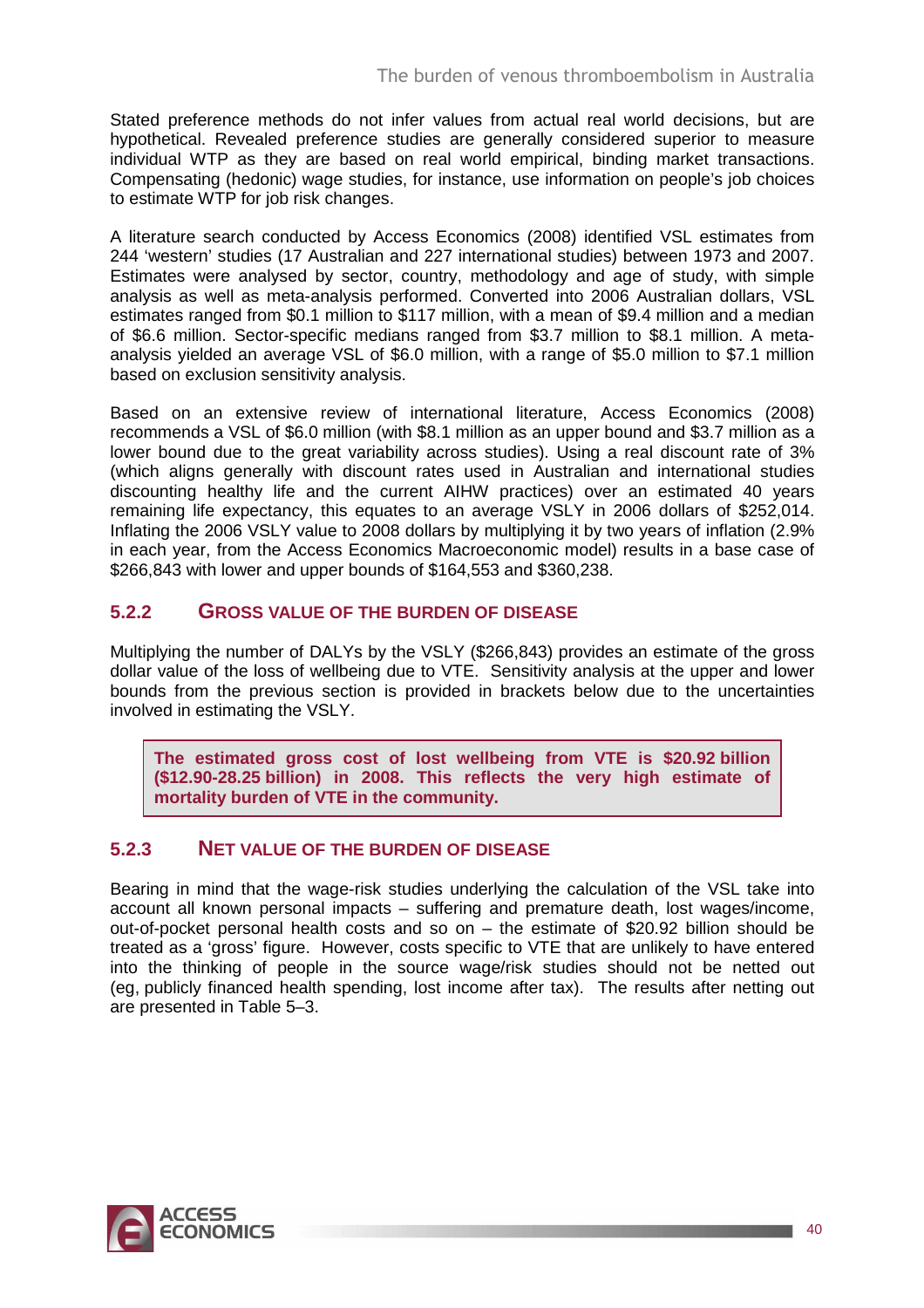Stated preference methods do not infer values from actual real world decisions, but are hypothetical. Revealed preference studies are generally considered superior to measure individual WTP as they are based on real world empirical, binding market transactions. Compensating (hedonic) wage studies, for instance, use information on people's job choices to estimate WTP for job risk changes.

A literature search conducted by Access Economics (2008) identified VSL estimates from 244 'western' studies (17 Australian and 227 international studies) between 1973 and 2007. Estimates were analysed by sector, country, methodology and age of study, with simple analysis as well as meta-analysis performed. Converted into 2006 Australian dollars, VSL estimates ranged from \$0.1 million to \$117 million, with a mean of \$9.4 million and a median of \$6.6 million. Sector-specific medians ranged from \$3.7 million to \$8.1 million. A metaanalysis yielded an average VSL of \$6.0 million, with a range of \$5.0 million to \$7.1 million based on exclusion sensitivity analysis.

Based on an extensive review of international literature, Access Economics (2008) recommends a VSL of \$6.0 million (with \$8.1 million as an upper bound and \$3.7 million as a lower bound due to the great variability across studies). Using a real discount rate of 3% (which aligns generally with discount rates used in Australian and international studies discounting healthy life and the current AIHW practices) over an estimated 40 years remaining life expectancy, this equates to an average VSLY in 2006 dollars of \$252,014. Inflating the 2006 VSLY value to 2008 dollars by multiplying it by two years of inflation (2.9% in each year, from the Access Economics Macroeconomic model) results in a base case of \$266,843 with lower and upper bounds of \$164,553 and \$360,238.

### **5.2.2 GROSS VALUE OF THE BURDEN OF DISEASE**

Multiplying the number of DALYs by the VSLY (\$266,843) provides an estimate of the gross dollar value of the loss of wellbeing due to VTE. Sensitivity analysis at the upper and lower bounds from the previous section is provided in brackets below due to the uncertainties involved in estimating the VSLY.

**The estimated gross cost of lost wellbeing from VTE is \$20.92 billion (\$12.90-28.25 billion) in 2008. This reflects the very high estimate of mortality burden of VTE in the community.** 

### **5.2.3 NET VALUE OF THE BURDEN OF DISEASE**

Bearing in mind that the wage-risk studies underlying the calculation of the VSL take into account all known personal impacts – suffering and premature death, lost wages/income, out-of-pocket personal health costs and so on – the estimate of \$20.92 billion should be treated as a 'gross' figure. However, costs specific to VTE that are unlikely to have entered into the thinking of people in the source wage/risk studies should not be netted out (eg, publicly financed health spending, lost income after tax). The results after netting out are presented in Table 5–3.

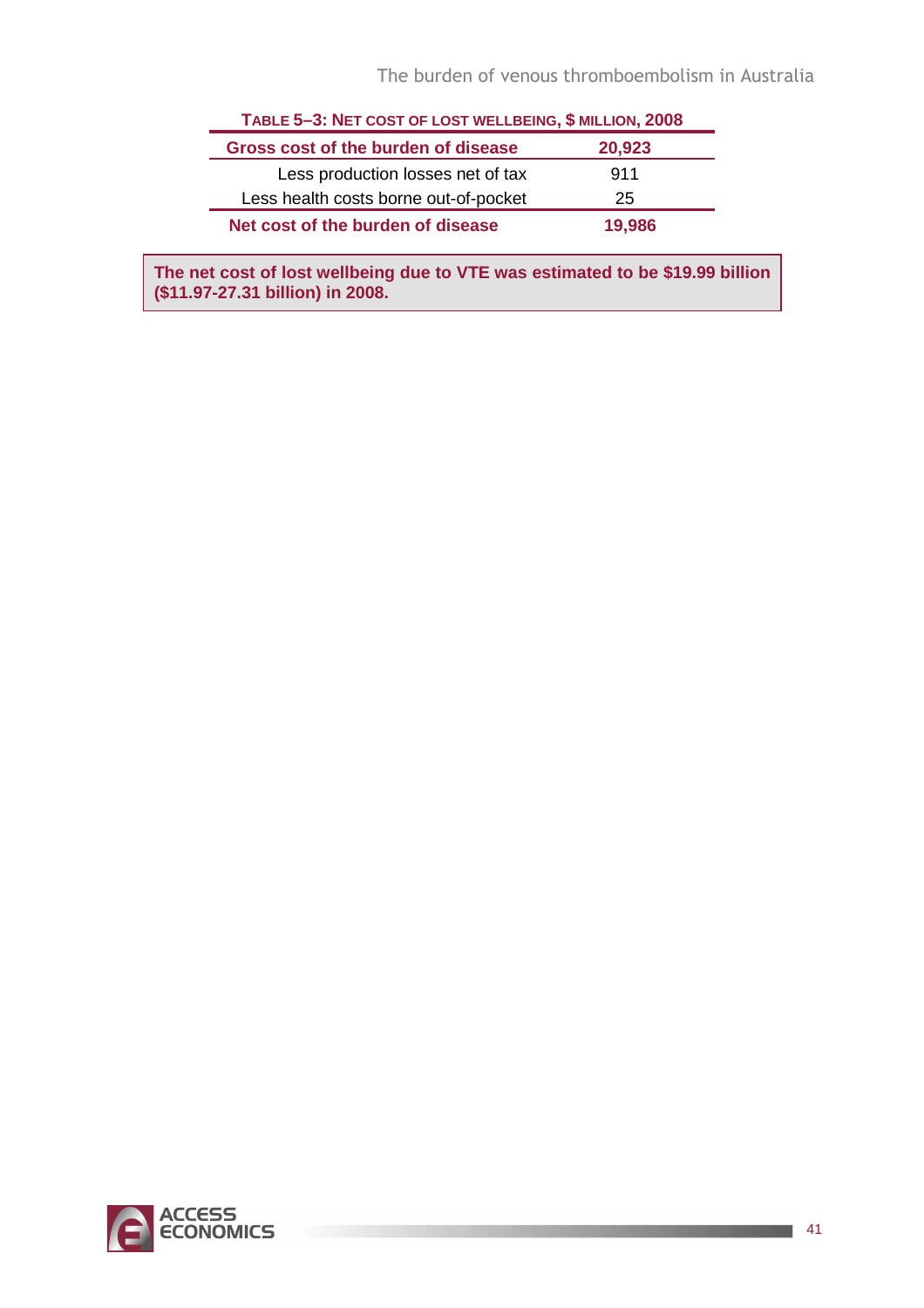| TABLE 5-3: NET COST OF LOST WELLBEING, \$ MILLION, 2008 |        |  |  |  |
|---------------------------------------------------------|--------|--|--|--|
| Gross cost of the burden of disease                     | 20,923 |  |  |  |
| Less production losses net of tax                       | 911    |  |  |  |
| Less health costs borne out-of-pocket                   | 25     |  |  |  |
| Net cost of the burden of disease                       | 19,986 |  |  |  |

**The net cost of lost wellbeing due to VTE was estimated to be \$19.99 billion (\$11.97-27.31 billion) in 2008.** 

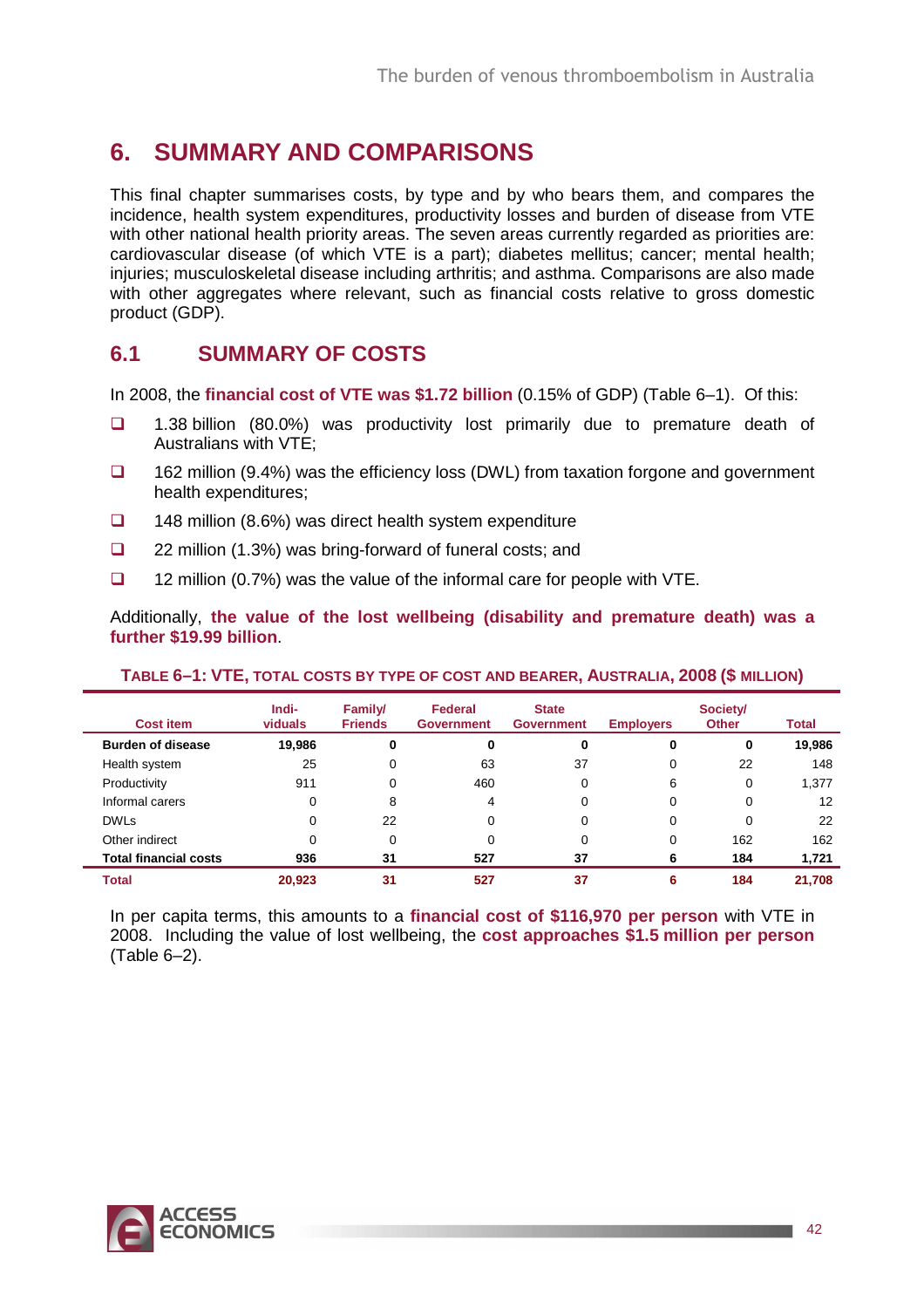## **6. SUMMARY AND COMPARISONS**

This final chapter summarises costs, by type and by who bears them, and compares the incidence, health system expenditures, productivity losses and burden of disease from VTE with other national health priority areas. The seven areas currently regarded as priorities are: cardiovascular disease (of which VTE is a part); diabetes mellitus; cancer; mental health; injuries; musculoskeletal disease including arthritis; and asthma. Comparisons are also made with other aggregates where relevant, such as financial costs relative to gross domestic product (GDP).

## **6.1 SUMMARY OF COSTS**

In 2008, the **financial cost of VTE was \$1.72 billion** (0.15% of GDP) (Table 6–1). Of this:

- □ 1.38 billion (80.0%) was productivity lost primarily due to premature death of Australians with VTE;
- $\Box$  162 million (9.4%) was the efficiency loss (DWL) from taxation forgone and government health expenditures;
- $\Box$  148 million (8.6%) was direct health system expenditure
- $\Box$  22 million (1.3%) was bring-forward of funeral costs; and
- $\Box$  12 million (0.7%) was the value of the informal care for people with VTE.

Additionally, **the value of the lost wellbeing (disability and premature death) was a further \$19.99 billion**.

| <b>Cost item</b>             | Indi-<br>viduals | Family/<br><b>Friends</b> | Federal<br><b>Government</b> | <b>State</b><br><b>Government</b> | <b>Employers</b> | Society/<br><b>Other</b> | Total  |
|------------------------------|------------------|---------------------------|------------------------------|-----------------------------------|------------------|--------------------------|--------|
| <b>Burden of disease</b>     | 19,986           | 0                         | 0                            | 0                                 | 0                | 0                        | 19,986 |
| Health system                | 25               | 0                         | 63                           | 37                                | 0                | 22                       | 148    |
| Productivity                 | 911              | 0                         | 460                          | 0                                 | 6                | 0                        | 1,377  |
| Informal carers              | $\Omega$         | 8                         | 4                            | 0                                 | 0                | 0                        | 12     |
| <b>DWLs</b>                  | 0                | 22                        | $\Omega$                     | 0                                 | 0                | 0                        | 22     |
| Other indirect               | 0                | 0                         | 0                            | 0                                 | 0                | 162                      | 162    |
| <b>Total financial costs</b> | 936              | 31                        | 527                          | 37                                | 6                | 184                      | 1,721  |
| <b>Total</b>                 | 20,923           | 31                        | 527                          | 37                                | 6                | 184                      | 21,708 |

#### **TABLE 6–1: VTE, TOTAL COSTS BY TYPE OF COST AND BEARER, AUSTRALIA, 2008 (\$ MILLION)**

In per capita terms, this amounts to a **financial cost of \$116,970 per person** with VTE in 2008. Including the value of lost wellbeing, the **cost approaches \$1.5 million per person** (Table 6–2).

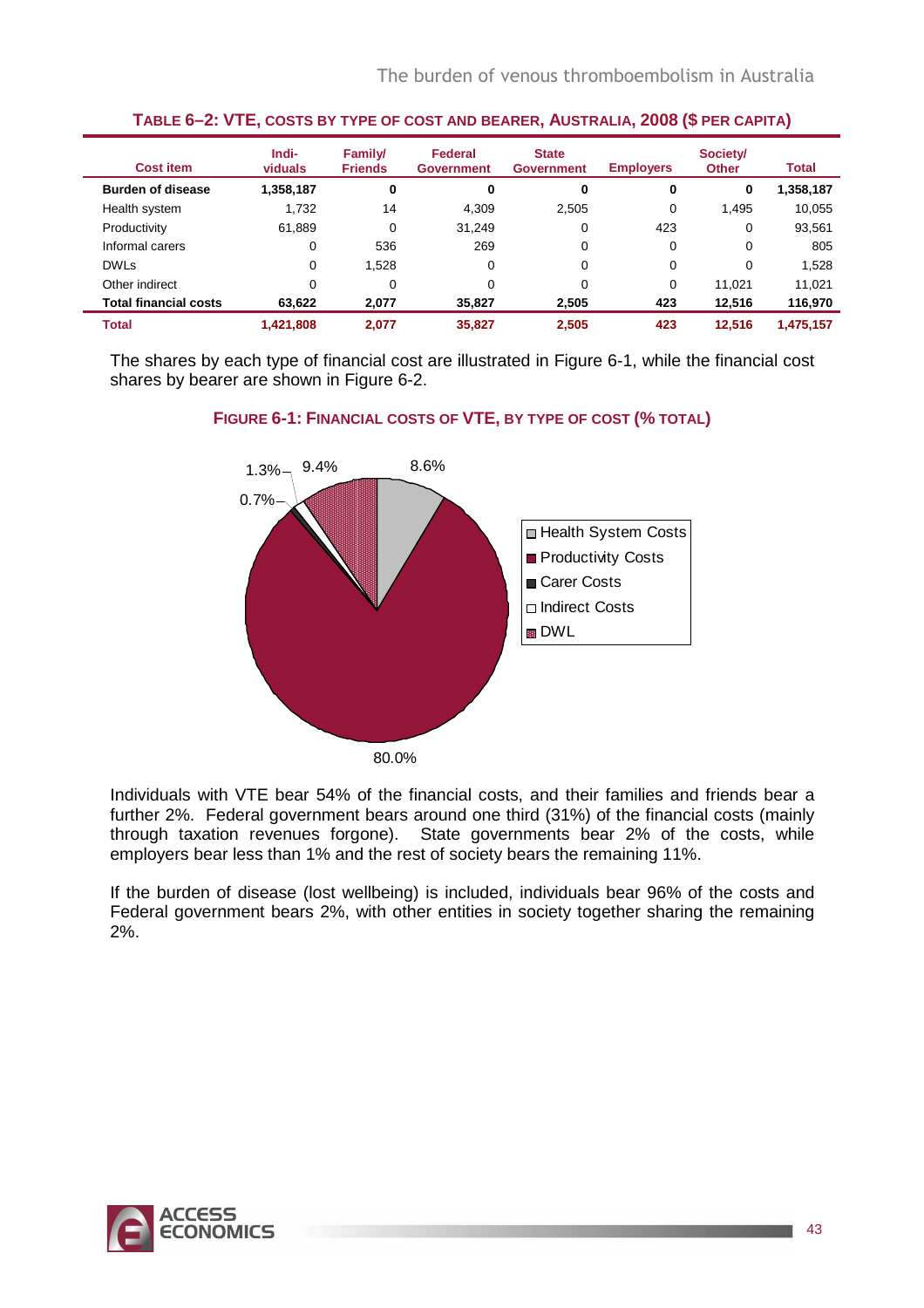| <b>Cost item</b>             | Indi-<br>viduals | Family/<br><b>Friends</b> | Federal<br><b>Government</b> | <b>State</b><br><b>Government</b> | <b>Employers</b> | Society/<br><b>Other</b> | <b>Total</b> |
|------------------------------|------------------|---------------------------|------------------------------|-----------------------------------|------------------|--------------------------|--------------|
| <b>Burden of disease</b>     | 1,358,187        | 0                         | 0                            | 0                                 | 0                | 0                        | 1,358,187    |
| Health system                | 1,732            | 14                        | 4,309                        | 2,505                             | 0                | 1,495                    | 10,055       |
| Productivity                 | 61,889           | 0                         | 31.249                       | 0                                 | 423              | 0                        | 93,561       |
| Informal carers              | 0                | 536                       | 269                          | 0                                 | 0                | $\Omega$                 | 805          |
| <b>DWLs</b>                  | $\Omega$         | 1,528                     | 0                            | 0                                 | 0                | 0                        | 1,528        |
| Other indirect               | 0                | 0                         | 0                            | 0                                 | 0                | 11.021                   | 11.021       |
| <b>Total financial costs</b> | 63.622           | 2,077                     | 35.827                       | 2.505                             | 423              | 12.516                   | 116,970      |
| <b>Total</b>                 | 1,421,808        | 2.077                     | 35,827                       | 2,505                             | 423              | 12.516                   | 1,475,157    |

#### **TABLE 6–2: VTE, COSTS BY TYPE OF COST AND BEARER, AUSTRALIA, 2008 (\$ PER CAPITA)**

The shares by each type of financial cost are illustrated in Figure 6-1, while the financial cost shares by bearer are shown in Figure 6-2.



#### **FIGURE 6-1: FINANCIAL COSTS OF VTE, BY TYPE OF COST (% TOTAL)**

Individuals with VTE bear 54% of the financial costs, and their families and friends bear a further 2%. Federal government bears around one third (31%) of the financial costs (mainly through taxation revenues forgone). State governments bear 2% of the costs, while employers bear less than 1% and the rest of society bears the remaining 11%.

If the burden of disease (lost wellbeing) is included, individuals bear 96% of the costs and Federal government bears 2%, with other entities in society together sharing the remaining 2%.

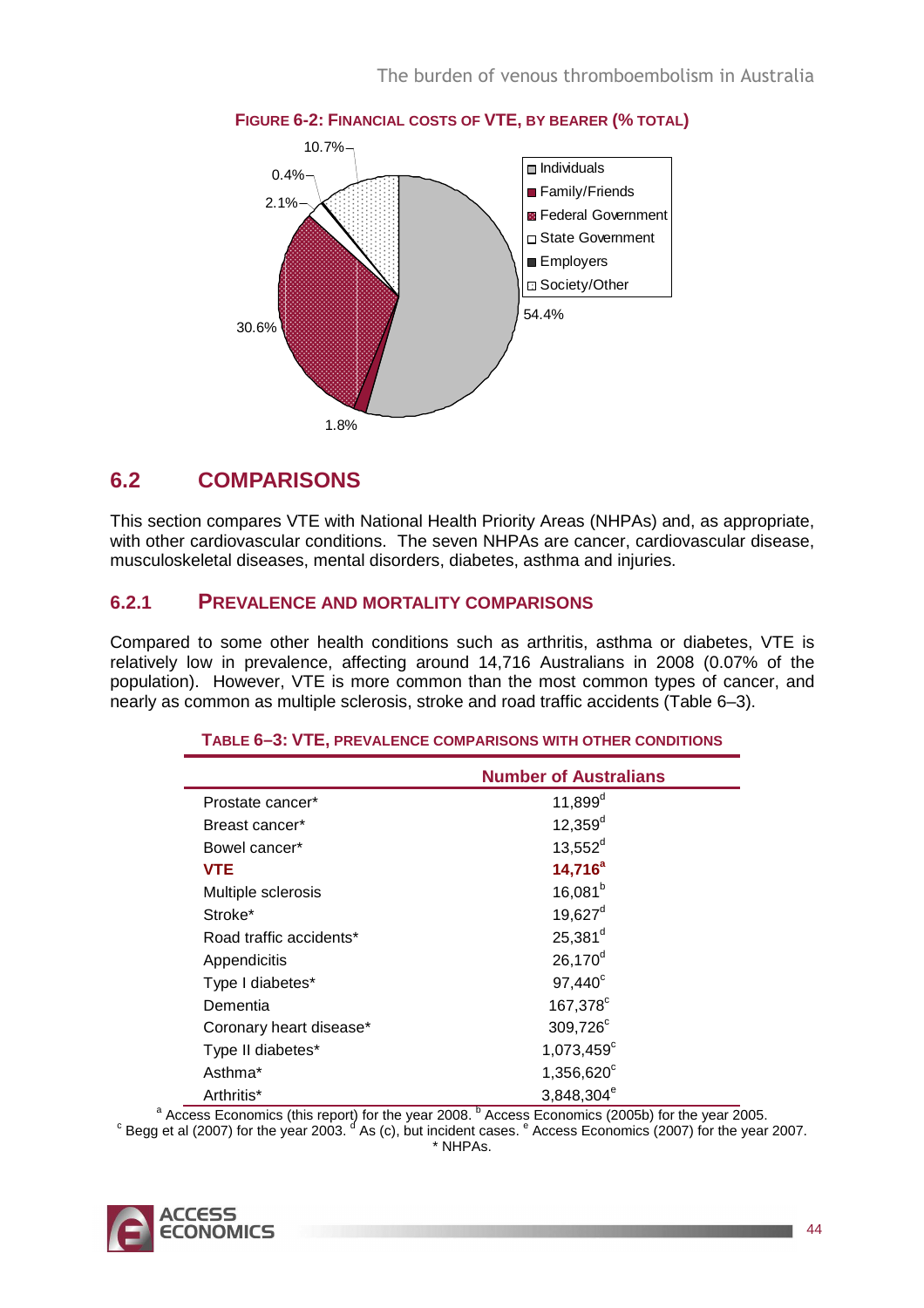

### **FIGURE 6-2: FINANCIAL COSTS OF VTE, BY BEARER (% TOTAL)**

## **6.2 COMPARISONS**

This section compares VTE with National Health Priority Areas (NHPAs) and, as appropriate, with other cardiovascular conditions. The seven NHPAs are cancer, cardiovascular disease, musculoskeletal diseases, mental disorders, diabetes, asthma and injuries.

### **6.2.1 PREVALENCE AND MORTALITY COMPARISONS**

Compared to some other health conditions such as arthritis, asthma or diabetes, VTE is relatively low in prevalence, affecting around 14,716 Australians in 2008 (0.07% of the population). However, VTE is more common than the most common types of cancer, and nearly as common as multiple sclerosis, stroke and road traffic accidents (Table 6–3).

|                         | <b>Number of Australians</b> |
|-------------------------|------------------------------|
| Prostate cancer*        | $11,899^d$                   |
| Breast cancer*          | $12,359^d$                   |
| Bowel cancer*           | $13,552^d$                   |
| <b>VTE</b>              | $14,716^a$                   |
| Multiple sclerosis      | $16,081^{b}$                 |
| Stroke <sup>*</sup>     | $19,627^d$                   |
| Road traffic accidents* | $25,381^d$                   |
| Appendicitis            | $26,170^d$                   |
| Type I diabetes*        | $97,440^{\circ}$             |
| Dementia                | 167,378 <sup>c</sup>         |
| Coronary heart disease* | 309,726°                     |
| Type II diabetes*       | $1,073,459^c$                |
| Asthma <sup>*</sup>     | 1,356,620°                   |
| Arthritis*              | 3,848,304 <sup>e</sup>       |

#### **TABLE 6–3: VTE, PREVALENCE COMPARISONS WITH OTHER CONDITIONS**

<sup>a</sup> Access Economics (this report) for the year 2008. <sup>b</sup> Access Economics (2005b) for the year 2005.  $\rm ^c$  Begg et al (2007) for the year 2003.  $\rm ^d$  As (c), but incident cases.  $\rm ^e$  Access Economics (2007) for the year 2007.

\* NHPAs.

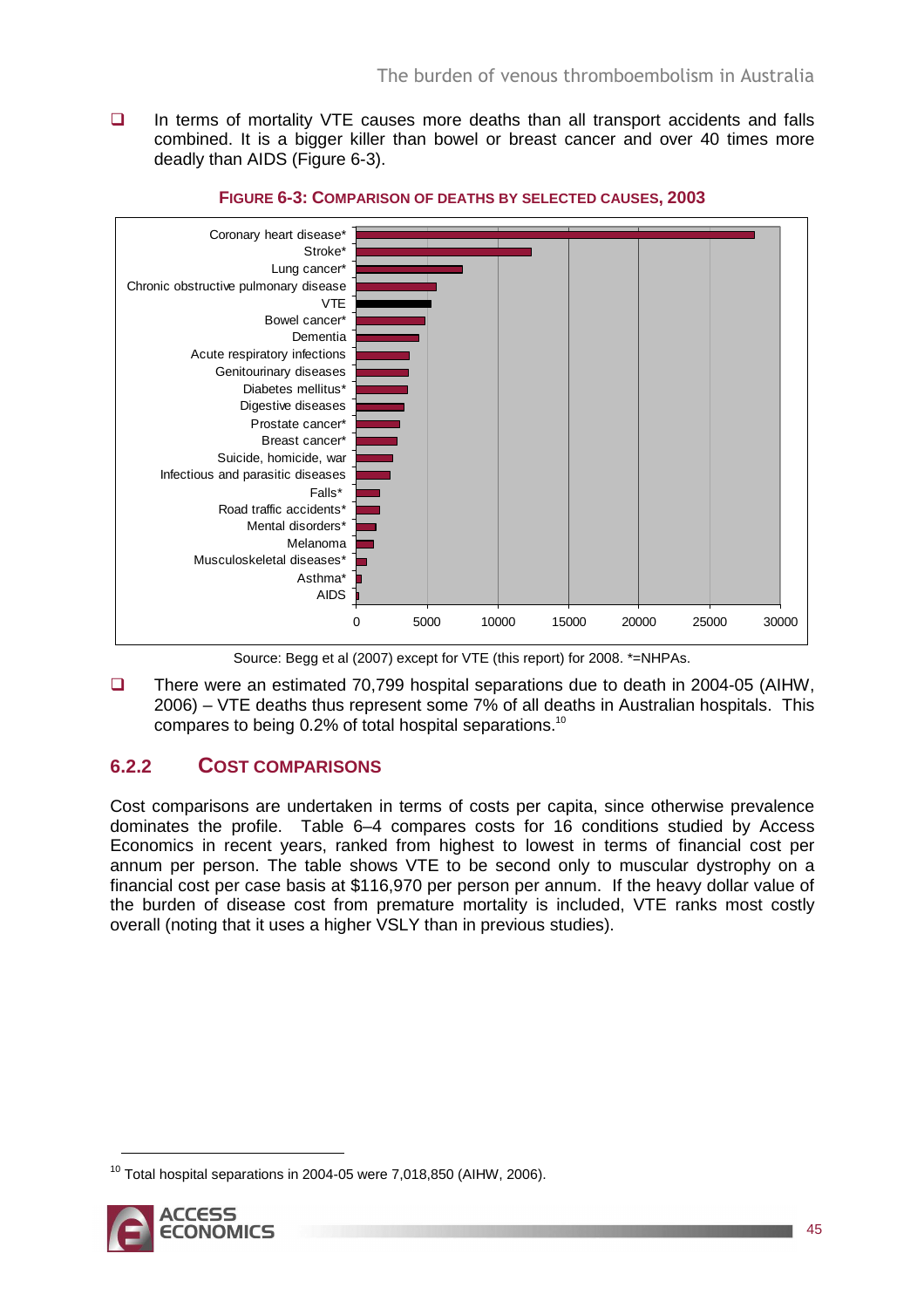$\Box$  In terms of mortality VTE causes more deaths than all transport accidents and falls combined. It is a bigger killer than bowel or breast cancer and over 40 times more deadly than AIDS (Figure 6-3).





 There were an estimated 70,799 hospital separations due to death in 2004-05 (AIHW, 2006) – VTE deaths thus represent some 7% of all deaths in Australian hospitals. This compares to being 0.2% of total hospital separations.<sup>10</sup>

### **6.2.2 COST COMPARISONS**

Cost comparisons are undertaken in terms of costs per capita, since otherwise prevalence dominates the profile. Table 6–4 compares costs for 16 conditions studied by Access Economics in recent years, ranked from highest to lowest in terms of financial cost per annum per person. The table shows VTE to be second only to muscular dystrophy on a financial cost per case basis at \$116,970 per person per annum. If the heavy dollar value of the burden of disease cost from premature mortality is included, VTE ranks most costly overall (noting that it uses a higher VSLY than in previous studies).

 $10$  Total hospital separations in 2004-05 were 7,018,850 (AIHW, 2006).



 $\overline{a}$ 

Source: Begg et al (2007) except for VTE (this report) for 2008. \*=NHPAs.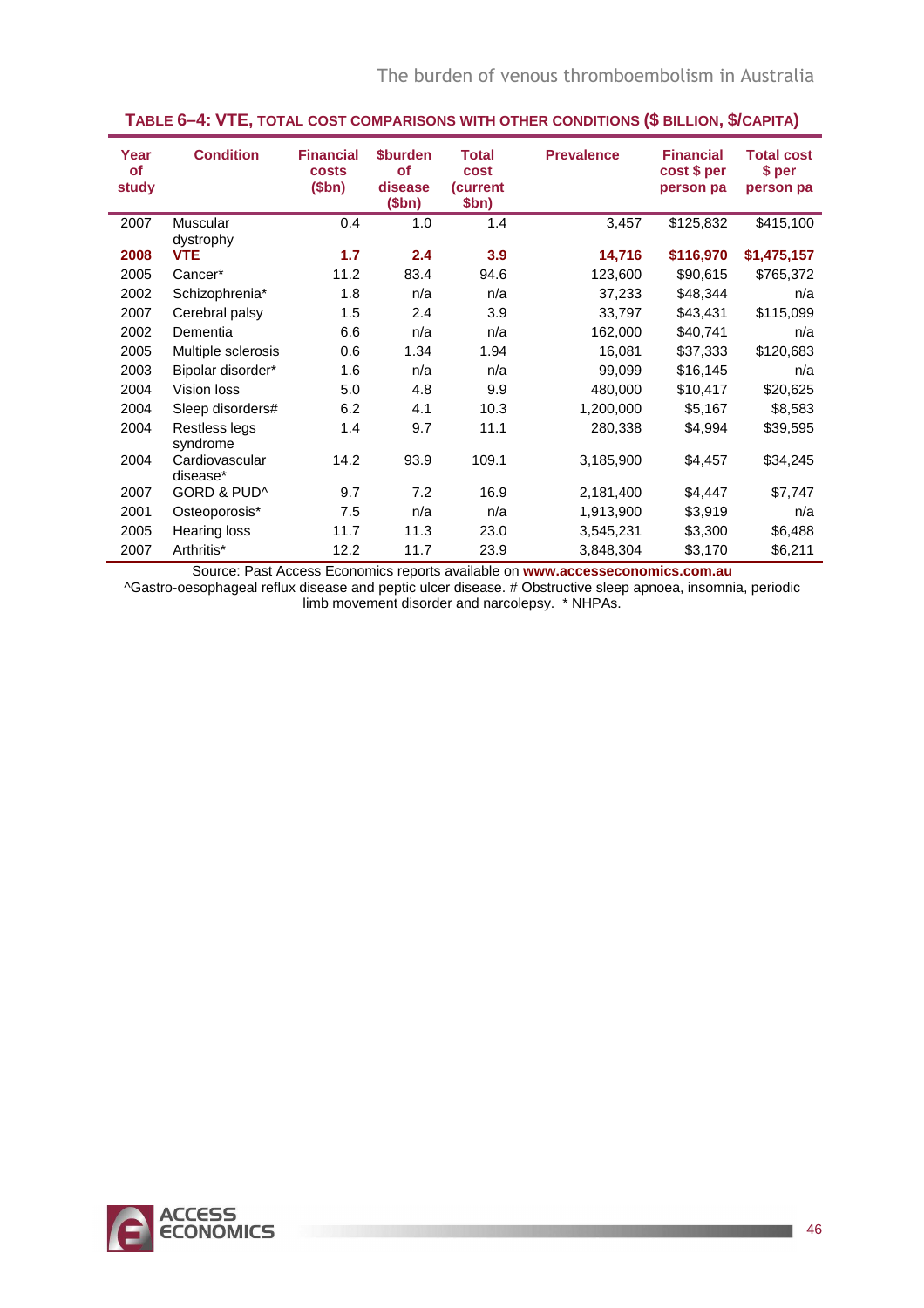| Year<br><b>of</b><br>study | <b>Condition</b>           | <b>Financial</b><br>costs<br>\$bn) | <b>\$burden</b><br><b>of</b><br>disease<br>\$bn) | <b>Total</b><br>cost<br><b>(current)</b><br>\$bn) | <b>Prevalence</b> | <b>Financial</b><br>cost \$ per<br>person pa | <b>Total cost</b><br>\$ per<br>person pa |
|----------------------------|----------------------------|------------------------------------|--------------------------------------------------|---------------------------------------------------|-------------------|----------------------------------------------|------------------------------------------|
| 2007                       | Muscular<br>dystrophy      | 0.4                                | 1.0                                              | 1.4                                               | 3,457             | \$125,832                                    | \$415,100                                |
| 2008                       | <b>VTE</b>                 | 1.7                                | 2.4                                              | 3.9                                               | 14,716            | \$116,970                                    | \$1,475,157                              |
| 2005                       | Cancer*                    | 11.2                               | 83.4                                             | 94.6                                              | 123,600           | \$90,615                                     | \$765,372                                |
| 2002                       | Schizophrenia*             | 1.8                                | n/a                                              | n/a                                               | 37,233            | \$48,344                                     | n/a                                      |
| 2007                       | Cerebral palsy             | 1.5                                | 2.4                                              | 3.9                                               | 33,797            | \$43,431                                     | \$115,099                                |
| 2002                       | Dementia                   | 6.6                                | n/a                                              | n/a                                               | 162,000           | \$40,741                                     | n/a                                      |
| 2005                       | Multiple sclerosis         | 0.6                                | 1.34                                             | 1.94                                              | 16,081            | \$37,333                                     | \$120,683                                |
| 2003                       | Bipolar disorder*          | 1.6                                | n/a                                              | n/a                                               | 99,099            | \$16,145                                     | n/a                                      |
| 2004                       | Vision loss                | 5.0                                | 4.8                                              | 9.9                                               | 480,000           | \$10,417                                     | \$20,625                                 |
| 2004                       | Sleep disorders#           | 6.2                                | 4.1                                              | 10.3                                              | 1,200,000         | \$5,167                                      | \$8,583                                  |
| 2004                       | Restless legs<br>syndrome  | 1.4                                | 9.7                                              | 11.1                                              | 280,338           | \$4,994                                      | \$39,595                                 |
| 2004                       | Cardiovascular<br>disease* | 14.2                               | 93.9                                             | 109.1                                             | 3,185,900         | \$4,457                                      | \$34,245                                 |
| 2007                       | GORD & PUD^                | 9.7                                | 7.2                                              | 16.9                                              | 2,181,400         | \$4,447                                      | \$7,747                                  |
| 2001                       | Osteoporosis*              | 7.5                                | n/a                                              | n/a                                               | 1,913,900         | \$3,919                                      | n/a                                      |
| 2005                       | <b>Hearing loss</b>        | 11.7                               | 11.3                                             | 23.0                                              | 3,545,231         | \$3,300                                      | \$6,488                                  |
| 2007                       | Arthritis*                 | 12.2                               | 11.7                                             | 23.9                                              | 3,848,304         | \$3,170                                      | \$6,211                                  |

#### **TABLE 6–4: VTE, TOTAL COST COMPARISONS WITH OTHER CONDITIONS (\$ BILLION, \$/CAPITA)**

Source: Past Access Economics reports available on **www.accesseconomics.com.au**

^Gastro-oesophageal reflux disease and peptic ulcer disease. # Obstructive sleep apnoea, insomnia, periodic limb movement disorder and narcolepsy. \* NHPAs.

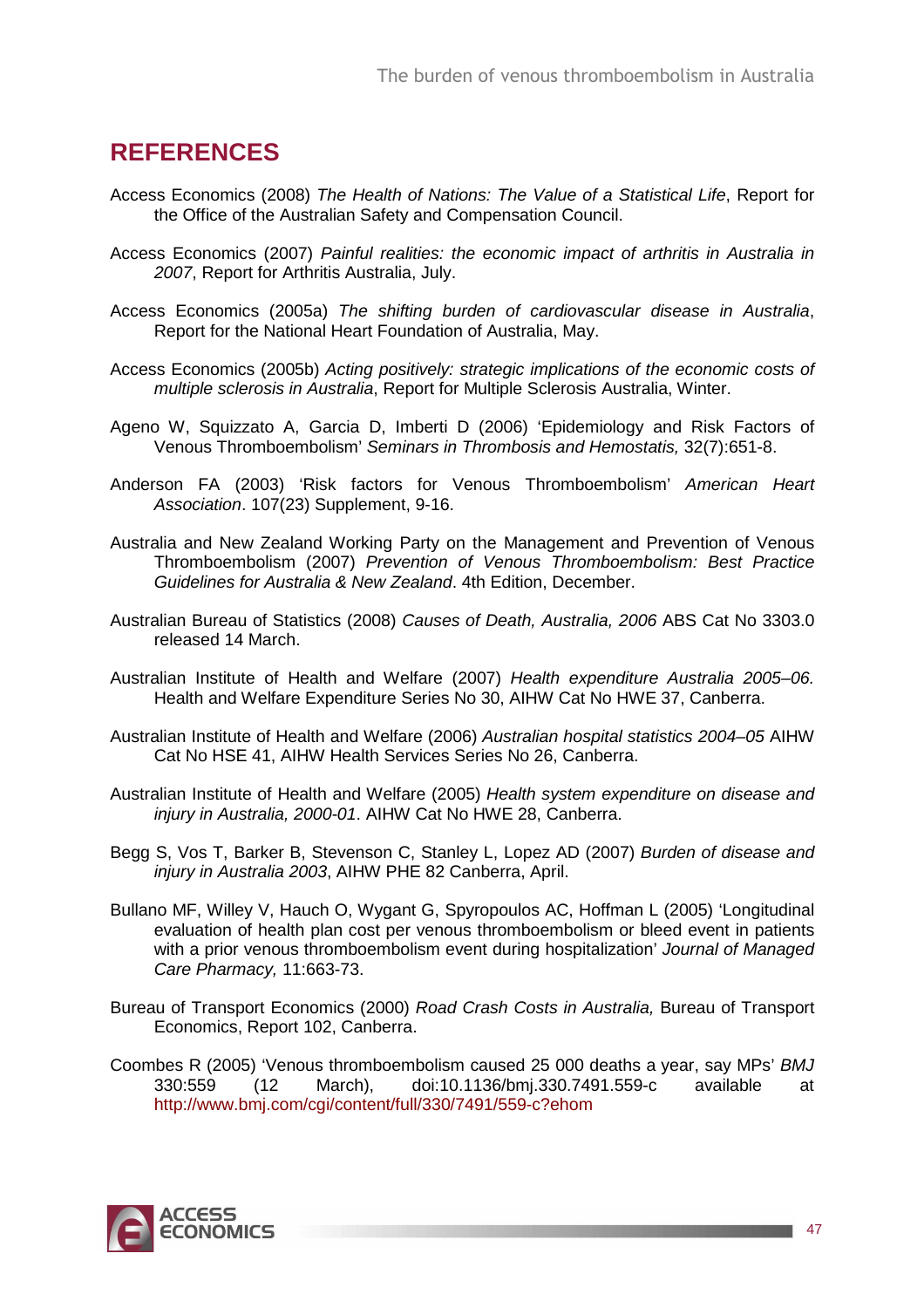## **REFERENCES**

- Access Economics (2008) The Health of Nations: The Value of a Statistical Life, Report for the Office of the Australian Safety and Compensation Council.
- Access Economics (2007) Painful realities: the economic impact of arthritis in Australia in 2007, Report for Arthritis Australia, July.
- Access Economics (2005a) The shifting burden of cardiovascular disease in Australia, Report for the National Heart Foundation of Australia, May.
- Access Economics (2005b) Acting positively: strategic implications of the economic costs of multiple sclerosis in Australia, Report for Multiple Sclerosis Australia, Winter.
- Ageno W, Squizzato A, Garcia D, Imberti D (2006) 'Epidemiology and Risk Factors of Venous Thromboembolism' Seminars in Thrombosis and Hemostatis, 32(7):651-8.
- Anderson FA (2003) 'Risk factors for Venous Thromboembolism' American Heart Association. 107(23) Supplement, 9-16.
- Australia and New Zealand Working Party on the Management and Prevention of Venous Thromboembolism (2007) Prevention of Venous Thromboembolism: Best Practice Guidelines for Australia & New Zealand. 4th Edition, December.
- Australian Bureau of Statistics (2008) Causes of Death, Australia, 2006 ABS Cat No 3303.0 released 14 March.
- Australian Institute of Health and Welfare (2007) Health expenditure Australia 2005–06. Health and Welfare Expenditure Series No 30, AIHW Cat No HWE 37, Canberra.
- Australian Institute of Health and Welfare (2006) Australian hospital statistics 2004–05 AIHW Cat No HSE 41, AIHW Health Services Series No 26, Canberra.
- Australian Institute of Health and Welfare (2005) Health system expenditure on disease and injury in Australia, 2000-01. AIHW Cat No HWE 28, Canberra.
- Begg S, Vos T, Barker B, Stevenson C, Stanley L, Lopez AD (2007) Burden of disease and injury in Australia 2003, AIHW PHE 82 Canberra, April.
- Bullano MF, Willey V, Hauch O, Wygant G, Spyropoulos AC, Hoffman L (2005) 'Longitudinal evaluation of health plan cost per venous thromboembolism or bleed event in patients with a prior venous thromboembolism event during hospitalization' Journal of Managed Care Pharmacy, 11:663-73.
- Bureau of Transport Economics (2000) Road Crash Costs in Australia, Bureau of Transport Economics, Report 102, Canberra.
- Coombes R (2005) 'Venous thromboembolism caused 25 000 deaths a year, say MPs' BMJ 330:559 (12 March), doi:10.1136/bmj.330.7491.559-c available at http://www.bmj.com/cgi/content/full/330/7491/559-c?ehom

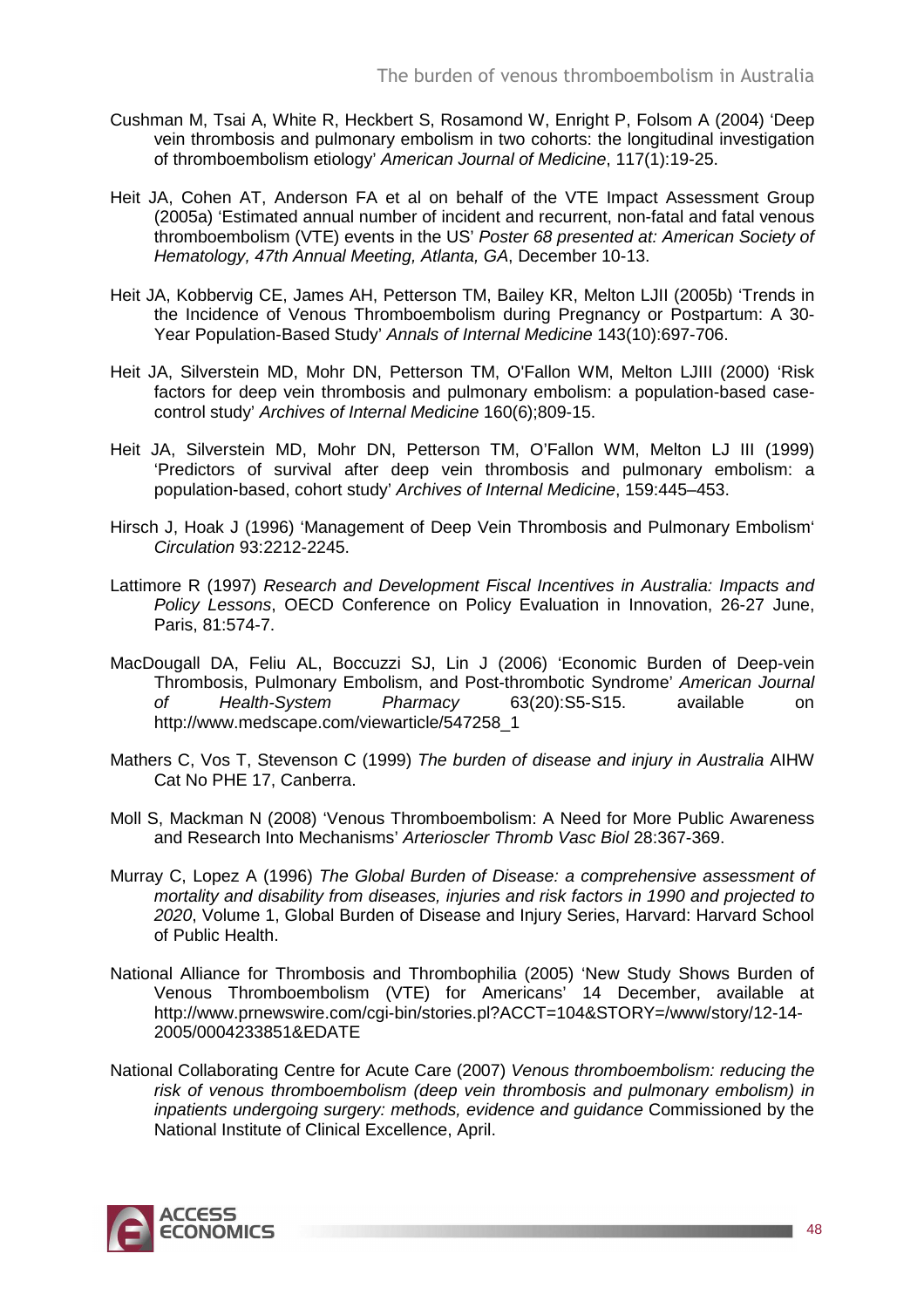- Cushman M, Tsai A, White R, Heckbert S, Rosamond W, Enright P, Folsom A (2004) 'Deep vein thrombosis and pulmonary embolism in two cohorts: the longitudinal investigation of thromboembolism etiology' American Journal of Medicine, 117(1):19-25.
- Heit JA, Cohen AT, Anderson FA et al on behalf of the VTE Impact Assessment Group (2005a) 'Estimated annual number of incident and recurrent, non-fatal and fatal venous thromboembolism (VTE) events in the US' Poster 68 presented at: American Society of Hematology, 47th Annual Meeting, Atlanta, GA, December 10-13.
- Heit JA, Kobbervig CE, James AH, Petterson TM, Bailey KR, Melton LJII (2005b) 'Trends in the Incidence of Venous Thromboembolism during Pregnancy or Postpartum: A 30- Year Population-Based Study' Annals of Internal Medicine 143(10):697-706.
- Heit JA, Silverstein MD, Mohr DN, Petterson TM, O'Fallon WM, Melton LJIII (2000) 'Risk factors for deep vein thrombosis and pulmonary embolism: a population-based casecontrol study' Archives of Internal Medicine 160(6);809-15.
- Heit JA, Silverstein MD, Mohr DN, Petterson TM, O'Fallon WM, Melton LJ III (1999) 'Predictors of survival after deep vein thrombosis and pulmonary embolism: a population-based, cohort study' Archives of Internal Medicine, 159:445–453.
- Hirsch J, Hoak J (1996) 'Management of Deep Vein Thrombosis and Pulmonary Embolism' Circulation 93:2212-2245.
- Lattimore R (1997) Research and Development Fiscal Incentives in Australia: Impacts and Policy Lessons, OECD Conference on Policy Evaluation in Innovation, 26-27 June, Paris, 81:574-7.
- MacDougall DA, Feliu AL, Boccuzzi SJ, Lin J (2006) 'Economic Burden of Deep-vein Thrombosis, Pulmonary Embolism, and Post-thrombotic Syndrome' American Journal of Health-System Pharmacy 63(20):S5-S15. available on http://www.medscape.com/viewarticle/547258\_1
- Mathers C, Vos T, Stevenson C (1999) The burden of disease and injury in Australia AIHW Cat No PHE 17, Canberra.
- Moll S, Mackman N (2008) 'Venous Thromboembolism: A Need for More Public Awareness and Research Into Mechanisms' Arterioscler Thromb Vasc Biol 28:367-369.
- Murray C, Lopez A (1996) The Global Burden of Disease: a comprehensive assessment of mortality and disability from diseases, injuries and risk factors in 1990 and projected to 2020, Volume 1, Global Burden of Disease and Injury Series, Harvard: Harvard School of Public Health.
- National Alliance for Thrombosis and Thrombophilia (2005) 'New Study Shows Burden of Venous Thromboembolism (VTE) for Americans' 14 December, available at http://www.prnewswire.com/cgi-bin/stories.pl?ACCT=104&STORY=/www/story/12-14- 2005/0004233851&EDATE
- National Collaborating Centre for Acute Care (2007) Venous thromboembolism: reducing the risk of venous thromboembolism (deep vein thrombosis and pulmonary embolism) in inpatients undergoing surgery: methods, evidence and guidance Commissioned by the National Institute of Clinical Excellence, April.